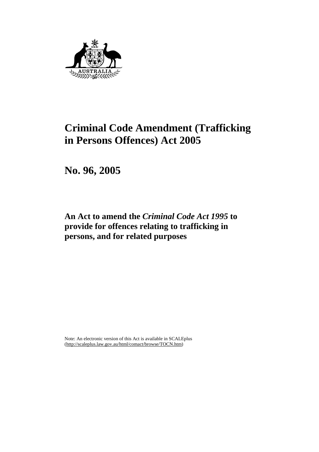

# **Criminal Code Amendment (Trafficking in Persons Offences) Act 2005**

**No. 96, 2005** 

**An Act to amend the** *Criminal Code Act 1995* **to provide for offences relating to trafficking in persons, and for related purposes** 

Note: An electronic version of this Act is available in SCALEplus (http://scaleplus.law.gov.au/html/comact/browse/TOCN.htm)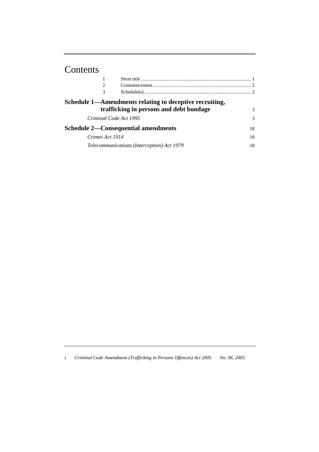# Contents

| 2                      |                                                         |    |
|------------------------|---------------------------------------------------------|----|
| 3                      |                                                         |    |
|                        | Schedule 1—Amendments relating to deceptive recruiting, |    |
|                        | trafficking in persons and debt bondage                 | 3  |
| Criminal Code Act 1995 |                                                         | 3  |
|                        | <b>Schedule 2—Consequential amendments</b>              | 18 |
| Crimes Act 1914        |                                                         | 18 |
|                        | Telecommunications (Interception) Act 1979              | 18 |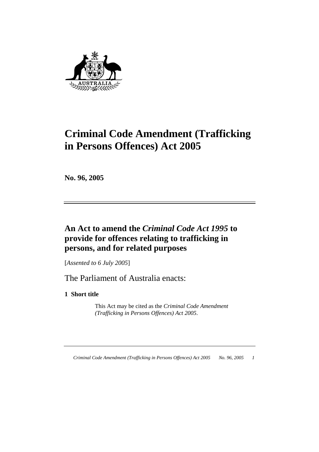

# **Criminal Code Amendment (Trafficking in Persons Offences) Act 2005**

**No. 96, 2005** 

# **An Act to amend the** *Criminal Code Act 1995* **to provide for offences relating to trafficking in persons, and for related purposes**

[*Assented to 6 July 2005*]

The Parliament of Australia enacts:

**1 Short title** 

 This Act may be cited as the *Criminal Code Amendment (Trafficking in Persons Offences) Act 2005*.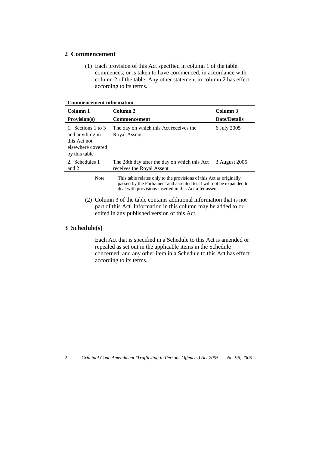## **2 Commencement**

 (1) Each provision of this Act specified in column 1 of the table commences, or is taken to have commenced, in accordance with column 2 of the table. Any other statement in column 2 has effect according to its terms.

| <b>Commencement information</b>                                                                                                                                                                                 |                                                                            |                     |  |  |
|-----------------------------------------------------------------------------------------------------------------------------------------------------------------------------------------------------------------|----------------------------------------------------------------------------|---------------------|--|--|
| Column 1                                                                                                                                                                                                        | Column 2                                                                   | Column 3            |  |  |
| <b>Provision(s)</b>                                                                                                                                                                                             | Commencement                                                               | <b>Date/Details</b> |  |  |
| 1. Sections 1 to 3<br>and anything in<br>this Act not<br>elsewhere covered<br>by this table                                                                                                                     | The day on which this Act receives the<br>Royal Assent.                    | 6 July 2005         |  |  |
| 2. Schedules 1<br>and 2                                                                                                                                                                                         | The 28th day after the day on which this Act<br>receives the Royal Assent. | 3 August 2005       |  |  |
| This table relates only to the provisions of this Act as originally<br>Note:<br>passed by the Parliament and assented to. It will not be expanded to<br>deal with provisions inserted in this Act after assent. |                                                                            |                     |  |  |
| (2) Column 3 of the table contains additional information that is not<br>part of this Act. Information in this column may be added to or<br>edited in any published version of this Act.                        |                                                                            |                     |  |  |

## **3 Schedule(s)**

 Each Act that is specified in a Schedule to this Act is amended or repealed as set out in the applicable items in the Schedule concerned, and any other item in a Schedule to this Act has effect according to its terms.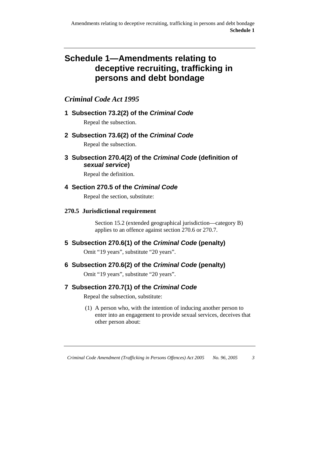# **Schedule 1—Amendments relating to deceptive recruiting, trafficking in persons and debt bondage**

# *Criminal Code Act 1995*

# **1 Subsection 73.2(2) of the Criminal Code**

Repeal the subsection.

# **2 Subsection 73.6(2) of the Criminal Code**

Repeal the subsection.

**3 Subsection 270.4(2) of the Criminal Code (definition of sexual service)** 

Repeal the definition.

## **4 Section 270.5 of the Criminal Code**

Repeal the section, substitute:

## **270.5 Jurisdictional requirement**

 Section 15.2 (extended geographical jurisdiction—category B) applies to an offence against section 270.6 or 270.7.

# **5 Subsection 270.6(1) of the Criminal Code (penalty)**

Omit "19 years", substitute "20 years".

# **6 Subsection 270.6(2) of the Criminal Code (penalty)**

Omit "19 years", substitute "20 years".

# **7 Subsection 270.7(1) of the Criminal Code**

Repeal the subsection, substitute:

 (1) A person who, with the intention of inducing another person to enter into an engagement to provide sexual services, deceives that other person about: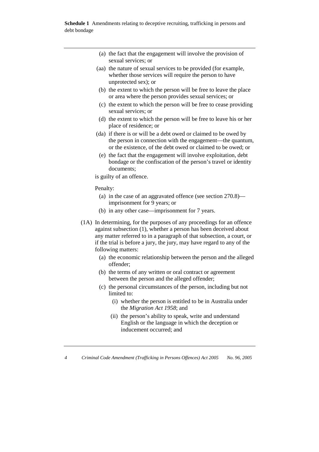- (a) the fact that the engagement will involve the provision of sexual services; or
- (aa) the nature of sexual services to be provided (for example, whether those services will require the person to have unprotected sex); or
- (b) the extent to which the person will be free to leave the place or area where the person provides sexual services; or
- (c) the extent to which the person will be free to cease providing sexual services; or
- (d) the extent to which the person will be free to leave his or her place of residence; or
- (da) if there is or will be a debt owed or claimed to be owed by the person in connection with the engagement—the quantum, or the existence, of the debt owed or claimed to be owed; or
	- (e) the fact that the engagement will involve exploitation, debt bondage or the confiscation of the person's travel or identity documents;

is guilty of an offence.

Penalty:

- (a) in the case of an aggravated offence (see section 270.8) imprisonment for 9 years; or
- (b) in any other case—imprisonment for 7 years.
- (1A) In determining, for the purposes of any proceedings for an offence against subsection (1), whether a person has been deceived about any matter referred to in a paragraph of that subsection, a court, or if the trial is before a jury, the jury, may have regard to any of the following matters:
	- (a) the economic relationship between the person and the alleged offender;
	- (b) the terms of any written or oral contract or agreement between the person and the alleged offender;
	- (c) the personal circumstances of the person, including but not limited to:
		- (i) whether the person is entitled to be in Australia under the *Migration Act 1958*; and
		- (ii) the person's ability to speak, write and understand English or the language in which the deception or inducement occurred; and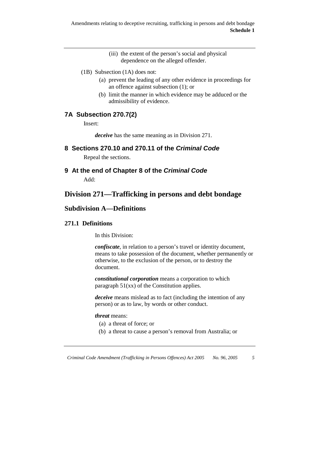- (1B) Subsection (1A) does not:
	- (a) prevent the leading of any other evidence in proceedings for an offence against subsection (1); or
	- (b) limit the manner in which evidence may be adduced or the admissibility of evidence.

## **7A Subsection 270.7(2)**

Insert:

*deceive* has the same meaning as in Division 271.

## **8 Sections 270.10 and 270.11 of the Criminal Code**

Repeal the sections.

**9 At the end of Chapter 8 of the Criminal Code** Add:

# **Division 271—Trafficking in persons and debt bondage**

## **Subdivision A—Definitions**

#### **271.1 Definitions**

In this Division:

*confiscate*, in relation to a person's travel or identity document. means to take possession of the document, whether permanently or otherwise, to the exclusion of the person, or to destroy the document.

*constitutional corporation* means a corporation to which paragraph 51(xx) of the Constitution applies.

*deceive* means mislead as to fact (including the intention of any person) or as to law, by words or other conduct.

#### *threat* means:

- (a) a threat of force; or
- (b) a threat to cause a person's removal from Australia; or

 <sup>(</sup>iii) the extent of the person's social and physical dependence on the alleged offender.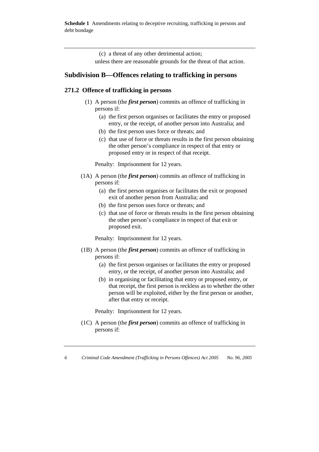**Schedule 1** Amendments relating to deceptive recruiting, trafficking in persons and debt bondage

(c) a threat of any other detrimental action;

unless there are reasonable grounds for the threat of that action.

### **Subdivision B—Offences relating to trafficking in persons**

#### **271.2 Offence of trafficking in persons**

- (1) A person (the *first person*) commits an offence of trafficking in persons if:
	- (a) the first person organises or facilitates the entry or proposed entry, or the receipt, of another person into Australia; and
	- (b) the first person uses force or threats; and
	- (c) that use of force or threats results in the first person obtaining the other person's compliance in respect of that entry or proposed entry or in respect of that receipt.

Penalty: Imprisonment for 12 years.

- (1A) A person (the *first person*) commits an offence of trafficking in persons if:
	- (a) the first person organises or facilitates the exit or proposed exit of another person from Australia; and
	- (b) the first person uses force or threats; and
	- (c) that use of force or threats results in the first person obtaining the other person's compliance in respect of that exit or proposed exit.

Penalty: Imprisonment for 12 years.

- (1B) A person (the *first person*) commits an offence of trafficking in persons if:
	- (a) the first person organises or facilitates the entry or proposed entry, or the receipt, of another person into Australia; and
	- (b) in organising or facilitating that entry or proposed entry, or that receipt, the first person is reckless as to whether the other person will be exploited, either by the first person or another, after that entry or receipt.

Penalty: Imprisonment for 12 years.

 (1C) A person (the *first person*) commits an offence of trafficking in persons if: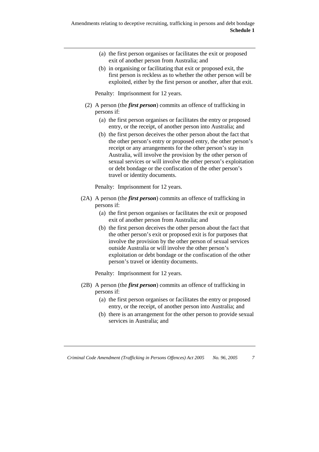- (a) the first person organises or facilitates the exit or proposed exit of another person from Australia; and
- (b) in organising or facilitating that exit or proposed exit, the first person is reckless as to whether the other person will be exploited, either by the first person or another, after that exit.

Penalty: Imprisonment for 12 years.

- (2) A person (the *first person*) commits an offence of trafficking in persons if:
	- (a) the first person organises or facilitates the entry or proposed entry, or the receipt, of another person into Australia; and
	- (b) the first person deceives the other person about the fact that the other person's entry or proposed entry, the other person's receipt or any arrangements for the other person's stay in Australia, will involve the provision by the other person of sexual services or will involve the other person's exploitation or debt bondage or the confiscation of the other person's travel or identity documents.

Penalty: Imprisonment for 12 years.

- (2A) A person (the *first person*) commits an offence of trafficking in persons if:
	- (a) the first person organises or facilitates the exit or proposed exit of another person from Australia; and
	- (b) the first person deceives the other person about the fact that the other person's exit or proposed exit is for purposes that involve the provision by the other person of sexual services outside Australia or will involve the other person's exploitation or debt bondage or the confiscation of the other person's travel or identity documents.

Penalty: Imprisonment for 12 years.

- (2B) A person (the *first person*) commits an offence of trafficking in persons if:
	- (a) the first person organises or facilitates the entry or proposed entry, or the receipt, of another person into Australia; and
	- (b) there is an arrangement for the other person to provide sexual services in Australia; and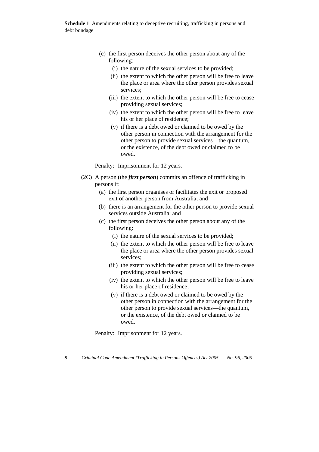- (c) the first person deceives the other person about any of the following:
	- (i) the nature of the sexual services to be provided;
	- (ii) the extent to which the other person will be free to leave the place or area where the other person provides sexual services;
	- (iii) the extent to which the other person will be free to cease providing sexual services;
	- (iv) the extent to which the other person will be free to leave his or her place of residence;
	- (v) if there is a debt owed or claimed to be owed by the other person in connection with the arrangement for the other person to provide sexual services—the quantum, or the existence, of the debt owed or claimed to be owed.

Penalty: Imprisonment for 12 years.

- (2C) A person (the *first person*) commits an offence of trafficking in persons if:
	- (a) the first person organises or facilitates the exit or proposed exit of another person from Australia; and
	- (b) there is an arrangement for the other person to provide sexual services outside Australia; and
	- (c) the first person deceives the other person about any of the following:
		- (i) the nature of the sexual services to be provided;
		- (ii) the extent to which the other person will be free to leave the place or area where the other person provides sexual services;
		- (iii) the extent to which the other person will be free to cease providing sexual services;
		- (iv) the extent to which the other person will be free to leave his or her place of residence;
		- (v) if there is a debt owed or claimed to be owed by the other person in connection with the arrangement for the other person to provide sexual services—the quantum, or the existence, of the debt owed or claimed to be owed.

Penalty: Imprisonment for 12 years.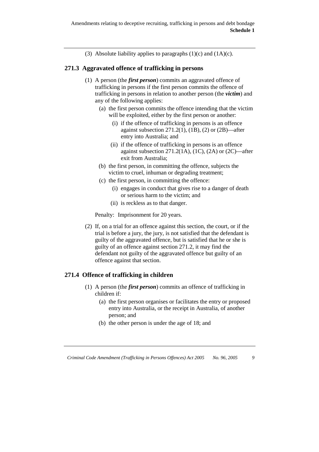(3) Absolute liability applies to paragraphs  $(1)(c)$  and  $(1A)(c)$ .

#### **271.3 Aggravated offence of trafficking in persons**

- (1) A person (the *first person*) commits an aggravated offence of trafficking in persons if the first person commits the offence of trafficking in persons in relation to another person (the *victim*) and any of the following applies:
	- (a) the first person commits the offence intending that the victim will be exploited, either by the first person or another:
		- (i) if the offence of trafficking in persons is an offence against subsection  $271.2(1)$ ,  $(1B)$ ,  $(2)$  or  $(2B)$ —after entry into Australia; and
		- (ii) if the offence of trafficking in persons is an offence against subsection  $271.2(1A)$ ,  $(1C)$ ,  $(2A)$  or  $(2C)$ —after exit from Australia;
	- (b) the first person, in committing the offence, subjects the victim to cruel, inhuman or degrading treatment;
	- (c) the first person, in committing the offence:
		- (i) engages in conduct that gives rise to a danger of death or serious harm to the victim; and
		- (ii) is reckless as to that danger.

Penalty: Imprisonment for 20 years.

 (2) If, on a trial for an offence against this section, the court, or if the trial is before a jury, the jury, is not satisfied that the defendant is guilty of the aggravated offence, but is satisfied that he or she is guilty of an offence against section 271.2, it may find the defendant not guilty of the aggravated offence but guilty of an offence against that section.

## **271.4 Offence of trafficking in children**

- (1) A person (the *first person*) commits an offence of trafficking in children if:
	- (a) the first person organises or facilitates the entry or proposed entry into Australia, or the receipt in Australia, of another person; and
	- (b) the other person is under the age of 18; and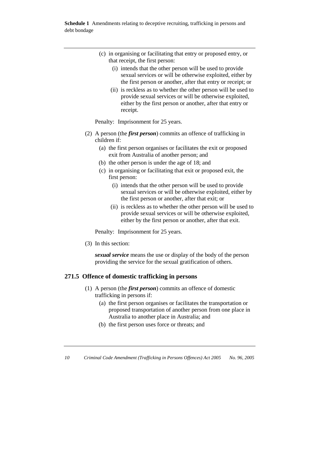- (c) in organising or facilitating that entry or proposed entry, or that receipt, the first person:
	- (i) intends that the other person will be used to provide sexual services or will be otherwise exploited, either by the first person or another, after that entry or receipt; or
	- (ii) is reckless as to whether the other person will be used to provide sexual services or will be otherwise exploited, either by the first person or another, after that entry or receipt.

Penalty: Imprisonment for 25 years.

- (2) A person (the *first person*) commits an offence of trafficking in children if:
	- (a) the first person organises or facilitates the exit or proposed exit from Australia of another person; and
	- (b) the other person is under the age of 18; and
	- (c) in organising or facilitating that exit or proposed exit, the first person:
		- (i) intends that the other person will be used to provide sexual services or will be otherwise exploited, either by the first person or another, after that exit; or
		- (ii) is reckless as to whether the other person will be used to provide sexual services or will be otherwise exploited, either by the first person or another, after that exit.

Penalty: Imprisonment for 25 years.

(3) In this section:

*sexual service* means the use or display of the body of the person providing the service for the sexual gratification of others.

#### **271.5 Offence of domestic trafficking in persons**

- (1) A person (the *first person*) commits an offence of domestic trafficking in persons if:
	- (a) the first person organises or facilitates the transportation or proposed transportation of another person from one place in Australia to another place in Australia; and
	- (b) the first person uses force or threats; and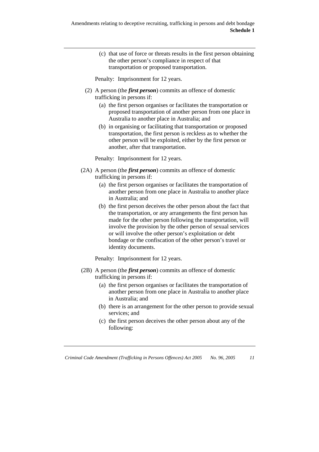(c) that use of force or threats results in the first person obtaining the other person's compliance in respect of that transportation or proposed transportation.

Penalty: Imprisonment for 12 years.

- (2) A person (the *first person*) commits an offence of domestic trafficking in persons if:
	- (a) the first person organises or facilitates the transportation or proposed transportation of another person from one place in Australia to another place in Australia; and
	- (b) in organising or facilitating that transportation or proposed transportation, the first person is reckless as to whether the other person will be exploited, either by the first person or another, after that transportation.

Penalty: Imprisonment for 12 years.

- (2A) A person (the *first person*) commits an offence of domestic trafficking in persons if:
	- (a) the first person organises or facilitates the transportation of another person from one place in Australia to another place in Australia; and
	- (b) the first person deceives the other person about the fact that the transportation, or any arrangements the first person has made for the other person following the transportation, will involve the provision by the other person of sexual services or will involve the other person's exploitation or debt bondage or the confiscation of the other person's travel or identity documents.

Penalty: Imprisonment for 12 years.

- (2B) A person (the *first person*) commits an offence of domestic trafficking in persons if:
	- (a) the first person organises or facilitates the transportation of another person from one place in Australia to another place in Australia; and
	- (b) there is an arrangement for the other person to provide sexual services; and
	- (c) the first person deceives the other person about any of the following: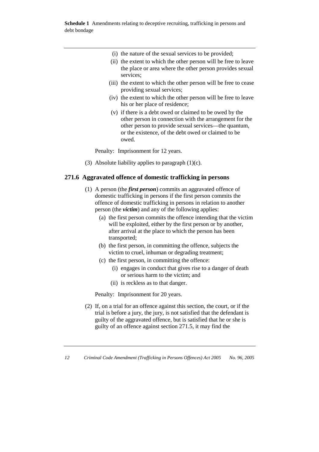- (i) the nature of the sexual services to be provided;
- (ii) the extent to which the other person will be free to leave the place or area where the other person provides sexual services;
- (iii) the extent to which the other person will be free to cease providing sexual services;
- (iv) the extent to which the other person will be free to leave his or her place of residence;
- (v) if there is a debt owed or claimed to be owed by the other person in connection with the arrangement for the other person to provide sexual services—the quantum, or the existence, of the debt owed or claimed to be owed.

Penalty: Imprisonment for 12 years.

(3) Absolute liability applies to paragraph  $(1)(c)$ .

#### **271.6 Aggravated offence of domestic trafficking in persons**

- (1) A person (the *first person*) commits an aggravated offence of domestic trafficking in persons if the first person commits the offence of domestic trafficking in persons in relation to another person (the *victim*) and any of the following applies:
	- (a) the first person commits the offence intending that the victim will be exploited, either by the first person or by another, after arrival at the place to which the person has been transported;
	- (b) the first person, in committing the offence, subjects the victim to cruel, inhuman or degrading treatment;
	- (c) the first person, in committing the offence:
		- (i) engages in conduct that gives rise to a danger of death or serious harm to the victim; and
		- (ii) is reckless as to that danger.

Penalty: Imprisonment for 20 years.

 (2) If, on a trial for an offence against this section, the court, or if the trial is before a jury, the jury, is not satisfied that the defendant is guilty of the aggravated offence, but is satisfied that he or she is guilty of an offence against section 271.5, it may find the

*<sup>12</sup> Criminal Code Amendment (Trafficking in Persons Offences) Act 2005 No. 96, 2005*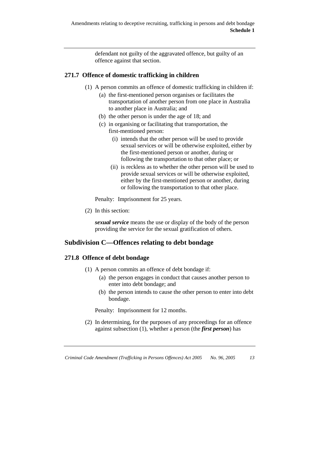defendant not guilty of the aggravated offence, but guilty of an offence against that section.

## **271.7 Offence of domestic trafficking in children**

- (1) A person commits an offence of domestic trafficking in children if:
	- (a) the first-mentioned person organises or facilitates the transportation of another person from one place in Australia to another place in Australia; and
	- (b) the other person is under the age of 18; and
	- (c) in organising or facilitating that transportation, the first-mentioned person:
		- (i) intends that the other person will be used to provide sexual services or will be otherwise exploited, either by the first-mentioned person or another, during or following the transportation to that other place; or
		- (ii) is reckless as to whether the other person will be used to provide sexual services or will be otherwise exploited, either by the first-mentioned person or another, during or following the transportation to that other place.

Penalty: Imprisonment for 25 years.

(2) In this section:

*sexual service* means the use or display of the body of the person providing the service for the sexual gratification of others.

## **Subdivision C—Offences relating to debt bondage**

## **271.8 Offence of debt bondage**

- (1) A person commits an offence of debt bondage if:
	- (a) the person engages in conduct that causes another person to enter into debt bondage; and
	- (b) the person intends to cause the other person to enter into debt bondage.

Penalty: Imprisonment for 12 months.

 (2) In determining, for the purposes of any proceedings for an offence against subsection (1), whether a person (the *first person*) has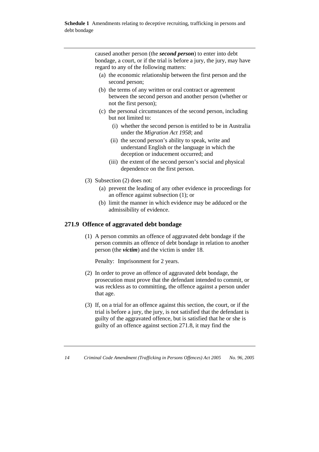caused another person (the *second person*) to enter into debt bondage, a court, or if the trial is before a jury, the jury, may have regard to any of the following matters:

- (a) the economic relationship between the first person and the second person;
- (b) the terms of any written or oral contract or agreement between the second person and another person (whether or not the first person);
- (c) the personal circumstances of the second person, including but not limited to:
	- (i) whether the second person is entitled to be in Australia under the *Migration Act 1958*; and
	- (ii) the second person's ability to speak, write and understand English or the language in which the deception or inducement occurred; and
	- (iii) the extent of the second person's social and physical dependence on the first person.
- (3) Subsection (2) does not:
	- (a) prevent the leading of any other evidence in proceedings for an offence against subsection (1); or
	- (b) limit the manner in which evidence may be adduced or the admissibility of evidence.

#### **271.9 Offence of aggravated debt bondage**

 (1) A person commits an offence of aggravated debt bondage if the person commits an offence of debt bondage in relation to another person (the *victim*) and the victim is under 18.

Penalty: Imprisonment for 2 years.

- (2) In order to prove an offence of aggravated debt bondage, the prosecution must prove that the defendant intended to commit, or was reckless as to committing, the offence against a person under that age.
- (3) If, on a trial for an offence against this section, the court, or if the trial is before a jury, the jury, is not satisfied that the defendant is guilty of the aggravated offence, but is satisfied that he or she is guilty of an offence against section 271.8, it may find the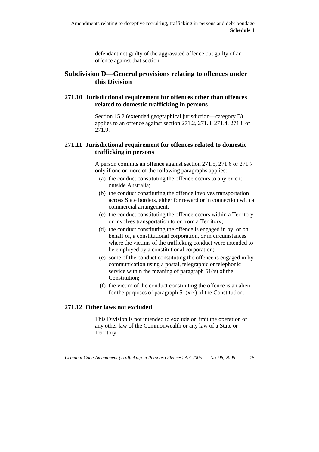defendant not guilty of the aggravated offence but guilty of an offence against that section.

## **Subdivision D—General provisions relating to offences under this Division**

## **271.10 Jurisdictional requirement for offences other than offences related to domestic trafficking in persons**

 Section 15.2 (extended geographical jurisdiction—category B) applies to an offence against section 271.2, 271.3, 271.4, 271.8 or 271.9.

#### **271.11 Jurisdictional requirement for offences related to domestic trafficking in persons**

 A person commits an offence against section 271.5, 271.6 or 271.7 only if one or more of the following paragraphs applies:

- (a) the conduct constituting the offence occurs to any extent outside Australia;
- (b) the conduct constituting the offence involves transportation across State borders, either for reward or in connection with a commercial arrangement;
- (c) the conduct constituting the offence occurs within a Territory or involves transportation to or from a Territory;
- (d) the conduct constituting the offence is engaged in by, or on behalf of, a constitutional corporation, or in circumstances where the victims of the trafficking conduct were intended to be employed by a constitutional corporation;
- (e) some of the conduct constituting the offence is engaged in by communication using a postal, telegraphic or telephonic service within the meaning of paragraph  $51(v)$  of the Constitution;
- (f) the victim of the conduct constituting the offence is an alien for the purposes of paragraph 51(xix) of the Constitution.

## **271.12 Other laws not excluded**

 This Division is not intended to exclude or limit the operation of any other law of the Commonwealth or any law of a State or Territory.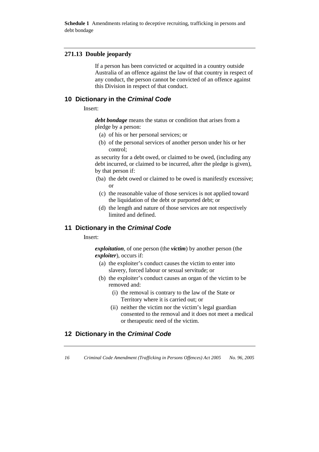**Schedule 1** Amendments relating to deceptive recruiting, trafficking in persons and debt bondage

#### **271.13 Double jeopardy**

 If a person has been convicted or acquitted in a country outside Australia of an offence against the law of that country in respect of any conduct, the person cannot be convicted of an offence against this Division in respect of that conduct.

#### **10 Dictionary in the Criminal Code**

Insert:

*debt bondage* means the status or condition that arises from a pledge by a person:

- (a) of his or her personal services; or
- (b) of the personal services of another person under his or her control;

as security for a debt owed, or claimed to be owed, (including any debt incurred, or claimed to be incurred, after the pledge is given), by that person if:

- (ba) the debt owed or claimed to be owed is manifestly excessive; or
- (c) the reasonable value of those services is not applied toward the liquidation of the debt or purported debt; or
- (d) the length and nature of those services are not respectively limited and defined.

#### **11 Dictionary in the Criminal Code**

Insert:

*exploitation*, of one person (the *victim*) by another person (the *exploiter*), occurs if:

- (a) the exploiter's conduct causes the victim to enter into slavery, forced labour or sexual servitude; or
- (b) the exploiter's conduct causes an organ of the victim to be removed and:
	- (i) the removal is contrary to the law of the State or Territory where it is carried out; or
	- (ii) neither the victim nor the victim's legal guardian consented to the removal and it does not meet a medical or therapeutic need of the victim.

## **12 Dictionary in the Criminal Code**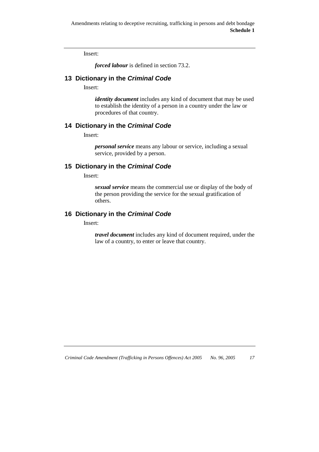Insert:

*forced labour* is defined in section 73.2.

## **13 Dictionary in the Criminal Code**

Insert:

*identity document* includes any kind of document that may be used to establish the identity of a person in a country under the law or procedures of that country.

## **14 Dictionary in the Criminal Code**

Insert:

*personal service* means any labour or service, including a sexual service, provided by a person.

## **15 Dictionary in the Criminal Code**

Insert:

*sexual service* means the commercial use or display of the body of the person providing the service for the sexual gratification of others.

#### **16 Dictionary in the Criminal Code**

Insert:

*travel document* includes any kind of document required, under the law of a country, to enter or leave that country.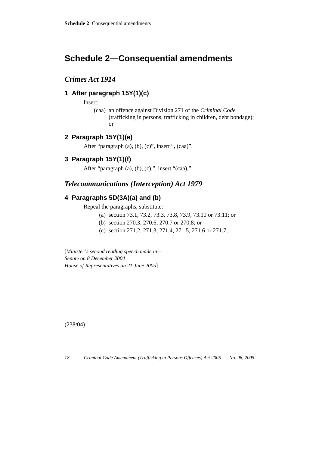# **Schedule 2—Consequential amendments**

## *Crimes Act 1914*

## **1 After paragraph 15Y(1)(c)**

Insert:

 (caa) an offence against Division 271 of the *Criminal Code* (trafficking in persons, trafficking in children, debt bondage); or

## **2 Paragraph 15Y(1)(e)**

After "paragraph (a), (b), (c)", insert ", (caa)".

## **3 Paragraph 15Y(1)(f)**

After "paragraph  $(a)$ ,  $(b)$ ,  $(c)$ ,", insert " $(caa)$ ,".

# *Telecommunications (Interception) Act 1979*

## **4 Paragraphs 5D(3A)(a) and (b)**

Repeal the paragraphs, substitute:

- (a) section 73.1, 73.2, 73.3, 73.8, 73.9, 73.10 or 73.11; or
- (b) section 270.3, 270.6, 270.7 or 270.8; or
- (c) section 271.2, 271.3, 271.4, 271.5, 271.6 or 271.7;

[*Minister's second reading speech made in— Senate on 8 December 2004 House of Representatives on 21 June 2005*]

(238/04)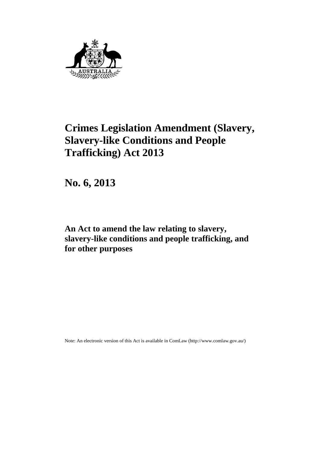

# **Crimes Legislation Amendment (Slavery, Slavery-like Conditions and People Trafficking) Act 2013**

**No. 6, 2013**

**An Act to amend the law relating to slavery, slavery-like conditions and people trafficking, and for other purposes**

Note: An electronic version of this Act is available in ComLaw [\(http://www.comlaw.gov.au/\)](http://www.comlaw.gov.au/)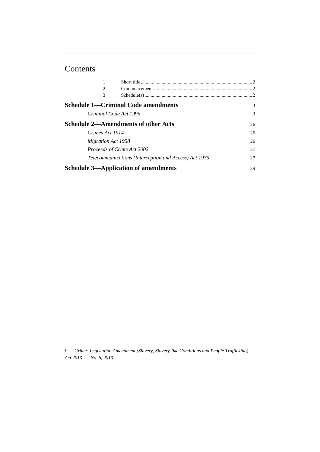# Contents

| 1                          |                                                       |               |
|----------------------------|-------------------------------------------------------|---------------|
| 2                          |                                                       | $\mathcal{D}$ |
| 3                          |                                                       |               |
|                            | <b>Schedule 1—Criminal Code amendments</b>            | 3             |
| Criminal Code Act 1995     |                                                       | 3             |
|                            | <b>Schedule 2—Amendments of other Acts</b>            | 26            |
| Crimes Act 1914            |                                                       | 26            |
| <i>Migration Act 1958</i>  |                                                       | 26            |
| Proceeds of Crime Act 2002 |                                                       | 27            |
|                            | Telecommunications (Interception and Access) Act 1979 | 27            |
|                            | <b>Schedule 3—Application of amendments</b>           | 29            |

*i Crimes Legislation Amendment (Slavery, Slavery-like Conditions and People Trafficking) Act 2013 No. 6, 2013*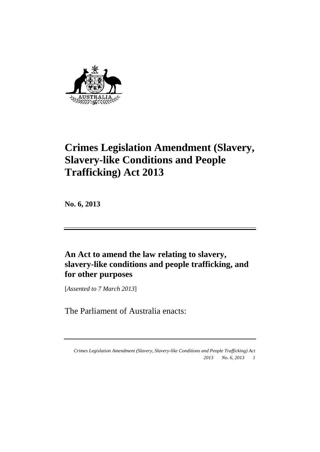

# **Crimes Legislation Amendment (Slavery, Slavery-like Conditions and People Trafficking) Act 2013**

**No. 6, 2013**

**An Act to amend the law relating to slavery, slavery-like conditions and people trafficking, and for other purposes**

[*Assented to 7 March 2013*]

The Parliament of Australia enacts:

*Crimes Legislation Amendment (Slavery, Slavery-like Conditions and People Trafficking) Act 2013 No. 6, 2013 1*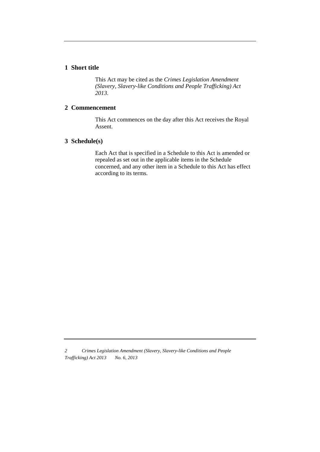#### **1 Short title**

This Act may be cited as the *Crimes Legislation Amendment (Slavery, Slavery-like Conditions and People Trafficking) Act 2013*.

#### **2 Commencement**

This Act commences on the day after this Act receives the Royal Assent.

#### **3 Schedule(s)**

Each Act that is specified in a Schedule to this Act is amended or repealed as set out in the applicable items in the Schedule concerned, and any other item in a Schedule to this Act has effect according to its terms.

*<sup>2</sup> Crimes Legislation Amendment (Slavery, Slavery-like Conditions and People Trafficking) Act 2013 No. 6, 2013*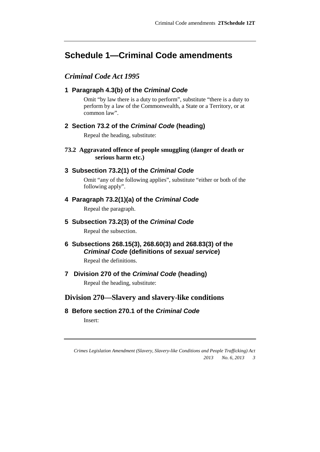# **Schedule 1—Criminal Code amendments**

## *Criminal Code Act 1995*

#### **1 Paragraph 4.3(b) of the** *Criminal Code*

Omit "by law there is a duty to perform", substitute "there is a duty to perform by a law of the Commonwealth, a State or a Territory, or at common law".

### **2 Section 73.2 of the** *Criminal Code* **(heading)**

Repeal the heading, substitute:

#### **73.2 Aggravated offence of people smuggling (danger of death or serious harm etc.)**

#### **3 Subsection 73.2(1) of the** *Criminal Code*

Omit "any of the following applies", substitute "either or both of the following apply".

#### **4 Paragraph 73.2(1)(a) of the** *Criminal Code*

Repeal the paragraph.

## **5 Subsection 73.2(3) of the** *Criminal Code*

Repeal the subsection.

## **6 Subsections 268.15(3), 268.60(3) and 268.83(3) of the**  *Criminal Code* **(definitions of** *sexual service***)**

Repeal the definitions.

## **7 Division 270 of the** *Criminal Code* **(heading)**

Repeal the heading, substitute:

## **Division 270— Slavery and slavery-like conditions**

### **8 Before section 270.1 of the** *Criminal Code*

Insert:

*Crimes Legislation Amendment (Slavery, Slavery-like Conditions and People Trafficking) Act 2013 No. 6, 2013 3*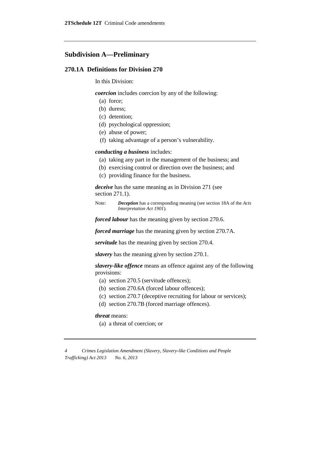#### **Subdivision A—Preliminary**

#### **270.1A Definitions for Division 270**

In this Division:

*coercion* includes coercion by any of the following:

- (a) force;
- (b) duress;
- (c) detention;
- (d) psychological oppression;
- (e) abuse of power;
- (f) taking advantage of a person's vulnerability.

#### *conducting a business* includes:

- (a) taking any part in the management of the business; and
- (b) exercising control or direction over the business; and
- (c) providing finance for the business.

*deceive* has the same meaning as in Division 271 (see section 271.1).

Note: *Deception* has a corresponding meaning (see section 18A of the *Acts Interpretation Act 1901*).

*forced labour* has the meaning given by section 270.6.

*forced marriage* has the meaning given by section 270.7A.

*servitude* has the meaning given by section 270.4.

*slavery* has the meaning given by section 270.1.

*slavery-like offence* means an offence against any of the following provisions:

- (a) section 270.5 (servitude offences);
- (b) section 270.6A (forced labour offences);
- (c) section 270.7 (deceptive recruiting for labour or services);
- (d) section 270.7B (forced marriage offences).

#### *threat* means:

(a) a threat of coercion; or

*4 Crimes Legislation Amendment (Slavery, Slavery-like Conditions and People Trafficking) Act 2013 No. 6, 2013*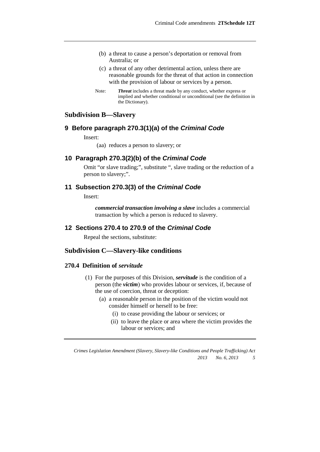- (b) a threat to cause a person's deportation or removal from Australia; or
- (c) a threat of any other detrimental action, unless there are reasonable grounds for the threat of that action in connection with the provision of labour or services by a person.
- Note: *Threat* includes a threat made by any conduct, whether express or implied and whether conditional or unconditional (see the definition in the Dictionary).

## **Subdivision B— Slavery**

#### **9 Before paragraph 270.3(1)(a) of the** *Criminal Code*

Insert:

(aa) reduces a person to slavery; or

#### **10 Paragraph 270.3(2)(b) of the** *Criminal Code*

Omit "or slave trading;", substitute ", slave trading or the reduction of a person to slavery;".

#### **11 Subsection 270.3(3) of the** *Criminal Code*

Insert:

*commercial transaction involving a slave* includes a commercial transaction by which a person is reduced to slavery.

#### **12 Sections 270.4 to 270.9 of the** *Criminal Code*

Repeal the sections, substitute:

## **Subdivision C—Slavery-like conditions**

#### **270.4 Definition of** *servitude*

- (1) For the purposes of this Division, *servitude* is the condition of a person (the *victim*) who provides labour or services, if, because of the use of coercion, threat or deception:
	- (a) a reasonable person in the position of the victim would not consider himself or herself to be free:
		- (i) to cease providing the labour or services; or
		- (ii) to leave the place or area where the victim provides the labour or services; and

*Crimes Legislation Amendment (Slavery, Slavery-like Conditions and People Trafficking) Act 2013 No. 6, 2013 5*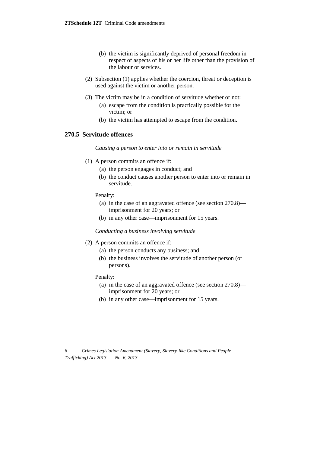- (b) the victim is significantly deprived of personal freedom in respect of aspects of his or her life other than the provision of the labour or services.
- (2) Subsection (1) applies whether the coercion, threat or deception is used against the victim or another person.
- (3) The victim may be in a condition of servitude whether or not:
	- (a) escape from the condition is practically possible for the victim; or
	- (b) the victim has attempted to escape from the condition.

#### **270.5 Servitude offences**

*Causing a person to enter into or remain in servitude*

- (1) A person commits an offence if:
	- (a) the person engages in conduct; and
	- (b) the conduct causes another person to enter into or remain in servitude.

Penalty:

- (a) in the case of an aggravated offence (see section 270.8) imprisonment for 20 years; or
- (b) in any other case—imprisonment for 15 years.

*Conducting a business involving servitude*

- (2) A person commits an offence if:
	- (a) the person conducts any business; and
	- (b) the business involves the servitude of another person (or persons).

#### Penalty:

- (a) in the case of an aggravated offence (see section 270.8) imprisonment for 20 years; or
- (b) in any other case—imprisonment for 15 years.

*<sup>6</sup> Crimes Legislation Amendment (Slavery, Slavery-like Conditions and People Trafficking) Act 2013 No. 6, 2013*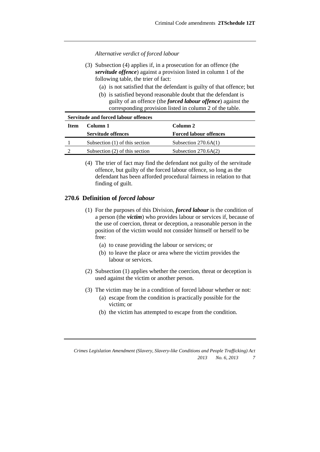*Alternative verdict of forced labour*

- (3) Subsection (4) applies if, in a prosecution for an offence (the *servitude offence*) against a provision listed in column 1 of the following table, the trier of fact:
	- (a) is not satisfied that the defendant is guilty of that offence; but
	- (b) is satisfied beyond reasonable doubt that the defendant is guilty of an offence (the *forced labour offence*) against the corresponding provision listed in column 2 of the table.

| Servitude and forced labour offences |                                |                               |  |  |  |
|--------------------------------------|--------------------------------|-------------------------------|--|--|--|
| Item                                 | Column 1                       | Column 2                      |  |  |  |
|                                      | <b>Servitude offences</b>      | <b>Forced labour offences</b> |  |  |  |
|                                      | Subsection (1) of this section | Subsection $270.6A(1)$        |  |  |  |
|                                      | Subsection (2) of this section | Subsection $270.6A(2)$        |  |  |  |

(4) The trier of fact may find the defendant not guilty of the servitude offence, but guilty of the forced labour offence, so long as the defendant has been afforded procedural fairness in relation to that finding of guilt.

#### **270.6 Definition of** *forced labour*

- (1) For the purposes of this Division, *forced labour* is the condition of a person (the *victim*) who provides labour or services if, because of the use of coercion, threat or deception, a reasonable person in the position of the victim would not consider himself or herself to be free:
	- (a) to cease providing the labour or services; or
	- (b) to leave the place or area where the victim provides the labour or services.
- (2) Subsection (1) applies whether the coercion, threat or deception is used against the victim or another person.
- (3) The victim may be in a condition of forced labour whether or not:
	- (a) escape from the condition is practically possible for the victim; or
	- (b) the victim has attempted to escape from the condition.

*Crimes Legislation Amendment (Slavery, Slavery-like Conditions and People Trafficking) Act 2013 No. 6, 2013 7*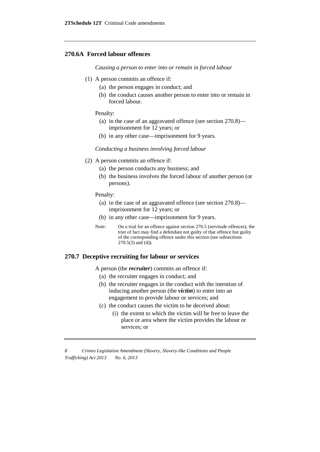#### **270.6A Forced labour offences**

*Causing a person to enter into or remain in forced labour*

- (1) A person commits an offence if:
	- (a) the person engages in conduct; and
	- (b) the conduct causes another person to enter into or remain in forced labour.

Penalty:

- (a) in the case of an aggravated offence (see section 270.8) imprisonment for 12 years; or
- (b) in any other case—imprisonment for 9 years.

*Conducting a business involving forced labour*

- (2) A person commits an offence if:
	- (a) the person conducts any business; and
	- (b) the business involves the forced labour of another person (or persons).

Penalty:

- (a) in the case of an aggravated offence (see section 270.8) imprisonment for 12 years; or
- (b) in any other case—imprisonment for 9 years.
- Note: On a trial for an offence against section 270.5 (servitude offences), the trier of fact may find a defendant not guilty of that offence but guilty of the corresponding offence under this section (see subsections  $270.5(3)$  and  $(4)$ ).

#### **270.7 Deceptive recruiting for labour or services**

A person (the *recruiter*) commits an offence if:

- (a) the recruiter engages in conduct; and
- (b) the recruiter engages in the conduct with the intention of inducing another person (the *victim*) to enter into an engagement to provide labour or services; and
- (c) the conduct causes the victim to be deceived about:
	- (i) the extent to which the victim will be free to leave the place or area where the victim provides the labour or services; or

*8 Crimes Legislation Amendment (Slavery, Slavery-like Conditions and People Trafficking) Act 2013 No. 6, 2013*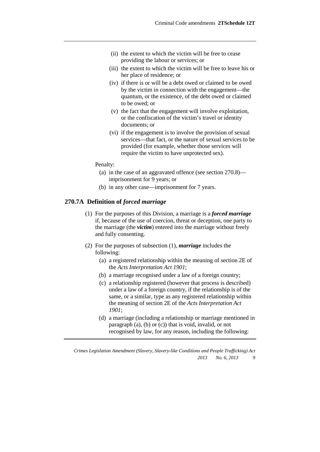- (ii) the extent to which the victim will be free to cease providing the labour or services; or
- (iii) the extent to which the victim will be free to leave his or her place of residence; or
- (iv) if there is or will be a debt owed or claimed to be owed by the victim in connection with the engagement—the quantum, or the existence, of the debt owed or claimed to be owed; or
- (v) the fact that the engagement will involve exploitation, or the confiscation of the victim's travel or identity documents; or
- (vi) if the engagement is to involve the provision of sexual services—that fact, or the nature of sexual services to be provided (for example, whether those services will require the victim to have unprotected sex).

#### Penalty:

- (a) in the case of an aggravated offence (see section 270.8) imprisonment for 9 years; or
- (b) in any other case—imprisonment for 7 years.

#### **270.7A Definition of** *forced marriage*

- (1) For the purposes of this Division, a marriage is a *forced marriage* if, because of the use of coercion, threat or deception, one party to the marriage (the *victim*) entered into the marriage without freely and fully consenting.
- (2) For the purposes of subsection (1), *marriage* includes the following:
	- (a) a registered relationship within the meaning of section 2E of the *Acts Interpretation Act 1901*;
	- (b) a marriage recognised under a law of a foreign country;
	- (c) a relationship registered (however that process is described) under a law of a foreign country, if the relationship is of the same, or a similar, type as any registered relationship within the meaning of section 2E of the *Acts Interpretation Act 1901*;
	- (d) a marriage (including a relationship or marriage mentioned in paragraph (a), (b) or (c)) that is void, invalid, or not recognised by law, for any reason, including the following:

*Crimes Legislation Amendment (Slavery, Slavery-like Conditions and People Trafficking) Act 2013 No. 6, 2013 9*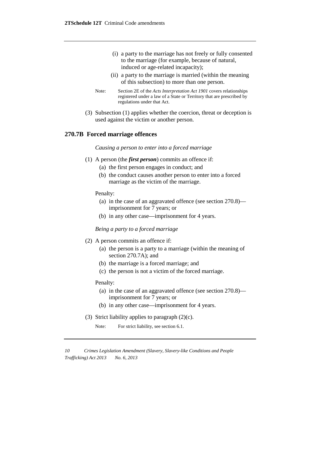- (i) a party to the marriage has not freely or fully consented to the marriage (for example, because of natural, induced or age-related incapacity);
- (ii) a party to the marriage is married (within the meaning of this subsection) to more than one person.
- Note: Section 2E of the *Acts Interpretation Act 1901* covers relationships registered under a law of a State or Territory that are prescribed by regulations under that Act.
- (3) Subsection (1) applies whether the coercion, threat or deception is used against the victim or another person.

#### **270.7B Forced marriage offences**

*Causing a person to enter into a forced marriage*

- (1) A person (the *first person*) commits an offence if:
	- (a) the first person engages in conduct; and
	- (b) the conduct causes another person to enter into a forced marriage as the victim of the marriage.

Penalty:

- (a) in the case of an aggravated offence (see section 270.8) imprisonment for 7 years; or
- (b) in any other case—imprisonment for 4 years.

*Being a party to a forced marriage*

- (2) A person commits an offence if:
	- (a) the person is a party to a marriage (within the meaning of section 270.7A); and
	- (b) the marriage is a forced marriage; and
	- (c) the person is not a victim of the forced marriage.

Penalty:

- (a) in the case of an aggravated offence (see section 270.8) imprisonment for 7 years; or
- (b) in any other case—imprisonment for 4 years.
- (3) Strict liability applies to paragraph  $(2)(c)$ .

Note: For strict liability, see section 6.1.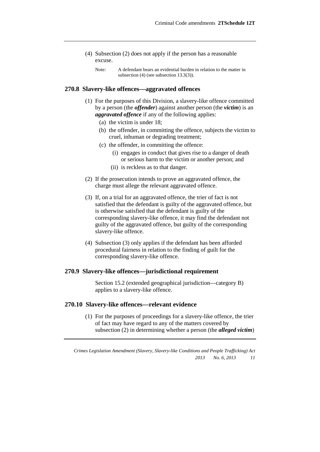- (4) Subsection (2) does not apply if the person has a reasonable excuse.
	- Note: A defendant bears an evidential burden in relation to the matter in subsection (4) (see subsection 13.3(3)).

#### **270.8 Slavery-like offences—aggravated offences**

- (1) For the purposes of this Division, a slavery-like offence committed by a person (the *offender*) against another person (the *victim*) is an *aggravated offence* if any of the following applies:
	- (a) the victim is under 18;
	- (b) the offender, in committing the offence, subjects the victim to cruel, inhuman or degrading treatment;
	- (c) the offender, in committing the offence:
		- (i) engages in conduct that gives rise to a danger of death or serious harm to the victim or another person; and
		- (ii) is reckless as to that danger.
- (2) If the prosecution intends to prove an aggravated offence, the charge must allege the relevant aggravated offence.
- (3) If, on a trial for an aggravated offence, the trier of fact is not satisfied that the defendant is guilty of the aggravated offence, but is otherwise satisfied that the defendant is guilty of the corresponding slavery-like offence, it may find the defendant not guilty of the aggravated offence, but guilty of the corresponding slavery-like offence.
- (4) Subsection (3) only applies if the defendant has been afforded procedural fairness in relation to the finding of guilt for the corresponding slavery-like offence.

#### **270.9 Slavery-like offences—jurisdictional requirement**

Section 15.2 (extended geographical jurisdiction—category B) applies to a slavery-like offence.

#### **270.10 Slavery-like offences—relevant evidence**

(1) For the purposes of proceedings for a slavery-like offence, the trier of fact may have regard to any of the matters covered by subsection (2) in determining whether a person (the *alleged victim*)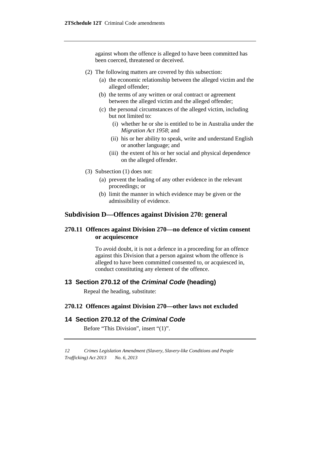against whom the offence is alleged to have been committed has been coerced, threatened or deceived.

- (2) The following matters are covered by this subsection:
	- (a) the economic relationship between the alleged victim and the alleged offender;
	- (b) the terms of any written or oral contract or agreement between the alleged victim and the alleged offender;
	- (c) the personal circumstances of the alleged victim, including but not limited to:
		- (i) whether he or she is entitled to be in Australia under the *Migration Act 1958*; and
		- (ii) his or her ability to speak, write and understand English or another language; and
		- (iii) the extent of his or her social and physical dependence on the alleged offender.
- (3) Subsection (1) does not:
	- (a) prevent the leading of any other evidence in the relevant proceedings; or
	- (b) limit the manner in which evidence may be given or the admissibility of evidence.

# **Subdivision D—Offences against Division 270: general**

#### **270.11 Offences against Division 270—no defence of victim consent or acquiescence**

To avoid doubt, it is not a defence in a proceeding for an offence against this Division that a person against whom the offence is alleged to have been committed consented to, or acquiesced in, conduct constituting any element of the offence.

#### **13 Section 270.12 of the** *Criminal Code* **(heading)**

Repeal the heading, substitute:

#### **270.12 Offences against Division 270—other laws not excluded**

# **14 Section 270.12 of the** *Criminal Code*

Before "This Division", insert "(1)".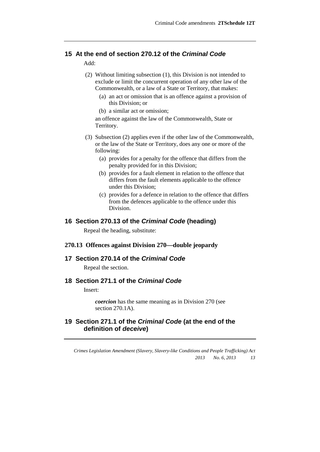# **15 At the end of section 270.12 of the** *Criminal Code*

Add:

- (2) Without limiting subsection (1), this Division is not intended to exclude or limit the concurrent operation of any other law of the Commonwealth, or a law of a State or Territory, that makes:
	- (a) an act or omission that is an offence against a provision of this Division; or
	- (b) a similar act or omission;

an offence against the law of the Commonwealth, State or Territory.

- (3) Subsection (2) applies even if the other law of the Commonwealth, or the law of the State or Territory, does any one or more of the following:
	- (a) provides for a penalty for the offence that differs from the penalty provided for in this Division;
	- (b) provides for a fault element in relation to the offence that differs from the fault elements applicable to the offence under this Division;
	- (c) provides for a defence in relation to the offence that differs from the defences applicable to the offence under this Division.

#### **16 Section 270.13 of the** *Criminal Code* **(heading)**

Repeal the heading, substitute:

#### **270.13 Offences against Division 270—double jeopardy**

#### **17 Section 270.14 of the** *Criminal Code*

Repeal the section.

# **18 Section 271.1 of the** *Criminal Code*

Insert:

*coercion* has the same meaning as in Division 270 (see section 270.1A).

# **19 Section 271.1 of the** *Criminal Code* **(at the end of the definition of** *deceive***)**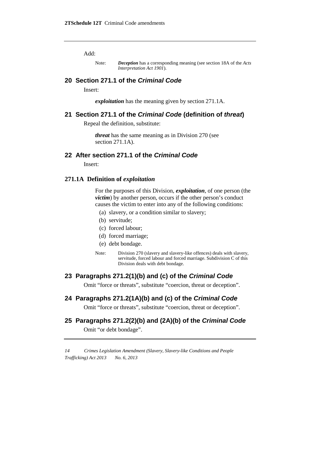Add:

#### **20 Section 271.1 of the** *Criminal Code*

Insert:

*exploitation* has the meaning given by section 271.1A.

#### **21 Section 271.1 of the** *Criminal Code* **(definition of** *threat***)**

Repeal the definition, substitute:

*threat* has the same meaning as in Division 270 (see section 271.1A).

#### **22 After section 271.1 of the** *Criminal Code*

Insert:

#### **271.1A Definition of** *exploitation*

For the purposes of this Division, *exploitation*, of one person (the *victim*) by another person, occurs if the other person's conduct causes the victim to enter into any of the following conditions:

- (a) slavery, or a condition similar to slavery;
- (b) servitude;
- (c) forced labour;
- (d) forced marriage;
- (e) debt bondage.
- Note: Division 270 (slavery and slavery-like offences) deals with slavery, servitude, forced labour and forced marriage. Subdivision C of this Division deals with debt bondage.

#### **23 Paragraphs 271.2(1)(b) and (c) of the** *Criminal Code*

Omit "force or threats", substitute "coercion, threat or deception".

#### **24 Paragraphs 271.2(1A)(b) and (c) of the** *Criminal Code*

Omit "force or threats", substitute "coercion, threat or deception".

#### **25 Paragraphs 271.2(2)(b) and (2A)(b) of the** *Criminal Code*

Omit "or debt bondage".

Note: *Deception* has a corresponding meaning (see section 18A of the *Acts Interpretation Act 1901*).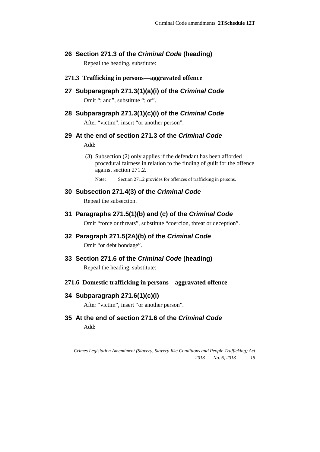**26 Section 271.3 of the** *Criminal Code* **(heading)**

Repeal the heading, substitute:

- **271.3 Trafficking in persons—aggravated offence**
- **27 Subparagraph 271.3(1)(a)(i) of the** *Criminal Code* Omit "; and", substitute "; or".
- **28 Subparagraph 271.3(1)(c)(i) of the** *Criminal Code* After "victim", insert "or another person".
- **29 At the end of section 271.3 of the** *Criminal Code* Add:
	- (3) Subsection (2) only applies if the defendant has been afforded procedural fairness in relation to the finding of guilt for the offence against section 271.2.

Note: Section 271.2 provides for offences of trafficking in persons.

#### **30 Subsection 271.4(3) of the** *Criminal Code*

Repeal the subsection.

**31 Paragraphs 271.5(1)(b) and (c) of the** *Criminal Code*

Omit "force or threats", substitute "coercion, threat or deception".

- **32 Paragraph 271.5(2A)(b) of the** *Criminal Code* Omit "or debt bondage".
- **33 Section 271.6 of the** *Criminal Code* **(heading)**

Repeal the heading, substitute:

**271.6 Domestic trafficking in persons—aggravated offence**

#### **34 Subparagraph 271.6(1)(c)(i)**

After "victim", insert "or another person".

**35 At the end of section 271.6 of the** *Criminal Code* Add: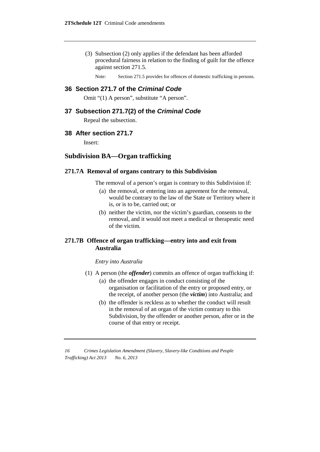(3) Subsection (2) only applies if the defendant has been afforded procedural fairness in relation to the finding of guilt for the offence against section 271.5.

Note: Section 271.5 provides for offences of domestic trafficking in persons.

# **36 Section 271.7 of the** *Criminal Code*

Omit "(1) A person", substitute "A person".

#### **37 Subsection 271.7(2) of the** *Criminal Code*

Repeal the subsection.

#### **38 After section 271.7**

Insert:

# **Subdivision BA—Organ trafficking**

#### **271.7A Removal of organs contrary to this Subdivision**

The removal of a person's organ is contrary to this Subdivision if:

- (a) the removal, or entering into an agreement for the removal, would be contrary to the law of the State or Territory where it is, or is to be, carried out; or
- (b) neither the victim, nor the victim's guardian, consents to the removal, and it would not meet a medical or therapeutic need of the victim.

#### **271.7B Offence of organ trafficking—entry into and exit from Australia**

#### *Entry into Australia*

- (1) A person (the *offender*) commits an offence of organ trafficking if:
	- (a) the offender engages in conduct consisting of the organisation or facilitation of the entry or proposed entry, or the receipt, of another person (the *victim*) into Australia; and
	- (b) the offender is reckless as to whether the conduct will result in the removal of an organ of the victim contrary to this Subdivision, by the offender or another person, after or in the course of that entry or receipt.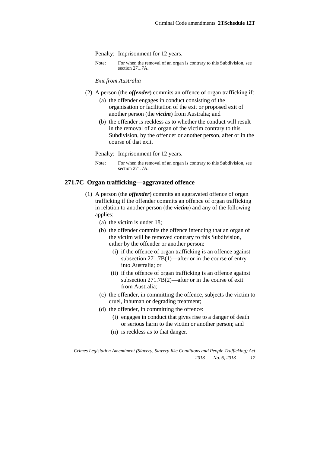Penalty: Imprisonment for 12 years.

Note: For when the removal of an organ is contrary to this Subdivision, see section 271.7A.

*Exit from Australia*

- (2) A person (the *offender*) commits an offence of organ trafficking if:
	- (a) the offender engages in conduct consisting of the organisation or facilitation of the exit or proposed exit of another person (the *victim*) from Australia; and
	- (b) the offender is reckless as to whether the conduct will result in the removal of an organ of the victim contrary to this Subdivision, by the offender or another person, after or in the course of that exit.
	- Penalty: Imprisonment for 12 years.
	- Note: For when the removal of an organ is contrary to this Subdivision, see section 271.7A.

#### **271.7C Organ trafficking—aggravated offence**

- (1) A person (the *offender*) commits an aggravated offence of organ trafficking if the offender commits an offence of organ trafficking in relation to another person (the *victim*) and any of the following applies:
	- (a) the victim is under 18;
	- (b) the offender commits the offence intending that an organ of the victim will be removed contrary to this Subdivision, either by the offender or another person:
		- (i) if the offence of organ trafficking is an offence against subsection 271.7B(1)—after or in the course of entry into Australia; or
		- (ii) if the offence of organ trafficking is an offence against subsection 271.7B(2)—after or in the course of exit from Australia;
	- (c) the offender, in committing the offence, subjects the victim to cruel, inhuman or degrading treatment;
	- (d) the offender, in committing the offence:
		- (i) engages in conduct that gives rise to a danger of death or serious harm to the victim or another person; and
		- (ii) is reckless as to that danger.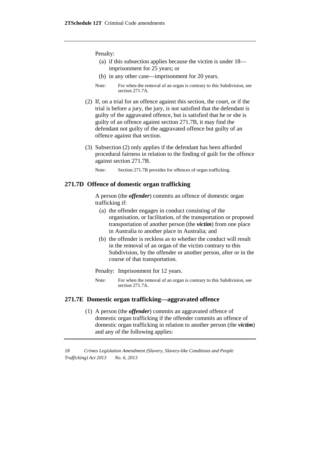Penalty:

- (a) if this subsection applies because the victim is under 18 imprisonment for 25 years; or
- (b) in any other case—imprisonment for 20 years.
- Note: For when the removal of an organ is contrary to this Subdivision, see section 271.7A.
- (2) If, on a trial for an offence against this section, the court, or if the trial is before a jury, the jury, is not satisfied that the defendant is guilty of the aggravated offence, but is satisfied that he or she is guilty of an offence against section 271.7B, it may find the defendant not guilty of the aggravated offence but guilty of an offence against that section.
- (3) Subsection (2) only applies if the defendant has been afforded procedural fairness in relation to the finding of guilt for the offence against section 271.7B.
	- Note: Section 271.7B provides for offences of organ trafficking.

#### **271.7D Offence of domestic organ trafficking**

A person (the *offender*) commits an offence of domestic organ trafficking if:

- (a) the offender engages in conduct consisting of the organisation, or facilitation, of the transportation or proposed transportation of another person (the *victim*) from one place in Australia to another place in Australia; and
- (b) the offender is reckless as to whether the conduct will result in the removal of an organ of the victim contrary to this Subdivision, by the offender or another person, after or in the course of that transportation.

Penalty: Imprisonment for 12 years.

Note: For when the removal of an organ is contrary to this Subdivision, see section 271.7A

#### **271.7E Domestic organ trafficking—aggravated offence**

(1) A person (the *offender*) commits an aggravated offence of domestic organ trafficking if the offender commits an offence of domestic organ trafficking in relation to another person (the *victim*) and any of the following applies:

*<sup>18</sup> Crimes Legislation Amendment (Slavery, Slavery-like Conditions and People Trafficking) Act 2013 No. 6, 2013*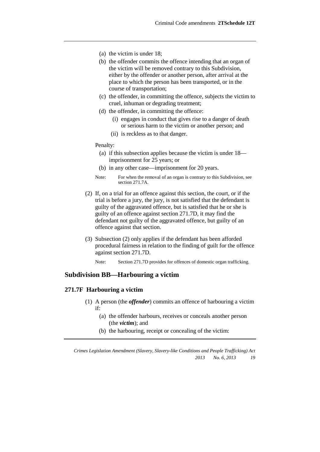- (a) the victim is under 18;
- (b) the offender commits the offence intending that an organ of the victim will be removed contrary to this Subdivision, either by the offender or another person, after arrival at the place to which the person has been transported, or in the course of transportation;
- (c) the offender, in committing the offence, subjects the victim to cruel, inhuman or degrading treatment;
- (d) the offender, in committing the offence:
	- (i) engages in conduct that gives rise to a danger of death or serious harm to the victim or another person; and
	- (ii) is reckless as to that danger.

#### Penalty:

- (a) if this subsection applies because the victim is under 18 imprisonment for 25 years; or
- (b) in any other case—imprisonment for 20 years.
- Note: For when the removal of an organ is contrary to this Subdivision, see section 271.7A.
- (2) If, on a trial for an offence against this section, the court, or if the trial is before a jury, the jury, is not satisfied that the defendant is guilty of the aggravated offence, but is satisfied that he or she is guilty of an offence against section 271.7D, it may find the defendant not guilty of the aggravated offence, but guilty of an offence against that section.
- (3) Subsection (2) only applies if the defendant has been afforded procedural fairness in relation to the finding of guilt for the offence against section 271.7D.

Note: Section 271.7D provides for offences of domestic organ trafficking.

### **Subdivision BB—Harbouring a victim**

#### **271.7F Harbouring a victim**

- (1) A person (the *offender*) commits an offence of harbouring a victim if:
	- (a) the offender harbours, receives or conceals another person (the *victim*); and
	- (b) the harbouring, receipt or concealing of the victim: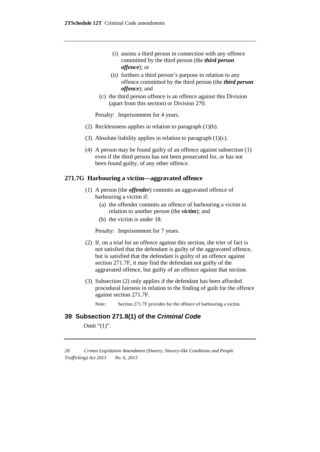- (i) assists a third person in connection with any offence committed by the third person (the *third person offence*); or
- (ii) furthers a third person's purpose in relation to any offence committed by the third person (the *third person offence*); and
- (c) the third person offence is an offence against this Division (apart from this section) or Division 270.

Penalty: Imprisonment for 4 years.

- (2) Recklessness applies in relation to paragraph (1)(b).
- (3) Absolute liability applies in relation to paragraph (1)(c).
- (4) A person may be found guilty of an offence against subsection (1) even if the third person has not been prosecuted for, or has not been found guilty, of any other offence.

#### **271.7G Harbouring a victim—aggravated offence**

- (1) A person (the *offender*) commits an aggravated offence of harbouring a victim if:
	- (a) the offender commits an offence of harbouring a victim in relation to another person (the *victim*); and
	- (b) the victim is under 18.

Penalty: Imprisonment for 7 years.

- (2) If, on a trial for an offence against this section, the trier of fact is not satisfied that the defendant is guilty of the aggravated offence, but is satisfied that the defendant is guilty of an offence against section 271.7F, it may find the defendant not guilty of the aggravated offence, but guilty of an offence against that section.
- (3) Subsection (2) only applies if the defendant has been afforded procedural fairness in relation to the finding of guilt for the offence against section 271.7F.
	- Note: Section 271.7F provides for the offence of harbouring a victim.

#### **39 Subsection 271.8(1) of the** *Criminal Code*

Omit "(1)".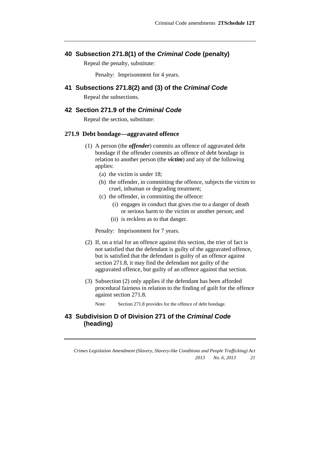#### **40 Subsection 271.8(1) of the** *Criminal Code* **(penalty)**

Repeal the penalty, substitute:

Penalty: Imprisonment for 4 years.

**41 Subsections 271.8(2) and (3) of the** *Criminal Code*

Repeal the subsections.

#### **42 Section 271.9 of the** *Criminal Code*

Repeal the section, substitute:

#### **271.9 Debt bondage—aggravated offence**

- (1) A person (the *offender*) commits an offence of aggravated debt bondage if the offender commits an offence of debt bondage in relation to another person (the *victim*) and any of the following applies:
	- (a) the victim is under 18;
	- (b) the offender, in committing the offence, subjects the victim to cruel, inhuman or degrading treatment;
	- (c) the offender, in committing the offence:
		- (i) engages in conduct that gives rise to a danger of death or serious harm to the victim or another person; and
		- (ii) is reckless as to that danger.

Penalty: Imprisonment for 7 years.

- (2) If, on a trial for an offence against this section, the trier of fact is not satisfied that the defendant is guilty of the aggravated offence, but is satisfied that the defendant is guilty of an offence against section 271.8, it may find the defendant not guilty of the aggravated offence, but guilty of an offence against that section.
- (3) Subsection (2) only applies if the defendant has been afforded procedural fairness in relation to the finding of guilt for the offence against section 271.8.
	- Note: Section 271.8 provides for the offence of debt bondage.

# **43 Subdivision D of Division 271 of the** *Criminal Code* **(heading)**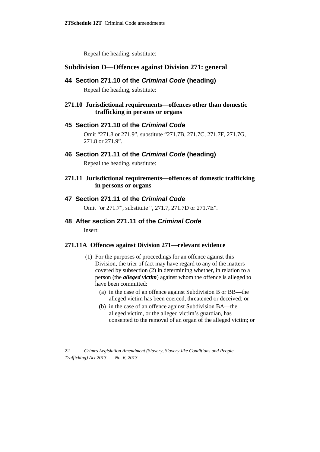Repeal the heading, substitute:

#### **Subdivision D— Offences against Division 271: general**

#### **44 Section 271.10 of the** *Criminal Code* **(heading)**

Repeal the heading, substitute:

#### **271.10 Jurisdictional requirements—offences other than domestic trafficking in persons or organs**

#### **45 Section 271.10 of the** *Criminal Code*

Omit "271.8 or 271.9", substitute "271.7B, 271.7C, 271.7F, 271.7G, 271.8 or 271.9".

#### **46 Section 271.11 of the** *Criminal Code* **(heading)**

Repeal the heading, substitute:

### **271.11 Jurisdictional requirements—offences of domestic trafficking in persons or organs**

#### **47 Section 271.11 of the** *Criminal Code*

Omit "or 271.7", substitute ", 271.7, 271.7D or 271.7E".

# **48 After section 271.11 of the** *Criminal Code*

Insert:

#### **271.11A Offences against Division 271—relevant evidence**

- (1) For the purposes of proceedings for an offence against this Division, the trier of fact may have regard to any of the matters covered by subsection (2) in determining whether, in relation to a person (the *alleged victim*) against whom the offence is alleged to have been committed:
	- (a) in the case of an offence against Subdivision B or BB—the alleged victim has been coerced, threatened or deceived; or
	- (b) in the case of an offence against Subdivision BA—the alleged victim, or the alleged victim's guardian, has consented to the removal of an organ of the alleged victim; or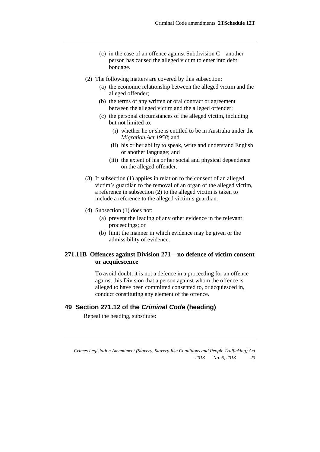- (c) in the case of an offence against Subdivision C—another person has caused the alleged victim to enter into debt bondage.
- (2) The following matters are covered by this subsection:
	- (a) the economic relationship between the alleged victim and the alleged offender;
	- (b) the terms of any written or oral contract or agreement between the alleged victim and the alleged offender;
	- (c) the personal circumstances of the alleged victim, including but not limited to:
		- (i) whether he or she is entitled to be in Australia under the *Migration Act 1958*; and
		- (ii) his or her ability to speak, write and understand English or another language; and
		- (iii) the extent of his or her social and physical dependence on the alleged offender.
- (3) If subsection (1) applies in relation to the consent of an alleged victim's guardian to the removal of an organ of the alleged victim, a reference in subsection (2) to the alleged victim is taken to include a reference to the alleged victim's guardian.
- (4) Subsection (1) does not:
	- (a) prevent the leading of any other evidence in the relevant proceedings; or
	- (b) limit the manner in which evidence may be given or the admissibility of evidence.

#### **271.11B Offences against Division 271—no defence of victim consent or acquiescence**

To avoid doubt, it is not a defence in a proceeding for an offence against this Division that a person against whom the offence is alleged to have been committed consented to, or acquiesced in, conduct constituting any element of the offence.

#### **49 Section 271.12 of the** *Criminal Code* **(heading)**

Repeal the heading, substitute: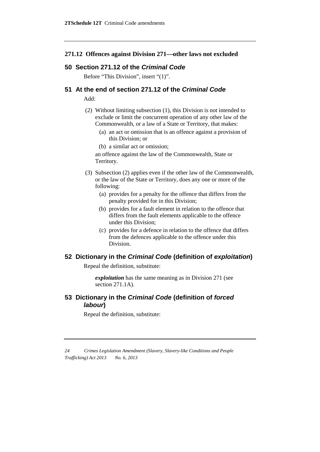#### **271.12 Offences against Division 271—other laws not excluded**

#### **50 Section 271.12 of the** *Criminal Code*

Before "This Division", insert "(1)".

#### **51 At the end of section 271.12 of the** *Criminal Code*

Add:

- (2) Without limiting subsection (1), this Division is not intended to exclude or limit the concurrent operation of any other law of the Commonwealth, or a law of a State or Territory, that makes:
	- (a) an act or omission that is an offence against a provision of this Division; or
	- (b) a similar act or omission;

an offence against the law of the Commonwealth, State or Territory.

- (3) Subsection (2) applies even if the other law of the Commonwealth, or the law of the State or Territory, does any one or more of the following:
	- (a) provides for a penalty for the offence that differs from the penalty provided for in this Division;
	- (b) provides for a fault element in relation to the offence that differs from the fault elements applicable to the offence under this Division;
	- (c) provides for a defence in relation to the offence that differs from the defences applicable to the offence under this Division.

### **52 Dictionary in the** *Criminal Code* **(definition of** *exploitation***)**

Repeal the definition, substitute:

*exploitation* has the same meaning as in Division 271 (see section 271.1A).

# **53 Dictionary in the** *Criminal Code* **(definition of** *forced labour***)**

Repeal the definition, substitute:

*<sup>24</sup> Crimes Legislation Amendment (Slavery, Slavery-like Conditions and People Trafficking) Act 2013 No. 6, 2013*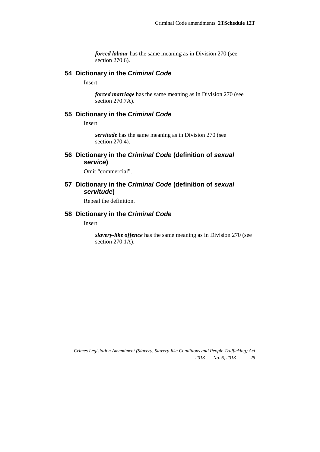*forced labour* has the same meaning as in Division 270 (see section 270.6).

#### **54 Dictionary in the** *Criminal Code*

Insert:

*forced marriage* has the same meaning as in Division 270 (see section 270.7A).

#### **55 Dictionary in the** *Criminal Code*

Insert:

*servitude* has the same meaning as in Division 270 (see section 270.4).

# **56 Dictionary in the** *Criminal Code* **(definition of** *sexual service***)**

Omit "commercial".

### **57 Dictionary in the** *Criminal Code* **(definition of** *sexual servitude***)**

Repeal the definition.

#### **58 Dictionary in the** *Criminal Code*

Insert:

*slavery-like offence* has the same meaning as in Division 270 (see section 270.1A).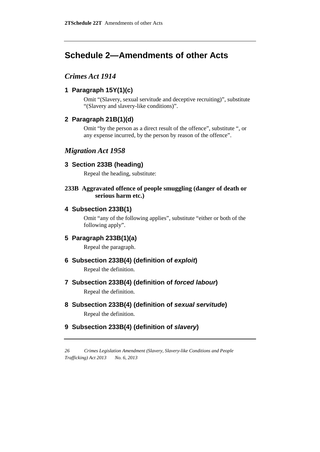# **Schedule 2—Amendments of other Acts**

# *Crimes Act 1914*

# **1 Paragraph 15Y(1)(c)**

Omit "(Slavery, sexual servitude and deceptive recruiting)", substitute "(Slavery and slavery-like conditions)".

# **2 Paragraph 21B(1)(d)**

Omit "by the person as a direct result of the offence", substitute ", or any expense incurred, by the person by reason of the offence".

# *Migration Act 1958*

### **3 Section 233B (heading)**

Repeal the heading, substitute:

### **233B Aggravated offence of people smuggling (danger of death or serious harm etc.)**

# **4 Subsection 233B(1)**

Omit "any of the following applies", substitute "either or both of the following apply".

# **5 Paragraph 233B(1)(a)**

Repeal the paragraph.

# **6 Subsection 233B(4) (definition of** *exploit***)**

Repeal the definition.

# **7 Subsection 233B(4) (definition of** *forced labour***)**

Repeal the definition.

**8 Subsection 233B(4) (definition of** *sexual servitude***)** Repeal the definition.

# **9 Subsection 233B(4) (definition of** *slavery***)**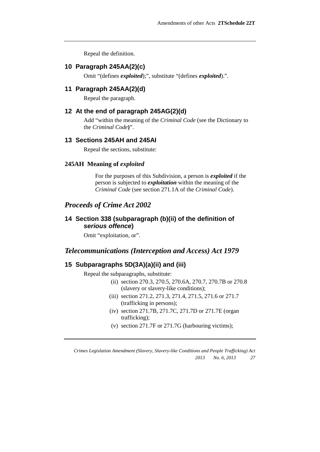Repeal the definition.

#### **10 Paragraph 245AA(2)(c)**

Omit "(defines *exploited*);", substitute "(defines *exploited*).".

#### **11 Paragraph 245AA(2)(d)**

Repeal the paragraph.

#### **12 At the end of paragraph 245AG(2)(d)**

Add "within the meaning of the *Criminal Code* (see the Dictionary to the *Criminal Code***)**".

#### **13 Sections 245AH and 245AI**

Repeal the sections, substitute:

#### **245AH Meaning of** *exploited*

For the purposes of this Subdivision, a person is *exploited* if the person is subjected to *exploitation* within the meaning of the *Criminal Code* (see section 271.1A of the *Criminal Code*).

#### *Proceeds of Crime Act 2002*

#### **14 Section 338 (subparagraph (b)(ii) of the definition of**  *serious offence***)**

Omit "exploitation, or".

# *Telecommunications (Interception and Access) Act 1979*

# **15 Subparagraphs 5D(3A)(a)(ii) and (iii)**

Repeal the subparagraphs, substitute:

- (ii) section 270.3, 270.5, 270.6A, 270.7, 270.7B or 270.8 (slavery or slavery-like conditions);
- (iii) section 271.2, 271.3, 271.4, 271.5, 271.6 or 271.7 (trafficking in persons);
- (iv) section 271.7B, 271.7C, 271.7D or 271.7E (organ trafficking);
- (v) section 271.7F or 271.7G (harbouring victims);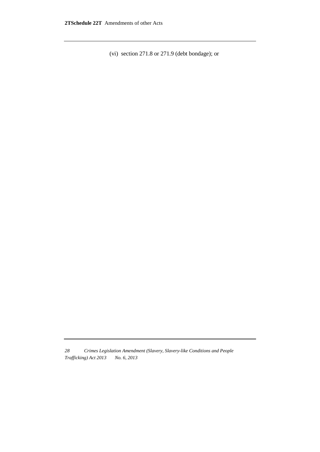(vi) section 271.8 or 271.9 (debt bondage); or

*<sup>28</sup> Crimes Legislation Amendment (Slavery, Slavery-like Conditions and People Trafficking) Act 2013 No. 6, 2013*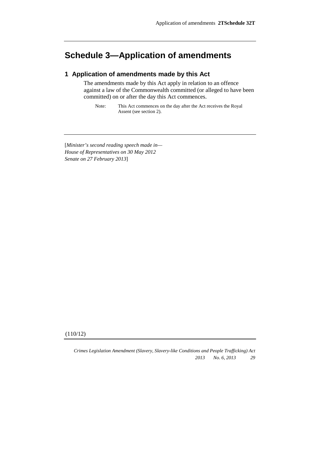# **Schedule 3—Application of amendments**

# **1 Application of amendments made by this Act**

The amendments made by this Act apply in relation to an offence against a law of the Commonwealth committed (or alleged to have been committed) on or after the day this Act commences.

Note: This Act commences on the day after the Act receives the Royal Assent (see section 2).

[*Minister's second reading speech made in— House of Representatives on 30 May 2012 Senate on 27 February 2013*]

(110/12)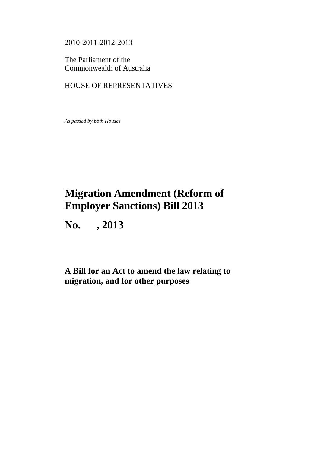2010-2011-2012-2013

The Parliament of the Commonwealth of Australia

# HOUSE OF REPRESENTATIVES

*As passed by both Houses*

# **Migration Amendment (Reform of Employer Sanctions) Bill 2013**

**No. , 2013**

**A Bill for an Act to amend the law relating to migration, and for other purposes**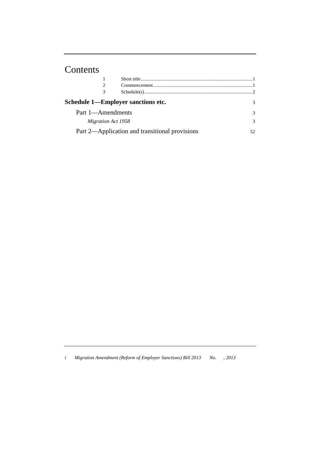# Contents

|                    | Schedule 1—Employer sanctions etc.             |  |
|--------------------|------------------------------------------------|--|
| Part 1—Amendments  |                                                |  |
| Migration Act 1958 |                                                |  |
|                    | Part 2—Application and transitional provisions |  |

*i Migration Amendment (Reform of Employer Sanctions) Bill 2013 No. , 2013*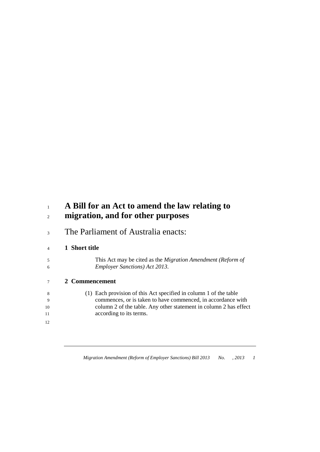# **A Bill for an Act to amend the law relating to migration, and for other purposes**

The Parliament of Australia enacts:

# **1 Short title**

 This Act may be cited as the *Migration Amendment (Reform of Employer Sanctions) Act 2013*.

# **2 Commencement**

| -8  | (1) Each provision of this Act specified in column 1 of the table |
|-----|-------------------------------------------------------------------|
| - 9 | commences, or is taken to have commenced, in accordance with      |
| 10  | column 2 of the table. Any other statement in column 2 has effect |
| 11  | according to its terms.                                           |
|     |                                                                   |

*Migration Amendment (Reform of Employer Sanctions) Bill 2013 No. , 2013 1*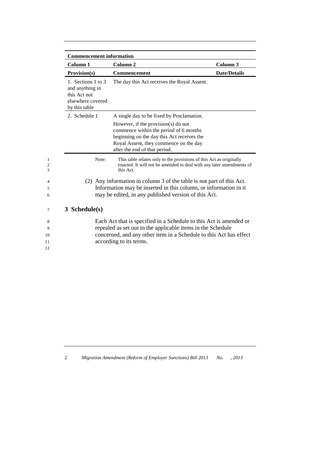| <b>Commencement information</b>                                                             |                                                                                                                                                                                                                                    |                     |
|---------------------------------------------------------------------------------------------|------------------------------------------------------------------------------------------------------------------------------------------------------------------------------------------------------------------------------------|---------------------|
| Column 1                                                                                    | Column <sub>2</sub>                                                                                                                                                                                                                | Column <sub>3</sub> |
| Provision(s)                                                                                | Commencement                                                                                                                                                                                                                       | <b>Date/Details</b> |
| 1. Sections 1 to 3<br>and anything in<br>this Act not<br>elsewhere covered<br>by this table | The day this Act receives the Royal Assent.                                                                                                                                                                                        |                     |
| 2. Schedule 1                                                                               | A single day to be fixed by Proclamation.                                                                                                                                                                                          |                     |
|                                                                                             | However, if the provision(s) do not<br>commence within the period of 6 months<br>beginning on the day this Act receives the<br>Royal Assent, they commence on the day<br>after the end of that period.                             |                     |
| Note:                                                                                       | This table relates only to the provisions of this Act as originally<br>enacted. It will not be amended to deal with any later amendments of<br>this Act.                                                                           |                     |
|                                                                                             | (2) Any information in column 3 of the table is not part of this Act.                                                                                                                                                              |                     |
|                                                                                             | Information may be inserted in this column, or information in it                                                                                                                                                                   |                     |
|                                                                                             | may be edited, in any published version of this Act.                                                                                                                                                                               |                     |
| 3 Schedule(s)                                                                               |                                                                                                                                                                                                                                    |                     |
|                                                                                             | Each Act that is specified in a Schedule to this Act is amended or<br>repealed as set out in the applicable items in the Schedule<br>concerned, and any other item in a Schedule to this Act has effect<br>according to its terms. |                     |

*2 Migration Amendment (Reform of Employer Sanctions) Bill 2013 No. , 2013*

12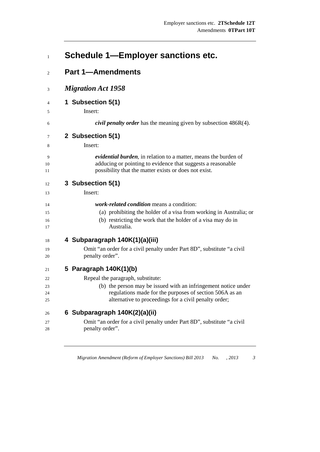|  |  | <b>Schedule 1-Employer sanctions etc.</b> |  |  |
|--|--|-------------------------------------------|--|--|
|--|--|-------------------------------------------|--|--|

| $\overline{c}$ | <b>Part 1-Amendments</b>                                                                                                                                                                |  |  |  |  |
|----------------|-----------------------------------------------------------------------------------------------------------------------------------------------------------------------------------------|--|--|--|--|
| 3              | <b>Migration Act 1958</b>                                                                                                                                                               |  |  |  |  |
| $\overline{4}$ | 1 Subsection 5(1)                                                                                                                                                                       |  |  |  |  |
| 5              | Insert:                                                                                                                                                                                 |  |  |  |  |
| 6              | <i>civil penalty order</i> has the meaning given by subsection 486R(4).                                                                                                                 |  |  |  |  |
| 7              | 2 Subsection 5(1)                                                                                                                                                                       |  |  |  |  |
| 8              | Insert:                                                                                                                                                                                 |  |  |  |  |
| 9<br>10<br>11  | evidential burden, in relation to a matter, means the burden of<br>adducing or pointing to evidence that suggests a reasonable<br>possibility that the matter exists or does not exist. |  |  |  |  |
| 12             | 3 Subsection 5(1)                                                                                                                                                                       |  |  |  |  |
| 13             | Insert:                                                                                                                                                                                 |  |  |  |  |
| 14             | <i>work-related condition</i> means a condition:                                                                                                                                        |  |  |  |  |
| 15             | (a) prohibiting the holder of a visa from working in Australia; or                                                                                                                      |  |  |  |  |
| 16<br>17       | (b) restricting the work that the holder of a visa may do in<br>Australia.                                                                                                              |  |  |  |  |
| 18             | 4 Subparagraph 140K(1)(a)(iii)                                                                                                                                                          |  |  |  |  |
| 19             | Omit "an order for a civil penalty under Part 8D", substitute "a civil                                                                                                                  |  |  |  |  |
| 20             | penalty order".                                                                                                                                                                         |  |  |  |  |
| 21             | 5 Paragraph 140K(1)(b)                                                                                                                                                                  |  |  |  |  |
| 22             | Repeal the paragraph, substitute:                                                                                                                                                       |  |  |  |  |
| 23             | (b) the person may be issued with an infringement notice under                                                                                                                          |  |  |  |  |
| 24<br>25       | regulations made for the purposes of section 506A as an<br>alternative to proceedings for a civil penalty order;                                                                        |  |  |  |  |
| 26             | 6 Subparagraph 140K(2)(a)(ii)                                                                                                                                                           |  |  |  |  |
| 27             | Omit "an order for a civil penalty under Part 8D", substitute "a civil                                                                                                                  |  |  |  |  |
| 28             | penalty order".                                                                                                                                                                         |  |  |  |  |

*Migration Amendment (Reform of Employer Sanctions) Bill 2013 No. , 2013 3*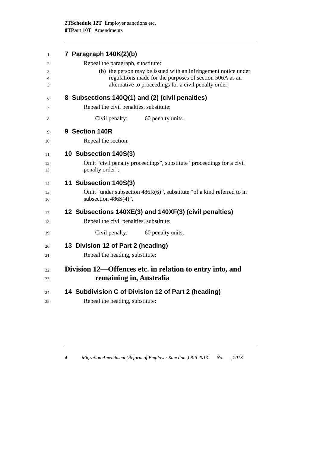| 1                        | 7 Paragraph 140K(2)(b)                                                                                                                                                             |
|--------------------------|------------------------------------------------------------------------------------------------------------------------------------------------------------------------------------|
| 2                        | Repeal the paragraph, substitute:                                                                                                                                                  |
| 3<br>$\overline{4}$<br>5 | (b) the person may be issued with an infringement notice under<br>regulations made for the purposes of section 506A as an<br>alternative to proceedings for a civil penalty order; |
| 6                        | 8 Subsections 140Q(1) and (2) (civil penalties)                                                                                                                                    |
| 7                        | Repeal the civil penalties, substitute:                                                                                                                                            |
| 8                        | Civil penalty:<br>60 penalty units.                                                                                                                                                |
| 9                        | 9 Section 140R                                                                                                                                                                     |
| 10                       | Repeal the section.                                                                                                                                                                |
| 11                       | 10 Subsection 140S(3)                                                                                                                                                              |
| 12<br>13                 | Omit "civil penalty proceedings", substitute "proceedings for a civil<br>penalty order".                                                                                           |
| 14                       | 11 Subsection 140S(3)                                                                                                                                                              |
| 15<br>16                 | Omit "under subsection 486R(6)", substitute "of a kind referred to in<br>subsection $486S(4)$ ".                                                                                   |
| 17                       | 12 Subsections 140XE(3) and 140XF(3) (civil penalties)                                                                                                                             |
| 18                       | Repeal the civil penalties, substitute:                                                                                                                                            |
| 19                       | 60 penalty units.<br>Civil penalty:                                                                                                                                                |
| 20                       | 13 Division 12 of Part 2 (heading)                                                                                                                                                 |
| 21                       | Repeal the heading, substitute:                                                                                                                                                    |
| 22                       | Division 12—Offences etc. in relation to entry into, and                                                                                                                           |
| 23                       | remaining in, Australia                                                                                                                                                            |
| 24                       | 14 Subdivision C of Division 12 of Part 2 (heading)                                                                                                                                |
| 25                       | Repeal the heading, substitute:                                                                                                                                                    |
|                          |                                                                                                                                                                                    |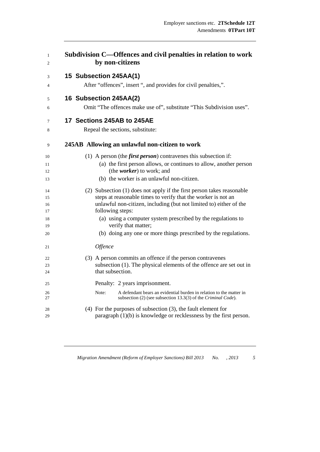| 1<br>2   | Subdivision C—Offences and civil penalties in relation to work<br>by non-citizens                                                             |
|----------|-----------------------------------------------------------------------------------------------------------------------------------------------|
| 3        | 15 Subsection 245AA(1)                                                                                                                        |
| 4        | After "offences", insert ", and provides for civil penalties,".                                                                               |
| 5        | 16 Subsection 245AA(2)                                                                                                                        |
| 6        | Omit "The offences make use of", substitute "This Subdivision uses".                                                                          |
| 7        | 17 Sections 245AB to 245AE                                                                                                                    |
| 8        | Repeal the sections, substitute:                                                                                                              |
| 9        | 245AB Allowing an unlawful non-citizen to work                                                                                                |
| 10       | (1) A person (the <i>first person</i> ) contravenes this subsection if:                                                                       |
| 11       | (a) the first person allows, or continues to allow, another person                                                                            |
| 12       | (the worker) to work; and                                                                                                                     |
| 13       | (b) the worker is an unlawful non-citizen.                                                                                                    |
| 14       | (2) Subsection (1) does not apply if the first person takes reasonable                                                                        |
| 15       | steps at reasonable times to verify that the worker is not an                                                                                 |
| 16       | unlawful non-citizen, including (but not limited to) either of the                                                                            |
| 17       | following steps:                                                                                                                              |
| 18<br>19 | (a) using a computer system prescribed by the regulations to<br>verify that matter;                                                           |
| 20       | (b) doing any one or more things prescribed by the regulations.                                                                               |
| 21       | Offence                                                                                                                                       |
| 22       | (3) A person commits an offence if the person contravenes                                                                                     |
| 23       | subsection (1). The physical elements of the offence are set out in                                                                           |
| 24       | that subsection.                                                                                                                              |
| 25       | Penalty: 2 years imprisonment.                                                                                                                |
| 26<br>27 | Note:<br>A defendant bears an evidential burden in relation to the matter in<br>subsection (2) (see subsection 13.3(3) of the Criminal Code). |
| 28       | $(4)$ For the purposes of subsection $(3)$ , the fault element for                                                                            |
| 29       | paragraph $(1)(b)$ is knowledge or recklessness by the first person.                                                                          |

*Migration Amendment (Reform of Employer Sanctions) Bill 2013 No. , 2013 5*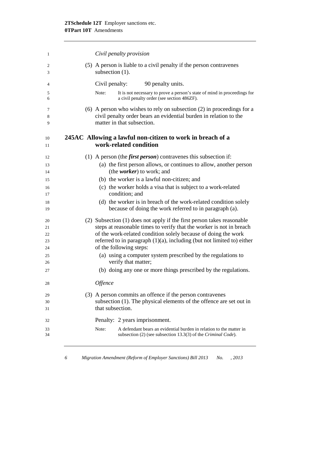| 1                          | Civil penalty provision                                                                                                                                                                                                                                                                                                  |
|----------------------------|--------------------------------------------------------------------------------------------------------------------------------------------------------------------------------------------------------------------------------------------------------------------------------------------------------------------------|
| 2<br>3                     | (5) A person is liable to a civil penalty if the person contravenes<br>subsection $(1)$ .                                                                                                                                                                                                                                |
| 4                          | 90 penalty units.<br>Civil penalty:                                                                                                                                                                                                                                                                                      |
| 5<br>6                     | It is not necessary to prove a person's state of mind in proceedings for<br>Note:<br>a civil penalty order (see section 486ZF).                                                                                                                                                                                          |
| 7<br>8<br>9                | $(6)$ A person who wishes to rely on subsection $(2)$ in proceedings for a<br>civil penalty order bears an evidential burden in relation to the<br>matter in that subsection.                                                                                                                                            |
| 10<br>11                   | 245AC Allowing a lawful non-citizen to work in breach of a<br>work-related condition                                                                                                                                                                                                                                     |
| 12                         | (1) A person (the <i>first person</i> ) contravenes this subsection if:                                                                                                                                                                                                                                                  |
| 13<br>14                   | (a) the first person allows, or continues to allow, another person<br>(the <i>worker</i> ) to work; and                                                                                                                                                                                                                  |
| 15                         | (b) the worker is a lawful non-citizen; and                                                                                                                                                                                                                                                                              |
| 16<br>17                   | (c) the worker holds a visa that is subject to a work-related<br>condition; and                                                                                                                                                                                                                                          |
| 18<br>19                   | (d) the worker is in breach of the work-related condition solely<br>because of doing the work referred to in paragraph (a).                                                                                                                                                                                              |
| 20<br>21<br>22<br>23<br>24 | (2) Subsection (1) does not apply if the first person takes reasonable<br>steps at reasonable times to verify that the worker is not in breach<br>of the work-related condition solely because of doing the work<br>referred to in paragraph $(1)(a)$ , including (but not limited to) either<br>of the following steps: |
| 25                         | (a) using a computer system prescribed by the regulations to                                                                                                                                                                                                                                                             |
| 26                         | verify that matter;                                                                                                                                                                                                                                                                                                      |
| 27                         | (b) doing any one or more things prescribed by the regulations.                                                                                                                                                                                                                                                          |
| 28                         | Offence                                                                                                                                                                                                                                                                                                                  |
| 29<br>30<br>31             | (3) A person commits an offence if the person contravenes<br>subsection (1). The physical elements of the offence are set out in<br>that subsection.                                                                                                                                                                     |
| 32                         | Penalty: 2 years imprisonment.                                                                                                                                                                                                                                                                                           |
| 33<br>34                   | A defendant bears an evidential burden in relation to the matter in<br>Note:<br>subsection (2) (see subsection 13.3(3) of the Criminal Code).                                                                                                                                                                            |
|                            |                                                                                                                                                                                                                                                                                                                          |

*6 Migration Amendment (Reform of Employer Sanctions) Bill 2013 No. , 2013*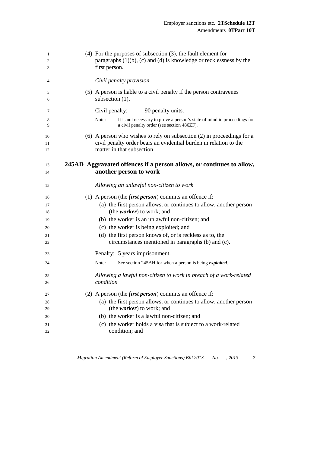| 1<br>2<br>3    | $(4)$ For the purposes of subsection $(3)$ , the fault element for<br>paragraphs $(1)(b)$ , $(c)$ and $(d)$ is knowledge or recklessness by the<br>first person.              |
|----------------|-------------------------------------------------------------------------------------------------------------------------------------------------------------------------------|
| 4              | Civil penalty provision                                                                                                                                                       |
| 5<br>6         | (5) A person is liable to a civil penalty if the person contravenes<br>subsection $(1)$ .                                                                                     |
| 7              | 90 penalty units.<br>Civil penalty:                                                                                                                                           |
| 8<br>9         | Note:<br>It is not necessary to prove a person's state of mind in proceedings for<br>a civil penalty order (see section 486ZF).                                               |
| 10<br>11<br>12 | $(6)$ A person who wishes to rely on subsection $(2)$ in proceedings for a<br>civil penalty order bears an evidential burden in relation to the<br>matter in that subsection. |
| 13<br>14       | 245AD Aggravated offences if a person allows, or continues to allow,<br>another person to work                                                                                |
| 15             | Allowing an unlawful non-citizen to work                                                                                                                                      |
| 16             | (1) A person (the <i>first person</i> ) commits an offence if:                                                                                                                |
| 17<br>18       | (a) the first person allows, or continues to allow, another person<br>(the <i>worker</i> ) to work; and                                                                       |
| 19             | (b) the worker is an unlawful non-citizen; and                                                                                                                                |
| 20             | (c) the worker is being exploited; and                                                                                                                                        |
| 21             | (d) the first person knows of, or is reckless as to, the                                                                                                                      |
| 22             | circumstances mentioned in paragraphs (b) and (c).                                                                                                                            |
| 23             | Penalty: 5 years imprisonment.                                                                                                                                                |
| 24             | Note:<br>See section 245AH for when a person is being <i>exploited</i> .                                                                                                      |
| 25<br>26       | Allowing a lawful non-citizen to work in breach of a work-related<br>condition                                                                                                |
|                | (2) A person (the <i>first person</i> ) commits an offence if:                                                                                                                |
| 27<br>28       | (a) the first person allows, or continues to allow, another person                                                                                                            |
| 29             | (the <i>worker</i> ) to work; and                                                                                                                                             |
| 30             | (b) the worker is a lawful non-citizen; and                                                                                                                                   |
| 31             | (c) the worker holds a visa that is subject to a work-related                                                                                                                 |
| 32             | condition; and                                                                                                                                                                |

*Migration Amendment (Reform of Employer Sanctions) Bill 2013 No. , 2013 7*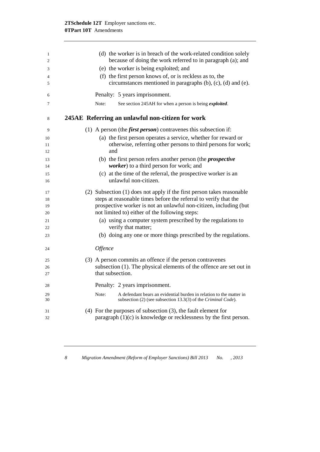| 1  | (d) the worker is in breach of the work-related condition solely             |
|----|------------------------------------------------------------------------------|
| 2  | because of doing the work referred to in paragraph (a); and                  |
| 3  | (e) the worker is being exploited; and                                       |
| 4  | (f) the first person knows of, or is reckless as to, the                     |
| 5  | circumstances mentioned in paragraphs (b), (c), (d) and (e).                 |
| 6  | Penalty: 5 years imprisonment.                                               |
| 7  | See section 245AH for when a person is being exploited.<br>Note:             |
| 8  | 245AE Referring an unlawful non-citizen for work                             |
| 9  | (1) A person (the <i>first person</i> ) contravenes this subsection if:      |
| 10 | (a) the first person operates a service, whether for reward or               |
| 11 | otherwise, referring other persons to third persons for work;                |
| 12 | and                                                                          |
| 13 | (b) the first person refers another person (the <i>prospective</i>           |
| 14 | worker) to a third person for work; and                                      |
| 15 | (c) at the time of the referral, the prospective worker is an                |
| 16 | unlawful non-citizen.                                                        |
| 17 | (2) Subsection (1) does not apply if the first person takes reasonable       |
| 18 | steps at reasonable times before the referral to verify that the             |
| 19 | prospective worker is not an unlawful non-citizen, including (but            |
| 20 | not limited to) either of the following steps:                               |
| 21 | (a) using a computer system prescribed by the regulations to                 |
| 22 | verify that matter;                                                          |
| 23 | (b) doing any one or more things prescribed by the regulations.              |
| 24 | Offence                                                                      |
| 25 | (3) A person commits an offence if the person contravenes                    |
| 26 | subsection (1). The physical elements of the offence are set out in          |
| 27 | that subsection.                                                             |
| 28 | Penalty: 2 years imprisonment.                                               |
| 29 | Note:<br>A defendant bears an evidential burden in relation to the matter in |
| 30 | subsection (2) (see subsection 13.3(3) of the Criminal Code).                |
| 31 | $(4)$ For the purposes of subsection $(3)$ , the fault element for           |
| 32 | paragraph $(1)(c)$ is knowledge or recklessness by the first person.         |
|    |                                                                              |

*8 Migration Amendment (Reform of Employer Sanctions) Bill 2013 No. , 2013*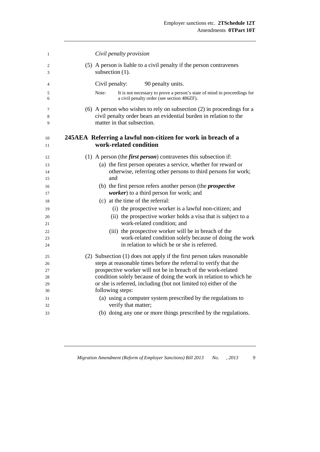| $\mathbf{1}$   | Civil penalty provision                                                                                                                                                       |
|----------------|-------------------------------------------------------------------------------------------------------------------------------------------------------------------------------|
| 2<br>3         | (5) A person is liable to a civil penalty if the person contravenes<br>subsection (1).                                                                                        |
| $\overline{4}$ | Civil penalty:<br>90 penalty units.                                                                                                                                           |
| 5<br>6         | It is not necessary to prove a person's state of mind in proceedings for<br>Note:<br>a civil penalty order (see section 486ZF).                                               |
| 7<br>8<br>9    | $(6)$ A person who wishes to rely on subsection $(2)$ in proceedings for a<br>civil penalty order bears an evidential burden in relation to the<br>matter in that subsection. |
| 10<br>11       | 245AEA Referring a lawful non-citizen for work in breach of a<br>work-related condition                                                                                       |
| 12             | (1) A person (the <i>first person</i> ) contravenes this subsection if:                                                                                                       |
| 13             | (a) the first person operates a service, whether for reward or                                                                                                                |
| 14             | otherwise, referring other persons to third persons for work;                                                                                                                 |
| 15             | and                                                                                                                                                                           |
| 16<br>17       | (b) the first person refers another person (the <i>prospective</i><br>worker) to a third person for work; and                                                                 |
| 18             | (c) at the time of the referral:                                                                                                                                              |
| 19             | (i) the prospective worker is a lawful non-citizen; and                                                                                                                       |
| 20<br>21       | (ii) the prospective worker holds a visa that is subject to a<br>work-related condition; and                                                                                  |
| 22             | (iii) the prospective worker will be in breach of the                                                                                                                         |
| 23             | work-related condition solely because of doing the work                                                                                                                       |
| 24             | in relation to which he or she is referred.                                                                                                                                   |
| 25             | (2) Subsection (1) does not apply if the first person takes reasonable                                                                                                        |
| 26             | steps at reasonable times before the referral to verify that the                                                                                                              |
| 27             | prospective worker will not be in breach of the work-related                                                                                                                  |
| 28             | condition solely because of doing the work in relation to which he                                                                                                            |
| 29             | or she is referred, including (but not limited to) either of the                                                                                                              |
| 30             | following steps:                                                                                                                                                              |
| 31             | (a) using a computer system prescribed by the regulations to                                                                                                                  |
| 32             | verify that matter;                                                                                                                                                           |
| 33             | (b) doing any one or more things prescribed by the regulations.                                                                                                               |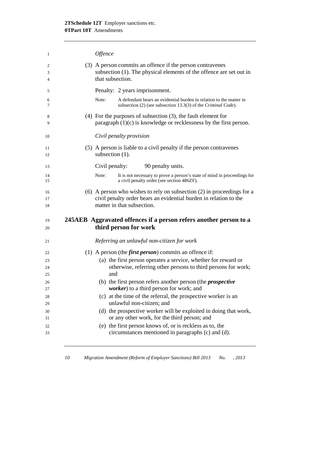| 1              | Offence                                                                                                                                                                       |
|----------------|-------------------------------------------------------------------------------------------------------------------------------------------------------------------------------|
| 2<br>3<br>4    | (3) A person commits an offence if the person contravenes<br>subsection $(1)$ . The physical elements of the offence are set out in<br>that subsection.                       |
| 5              | Penalty: 2 years imprisonment.                                                                                                                                                |
| 6<br>7         | Note:<br>A defendant bears an evidential burden in relation to the matter in<br>subsection (2) (see subsection 13.3(3) of the Criminal Code).                                 |
| 8<br>9         | $(4)$ For the purposes of subsection $(3)$ , the fault element for<br>paragraph $(1)(c)$ is knowledge or recklessness by the first person.                                    |
| 10             | Civil penalty provision                                                                                                                                                       |
| 11<br>12       | (5) A person is liable to a civil penalty if the person contravenes<br>subsection $(1)$ .                                                                                     |
| 13             | Civil penalty:<br>90 penalty units.                                                                                                                                           |
| 14<br>15       | Note:<br>It is not necessary to prove a person's state of mind in proceedings for<br>a civil penalty order (see section 486ZF).                                               |
| 16<br>17<br>18 | $(6)$ A person who wishes to rely on subsection $(2)$ in proceedings for a<br>civil penalty order bears an evidential burden in relation to the<br>matter in that subsection. |
| 19<br>20       | 245AEB Aggravated offences if a person refers another person to a<br>third person for work                                                                                    |
| 21             | Referring an unlawful non-citizen for work                                                                                                                                    |
| 22             | (1) A person (the <i>first person</i> ) commits an offence if:                                                                                                                |
| 23             | (a) the first person operates a service, whether for reward or                                                                                                                |
| 24             | otherwise, referring other persons to third persons for work;                                                                                                                 |
| 25             | and                                                                                                                                                                           |
| 26<br>$27\,$   | (b) the first person refers another person (the <i>prospective</i><br><i>worker</i> ) to a third person for work; and                                                         |
| 28             | (c) at the time of the referral, the prospective worker is an                                                                                                                 |
| 29             | unlawful non-citizen; and                                                                                                                                                     |
| 30             | (d) the prospective worker will be exploited in doing that work,                                                                                                              |
| 31             | or any other work, for the third person; and                                                                                                                                  |
| 32<br>33       | (e) the first person knows of, or is reckless as to, the<br>circumstances mentioned in paragraphs (c) and (d).                                                                |
|                |                                                                                                                                                                               |

*10 Migration Amendment (Reform of Employer Sanctions) Bill 2013 No. , 2013*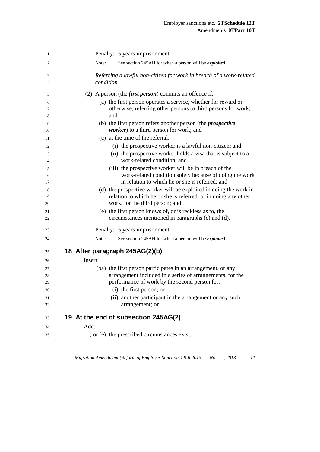| 1      | Penalty: 5 years imprisonment.                                                   |
|--------|----------------------------------------------------------------------------------|
| 2      | Note:<br>See section 245AH for when a person will be <i>exploited</i> .          |
| 3<br>4 | Referring a lawful non-citizen for work in breach of a work-related<br>condition |
| 5      | (2) A person (the <i>first person</i> ) commits an offence if:                   |
| 6      | (a) the first person operates a service, whether for reward or                   |
| 7      | otherwise, referring other persons to third persons for work;                    |
| 8      | and                                                                              |
| 9      | (b) the first person refers another person (the <i>prospective</i>               |
| 10     | worker) to a third person for work; and                                          |
| 11     | (c) at the time of the referral:                                                 |
| 12     | (i) the prospective worker is a lawful non-citizen; and                          |
| 13     | (ii) the prospective worker holds a visa that is subject to a                    |
| 14     | work-related condition; and                                                      |
| 15     | (iii) the prospective worker will be in breach of the                            |
| 16     | work-related condition solely because of doing the work                          |
| 17     | in relation to which he or she is referred; and                                  |
| 18     | (d) the prospective worker will be exploited in doing the work in                |
| 19     | relation to which he or she is referred, or in doing any other                   |
| 20     | work, for the third person; and                                                  |
| 21     | (e) the first person knows of, or is reckless as to, the                         |
| 22     | circumstances mentioned in paragraphs (c) and (d).                               |
| 23     | Penalty: 5 years imprisonment.                                                   |
| 24     | See section 245AH for when a person will be exploited.<br>Note:                  |
| 25     | 18 After paragraph 245AG(2)(b)                                                   |
| 26     | Insert:                                                                          |
| 27     | (ba) the first person participates in an arrangement, or any                     |
| 28     | arrangement included in a series of arrangements, for the                        |
| 29     | performance of work by the second person for:                                    |
| 30     | (i) the first person; or                                                         |
| 31     | (ii) another participant in the arrangement or any such                          |
| 32     | arrangement; or                                                                  |
| 33     | 19 At the end of subsection 245AG(2)                                             |
| 34     | Add:                                                                             |
| 35     | ; or (e) the prescribed circumstances exist.                                     |

*Migration Amendment (Reform of Employer Sanctions) Bill 2013 No. , 2013 11*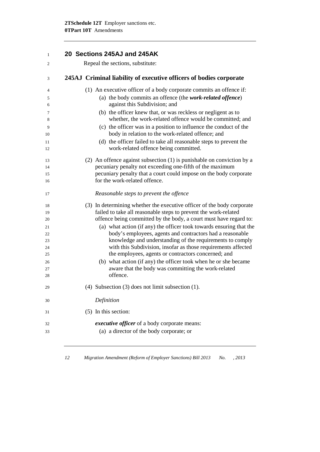| $\mathbf{1}$ | 20 Sections 245AJ and 245AK                                                                                                |
|--------------|----------------------------------------------------------------------------------------------------------------------------|
| 2            | Repeal the sections, substitute:                                                                                           |
| 3            | 245AJ Criminal liability of executive officers of bodies corporate                                                         |
| 4            | (1) An executive officer of a body corporate commits an offence if:                                                        |
| 5<br>6       | (a) the body commits an offence (the work-related offence)<br>against this Subdivision; and                                |
| 7            | (b) the officer knew that, or was reckless or negligent as to<br>whether, the work-related offence would be committed; and |
| 8<br>9       | (c) the officer was in a position to influence the conduct of the                                                          |
| 10           | body in relation to the work-related offence; and                                                                          |
| 11<br>12     | (d) the officer failed to take all reasonable steps to prevent the<br>work-related offence being committed.                |
| 13           | (2) An offence against subsection $(1)$ is punishable on conviction by a                                                   |
| 14           | pecuniary penalty not exceeding one-fifth of the maximum                                                                   |
| 15           | pecuniary penalty that a court could impose on the body corporate                                                          |
| 16           | for the work-related offence.                                                                                              |
| 17           | Reasonable steps to prevent the offence                                                                                    |
| 18           | (3) In determining whether the executive officer of the body corporate                                                     |
| 19           | failed to take all reasonable steps to prevent the work-related                                                            |
| 20           | offence being committed by the body, a court must have regard to:                                                          |
| 21           | (a) what action (if any) the officer took towards ensuring that the                                                        |
| 22           | body's employees, agents and contractors had a reasonable                                                                  |
| 23           | knowledge and understanding of the requirements to comply                                                                  |
| 24           | with this Subdivision, insofar as those requirements affected                                                              |
| 25           | the employees, agents or contractors concerned; and                                                                        |
| 26           | (b) what action (if any) the officer took when he or she became                                                            |
| 27           | aware that the body was committing the work-related<br>offence.                                                            |
| 28           |                                                                                                                            |
| 29           | (4) Subsection $(3)$ does not limit subsection $(1)$ .                                                                     |
| 30           | Definition                                                                                                                 |
| 31           | (5) In this section:                                                                                                       |
| 32           | executive officer of a body corporate means:                                                                               |
| 33           | (a) a director of the body corporate; or                                                                                   |
|              |                                                                                                                            |

*12 Migration Amendment (Reform of Employer Sanctions) Bill 2013 No. , 2013*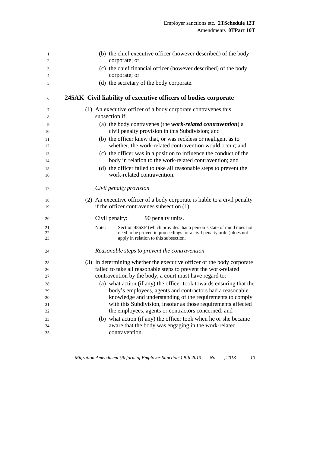| 1<br>$\overline{2}$ | (b) the chief executive officer (however described) of the body<br>corporate; or                                                                                                               |
|---------------------|------------------------------------------------------------------------------------------------------------------------------------------------------------------------------------------------|
| 3<br>4              | (c) the chief financial officer (however described) of the body<br>corporate; or                                                                                                               |
| 5                   | (d) the secretary of the body corporate.                                                                                                                                                       |
| 6                   | 245AK Civil liability of executive officers of bodies corporate                                                                                                                                |
| 7<br>8              | (1) An executive officer of a body corporate contravenes this<br>subsection if:                                                                                                                |
| 9                   | (a) the body contravenes (the work-related contravention) a<br>civil penalty provision in this Subdivision; and                                                                                |
| 10<br>11<br>12      | (b) the officer knew that, or was reckless or negligent as to<br>whether, the work-related contravention would occur; and                                                                      |
| 13<br>14            | (c) the officer was in a position to influence the conduct of the<br>body in relation to the work-related contravention; and                                                                   |
| 15<br>16            | (d) the officer failed to take all reasonable steps to prevent the<br>work-related contravention.                                                                                              |
| 17                  | Civil penalty provision                                                                                                                                                                        |
|                     |                                                                                                                                                                                                |
| 18<br>19            | (2) An executive officer of a body corporate is liable to a civil penalty<br>if the officer contravenes subsection (1).                                                                        |
| 20                  | 90 penalty units.<br>Civil penalty:                                                                                                                                                            |
| 21<br>22<br>23      | Note:<br>Section 486ZF (which provides that a person's state of mind does not<br>need to be proven in proceedings for a civil penalty order) does not<br>apply in relation to this subsection. |
| 24                  | Reasonable steps to prevent the contravention                                                                                                                                                  |
| 25                  | (3) In determining whether the executive officer of the body corporate                                                                                                                         |
| 26                  | failed to take all reasonable steps to prevent the work-related                                                                                                                                |
| 27<br>28            | contravention by the body, a court must have regard to:<br>(a) what action (if any) the officer took towards ensuring that the                                                                 |
| 29                  | body's employees, agents and contractors had a reasonable                                                                                                                                      |
| 30                  | knowledge and understanding of the requirements to comply                                                                                                                                      |
| 31                  | with this Subdivision, insofar as those requirements affected                                                                                                                                  |
| 32                  | the employees, agents or contractors concerned; and                                                                                                                                            |
| 33                  | (b) what action (if any) the officer took when he or she became                                                                                                                                |
| 34                  | aware that the body was engaging in the work-related                                                                                                                                           |
| 35                  | contravention.                                                                                                                                                                                 |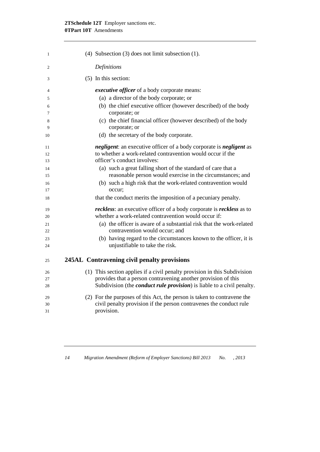### **2TSchedule 12T** Employer sanctions etc. **0TPart 10T** Amendments

| $\mathbf{1}$ | (4) Subsection $(3)$ does not limit subsection $(1)$ .                                                 |
|--------------|--------------------------------------------------------------------------------------------------------|
| 2            | Definitions                                                                                            |
| 3            | (5) In this section:                                                                                   |
| 4            | <i>executive officer</i> of a body corporate means:                                                    |
| 5            | (a) a director of the body corporate; or                                                               |
| 6            | (b) the chief executive officer (however described) of the body                                        |
| 7            | corporate; or                                                                                          |
| 8<br>9       | (c) the chief financial officer (however described) of the body<br>corporate; or                       |
| 10           | (d) the secretary of the body corporate.                                                               |
| 11           | <i>negligent</i> : an executive officer of a body corporate is <i>negligent</i> as                     |
| 12           | to whether a work-related contravention would occur if the                                             |
| 13           | officer's conduct involves:                                                                            |
| 14           | (a) such a great falling short of the standard of care that a                                          |
| 15           | reasonable person would exercise in the circumstances; and                                             |
| 16<br>17     | (b) such a high risk that the work-related contravention would<br>occur;                               |
| 18           | that the conduct merits the imposition of a pecuniary penalty.                                         |
| 19           | <i>reckless:</i> an executive officer of a body corporate is <i>reckless</i> as to                     |
| 20           | whether a work-related contravention would occur if:                                                   |
| 21<br>22     | (a) the officer is aware of a substantial risk that the work-related<br>contravention would occur; and |
| 23           | (b) having regard to the circumstances known to the officer, it is                                     |
| 24           | unjustifiable to take the risk.                                                                        |
| 25           | 245AL Contravening civil penalty provisions                                                            |
| 26           | (1) This section applies if a civil penalty provision in this Subdivision                              |
| 27           | provides that a person contravening another provision of this                                          |
| 28           | Subdivision (the <i>conduct rule provision</i> ) is liable to a civil penalty.                         |
| 29           | (2) For the purposes of this Act, the person is taken to contravene the                                |
| 30           | civil penalty provision if the person contravenes the conduct rule                                     |
| 31           | provision.                                                                                             |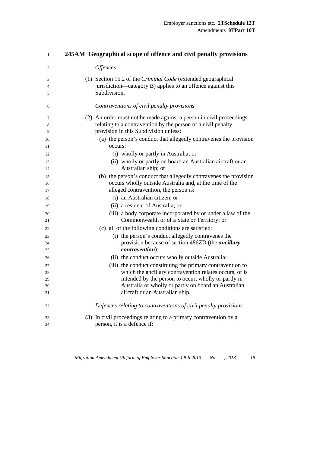### **245AM Geographical scope of offence and civil penalty provisions**

| 2  | <b>Offences</b>                                                     |
|----|---------------------------------------------------------------------|
| 3  | (1) Section 15.2 of the Criminal Code (extended geographical        |
| 4  | jurisdiction—category B) applies to an offence against this         |
| 5  | Subdivision.                                                        |
| 6  | Contraventions of civil penalty provisions                          |
| 7  | (2) An order must not be made against a person in civil proceedings |
| 8  | relating to a contravention by the person of a civil penalty        |
| 9  | provision in this Subdivision unless:                               |
| 10 | (a) the person's conduct that allegedly contravenes the provision   |
| 11 | occurs:                                                             |
| 12 | (i) wholly or partly in Australia; or                               |
| 13 | (ii) wholly or partly on board an Australian aircraft or an         |
| 14 | Australian ship; or                                                 |
| 15 | (b) the person's conduct that allegedly contravenes the provision   |
| 16 | occurs wholly outside Australia and, at the time of the             |
| 17 | alleged contravention, the person is:                               |
| 18 | (i) an Australian citizen; or                                       |
| 19 | (ii) a resident of Australia; or                                    |
| 20 | (iii) a body corporate incorporated by or under a law of the        |
| 21 | Commonwealth or of a State or Territory; or                         |
| 22 | (c) all of the following conditions are satisfied:                  |
| 23 | (i) the person's conduct allegedly contravenes the                  |
| 24 | provision because of section 486ZD (the <i>ancillary</i>            |
| 25 | <i>contravention</i> );                                             |
| 26 | (ii) the conduct occurs wholly outside Australia;                   |
| 27 | (iii) the conduct constituting the primary contravention to         |
| 28 | which the ancillary contravention relates occurs, or is             |
| 29 | intended by the person to occur, wholly or partly in                |
| 30 | Australia or wholly or partly on board an Australian                |
| 31 | aircraft or an Australian ship.                                     |
| 32 | Defences relating to contraventions of civil penalty provisions     |
| 33 | (3) In civil proceedings relating to a primary contravention by a   |
| 34 | person, it is a defence if:                                         |
|    |                                                                     |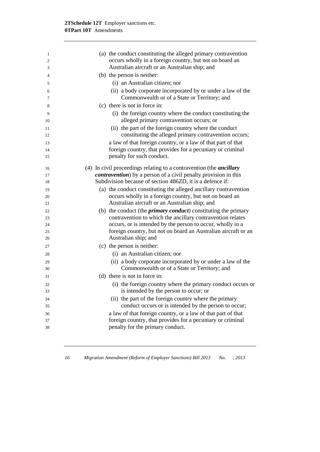| 1        | (a) the conduct constituting the alleged primary contravention                                              |
|----------|-------------------------------------------------------------------------------------------------------------|
| 2<br>3   | occurs wholly in a foreign country, but not on board an<br>Australian aircraft or an Australian ship; and   |
| 4        | (b) the person is neither:                                                                                  |
| 5        | (i) an Australian citizen; nor                                                                              |
| 6        | (ii) a body corporate incorporated by or under a law of the                                                 |
| 7        | Commonwealth or of a State or Territory; and                                                                |
| 8        | (c) there is not in force in:                                                                               |
| 9        | (i) the foreign country where the conduct constituting the                                                  |
| 10       | alleged primary contravention occurs; or                                                                    |
| 11       | (ii) the part of the foreign country where the conduct                                                      |
| 12       | constituting the alleged primary contravention occurs;                                                      |
| 13       | a law of that foreign country, or a law of that part of that                                                |
| 14       | foreign country, that provides for a pecuniary or criminal                                                  |
| 15       | penalty for such conduct.                                                                                   |
| 16       | (4) In civil proceedings relating to a contravention (the <i>ancillary</i>                                  |
| 17       | <i>contravention</i> ) by a person of a civil penalty provision in this                                     |
| 18       | Subdivision because of section 486ZD, it is a defence if:                                                   |
| 19       | (a) the conduct constituting the alleged ancillary contravention                                            |
| 20       | occurs wholly in a foreign country, but not on board an                                                     |
| 21       | Australian aircraft or an Australian ship; and                                                              |
| 22       | (b) the conduct (the <i>primary conduct</i> ) constituting the primary                                      |
| 23       | contravention to which the ancillary contravention relates                                                  |
| 24       | occurs, or is intended by the person to occur, wholly in a                                                  |
| 25       | foreign country, but not on board an Australian aircraft or an<br>Australian ship; and                      |
| 26       |                                                                                                             |
| 27       | (c) the person is neither:                                                                                  |
| 28       | (i) an Australian citizen; nor                                                                              |
| 29       | (ii) a body corporate incorporated by or under a law of the<br>Commonwealth or of a State or Territory; and |
| 30       | (d) there is not in force in:                                                                               |
| 31       |                                                                                                             |
| 32       | (i) the foreign country where the primary conduct occurs or<br>is intended by the person to occur; or       |
| 33       | (ii) the part of the foreign country where the primary                                                      |
| 34<br>35 | conduct occurs or is intended by the person to occur;                                                       |
| 36       | a law of that foreign country, or a law of that part of that                                                |
| 37       | foreign country, that provides for a pecuniary or criminal                                                  |
| 38       | penalty for the primary conduct.                                                                            |
|          |                                                                                                             |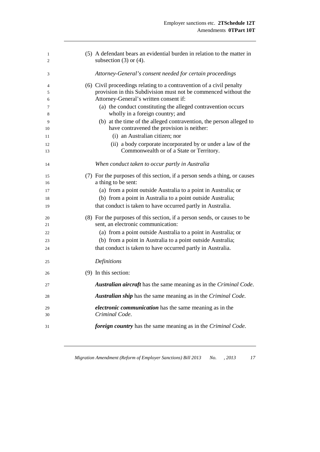| 1<br>2 | (5) A defendant bears an evidential burden in relation to the matter in<br>subsection $(3)$ or $(4)$ . |
|--------|--------------------------------------------------------------------------------------------------------|
| 3      | Attorney-General's consent needed for certain proceedings                                              |
| 4      | (6) Civil proceedings relating to a contravention of a civil penalty                                   |
| 5      | provision in this Subdivision must not be commenced without the                                        |
| 6      | Attorney-General's written consent if:                                                                 |
| 7      | (a) the conduct constituting the alleged contravention occurs                                          |
| 8      | wholly in a foreign country; and                                                                       |
| 9      | (b) at the time of the alleged contravention, the person alleged to                                    |
| 10     | have contravened the provision is neither:                                                             |
| 11     | (i) an Australian citizen; nor                                                                         |
| 12     | (ii) a body corporate incorporated by or under a law of the                                            |
| 13     | Commonwealth or of a State or Territory.                                                               |
| 14     | When conduct taken to occur partly in Australia                                                        |
| 15     | (7) For the purposes of this section, if a person sends a thing, or causes                             |
| 16     | a thing to be sent:                                                                                    |
| 17     | (a) from a point outside Australia to a point in Australia; or                                         |
| 18     | (b) from a point in Australia to a point outside Australia;                                            |
| 19     | that conduct is taken to have occurred partly in Australia.                                            |
| 20     | (8) For the purposes of this section, if a person sends, or causes to be                               |
| 21     | sent, an electronic communication:                                                                     |
| 22     | (a) from a point outside Australia to a point in Australia; or                                         |
| 23     | (b) from a point in Australia to a point outside Australia;                                            |
| 24     | that conduct is taken to have occurred partly in Australia.                                            |
| 25     | Definitions                                                                                            |
| 26     | $(9)$ In this section:                                                                                 |
| 27     | Australian aircraft has the same meaning as in the Criminal Code.                                      |
| 28     | <b>Australian ship</b> has the same meaning as in the Criminal Code.                                   |
| 29     | <i>electronic communication</i> has the same meaning as in the                                         |
| 30     | Criminal Code.                                                                                         |
| 31     | foreign country has the same meaning as in the Criminal Code.                                          |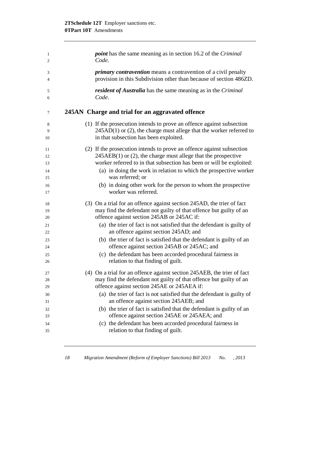| 1  | <i>point</i> has the same meaning as in section 16.2 of the <i>Criminal</i> |
|----|-----------------------------------------------------------------------------|
| 2  | Code.                                                                       |
| 3  | <i>primary contravention</i> means a contravention of a civil penalty       |
| 4  | provision in this Subdivision other than because of section 486ZD.          |
| 5  | <i>resident of Australia</i> has the same meaning as in the <i>Criminal</i> |
| 6  | Code.                                                                       |
| 7  | 245AN Charge and trial for an aggravated offence                            |
| 8  | (1) If the prosecution intends to prove an offence against subsection       |
| 9  | $245AD(1)$ or (2), the charge must allege that the worker referred to       |
| 10 | in that subsection has been exploited.                                      |
| 11 | (2) If the prosecution intends to prove an offence against subsection       |
| 12 | $245AEB(1)$ or (2), the charge must allege that the prospective             |
| 13 | worker referred to in that subsection has been or will be exploited:        |
| 14 | (a) in doing the work in relation to which the prospective worker           |
| 15 | was referred; or                                                            |
| 16 | (b) in doing other work for the person to whom the prospective              |
| 17 | worker was referred.                                                        |
| 18 | (3) On a trial for an offence against section 245AD, the trier of fact      |
| 19 | may find the defendant not guilty of that offence but guilty of an          |
| 20 | offence against section 245AB or 245AC if:                                  |
| 21 | (a) the trier of fact is not satisfied that the defendant is guilty of      |
| 22 | an offence against section 245AD; and                                       |
| 23 | (b) the trier of fact is satisfied that the defendant is guilty of an       |
| 24 | offence against section 245AB or 245AC; and                                 |
| 25 | (c) the defendant has been accorded procedural fairness in                  |
| 26 | relation to that finding of guilt.                                          |
| 27 | (4) On a trial for an offence against section 245AEB, the trier of fact     |
| 28 | may find the defendant not guilty of that offence but guilty of an          |
| 29 | offence against section 245AE or 245AEA if:                                 |
| 30 | (a) the trier of fact is not satisfied that the defendant is guilty of      |
| 31 | an offence against section 245AEB; and                                      |
| 32 | (b) the trier of fact is satisfied that the defendant is guilty of an       |
| 33 | offence against section 245AE or 245AEA; and                                |
| 34 | (c) the defendant has been accorded procedural fairness in                  |
| 35 | relation to that finding of guilt.                                          |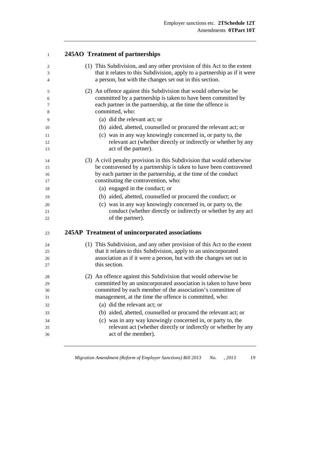#### **245AO** Treatment of partnerships

| $\overline{2}$<br>3<br>$\overline{4}$              | (1) This Subdivision, and any other provision of this Act to the extent<br>that it relates to this Subdivision, apply to a partnership as if it were<br>a person, but with the changes set out in this section.                                       |
|----------------------------------------------------|-------------------------------------------------------------------------------------------------------------------------------------------------------------------------------------------------------------------------------------------------------|
| 5<br>6<br>7<br>8                                   | (2) An offence against this Subdivision that would otherwise be<br>committed by a partnership is taken to have been committed by<br>each partner in the partnership, at the time the offence is<br>committed, who:                                    |
| 9                                                  | (a) did the relevant act; or                                                                                                                                                                                                                          |
| 10                                                 | (b) aided, abetted, counselled or procured the relevant act; or                                                                                                                                                                                       |
| 11<br>12<br>13                                     | (c) was in any way knowingly concerned in, or party to, the<br>relevant act (whether directly or indirectly or whether by any<br>act of the partner).                                                                                                 |
| 14<br>15<br>16<br>17                               | (3) A civil penalty provision in this Subdivision that would otherwise<br>be contravened by a partnership is taken to have been contravened<br>by each partner in the partnership, at the time of the conduct<br>constituting the contravention, who: |
| 18                                                 | (a) engaged in the conduct; or                                                                                                                                                                                                                        |
| 19                                                 | (b) aided, abetted, counselled or procured the conduct; or                                                                                                                                                                                            |
| 20<br>21<br>22                                     | (c) was in any way knowingly concerned in, or party to, the<br>conduct (whether directly or indirectly or whether by any act<br>of the partner).                                                                                                      |
| 23                                                 | 245AP Treatment of unincorporated associations                                                                                                                                                                                                        |
| 24<br>25<br>26<br>27                               | (1) This Subdivision, and any other provision of this Act to the extent<br>that it relates to this Subdivision, apply to an unincorporated<br>association as if it were a person, but with the changes set out in<br>this section.                    |
|                                                    | (2) An offence against this Subdivision that would otherwise be                                                                                                                                                                                       |
|                                                    |                                                                                                                                                                                                                                                       |
|                                                    | committed by an unincorporated association is taken to have been                                                                                                                                                                                      |
|                                                    | committed by each member of the association's committee of                                                                                                                                                                                            |
|                                                    | management, at the time the offence is committed, who:                                                                                                                                                                                                |
|                                                    | (a) did the relevant act; or                                                                                                                                                                                                                          |
|                                                    | (b) aided, abetted, counselled or procured the relevant act; or                                                                                                                                                                                       |
|                                                    | (c) was in any way knowingly concerned in, or party to, the                                                                                                                                                                                           |
| 28<br>29<br>30<br>31<br>32<br>33<br>34<br>35<br>36 | relevant act (whether directly or indirectly or whether by any<br>act of the member).                                                                                                                                                                 |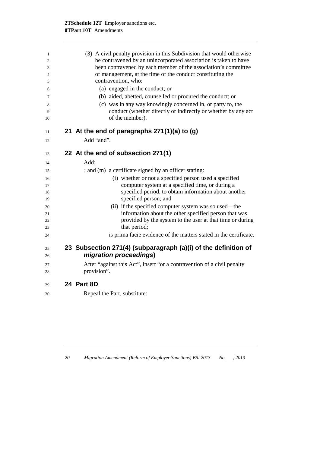| 1        |                                                                  | (3) A civil penalty provision in this Subdivision that would otherwise                                         |  |  |  |
|----------|------------------------------------------------------------------|----------------------------------------------------------------------------------------------------------------|--|--|--|
| 2        | be contravened by an unincorporated association is taken to have |                                                                                                                |  |  |  |
| 3        |                                                                  | been contravened by each member of the association's committee                                                 |  |  |  |
| 4        |                                                                  | of management, at the time of the conduct constituting the                                                     |  |  |  |
| 5        |                                                                  | contravention, who:                                                                                            |  |  |  |
| 6        |                                                                  | (a) engaged in the conduct; or                                                                                 |  |  |  |
| 7        |                                                                  | (b) aided, abetted, counselled or procured the conduct; or                                                     |  |  |  |
| 8        |                                                                  | (c) was in any way knowingly concerned in, or party to, the                                                    |  |  |  |
| 9        |                                                                  | conduct (whether directly or indirectly or whether by any act                                                  |  |  |  |
| 10       |                                                                  | of the member).                                                                                                |  |  |  |
|          |                                                                  |                                                                                                                |  |  |  |
| 11       |                                                                  | 21 At the end of paragraphs 271(1)(a) to (g)                                                                   |  |  |  |
| 12       |                                                                  | Add "and".                                                                                                     |  |  |  |
| 13       |                                                                  | 22 At the end of subsection 271(1)                                                                             |  |  |  |
|          |                                                                  |                                                                                                                |  |  |  |
| 14       |                                                                  | Add:                                                                                                           |  |  |  |
| 15       |                                                                  | ; and (m) a certificate signed by an officer stating:                                                          |  |  |  |
| 16       |                                                                  | (i) whether or not a specified person used a specified                                                         |  |  |  |
| 17       |                                                                  | computer system at a specified time, or during a                                                               |  |  |  |
| 18       |                                                                  | specified period, to obtain information about another                                                          |  |  |  |
| 19       |                                                                  | specified person; and                                                                                          |  |  |  |
| 20       |                                                                  | (ii) if the specified computer system was so used—the<br>information about the other specified person that was |  |  |  |
| 21<br>22 |                                                                  | provided by the system to the user at that time or during                                                      |  |  |  |
| 23       |                                                                  | that period;                                                                                                   |  |  |  |
| 24       |                                                                  | is prima facie evidence of the matters stated in the certificate.                                              |  |  |  |
|          |                                                                  |                                                                                                                |  |  |  |
| 25       |                                                                  | 23 Subsection 271(4) (subparagraph (a)(i) of the definition of                                                 |  |  |  |
| 26       |                                                                  | migration proceedings)                                                                                         |  |  |  |
| 27       |                                                                  | After "against this Act", insert "or a contravention of a civil penalty                                        |  |  |  |
| 28       |                                                                  | provision".                                                                                                    |  |  |  |
| 29       |                                                                  | 24 Part 8D                                                                                                     |  |  |  |
| 30       |                                                                  | Repeal the Part, substitute:                                                                                   |  |  |  |
|          |                                                                  |                                                                                                                |  |  |  |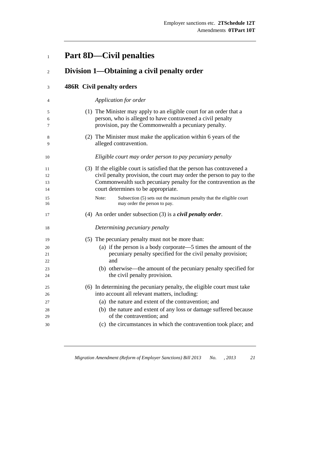# **Part 8D—Civil penalties**

| $\overline{2}$       | Division 1—Obtaining a civil penalty order                                                                                                                                                                                                                   |
|----------------------|--------------------------------------------------------------------------------------------------------------------------------------------------------------------------------------------------------------------------------------------------------------|
| 3                    | <b>486R Civil penalty orders</b>                                                                                                                                                                                                                             |
| 4                    | Application for order                                                                                                                                                                                                                                        |
| 5<br>6<br>7          | (1) The Minister may apply to an eligible court for an order that a<br>person, who is alleged to have contravened a civil penalty<br>provision, pay the Commonwealth a pecuniary penalty.                                                                    |
| 8<br>9               | (2) The Minister must make the application within 6 years of the<br>alleged contravention.                                                                                                                                                                   |
| 10                   | Eligible court may order person to pay pecuniary penalty                                                                                                                                                                                                     |
| 11<br>12<br>13<br>14 | (3) If the eligible court is satisfied that the person has contravened a<br>civil penalty provision, the court may order the person to pay to the<br>Commonwealth such pecuniary penalty for the contravention as the<br>court determines to be appropriate. |
| 15<br>16             | Note:<br>Subsection (5) sets out the maximum penalty that the eligible court<br>may order the person to pay.                                                                                                                                                 |
| 17                   | (4) An order under subsection (3) is a <i>civil penalty order</i> .                                                                                                                                                                                          |
| 18                   | Determining pecuniary penalty                                                                                                                                                                                                                                |
| 19                   | (5) The pecuniary penalty must not be more than:                                                                                                                                                                                                             |
| 20                   | (a) if the person is a body corporate—5 times the amount of the                                                                                                                                                                                              |
| 21<br>22             | pecuniary penalty specified for the civil penalty provision;<br>and                                                                                                                                                                                          |
| 23                   | (b) otherwise—the amount of the pecuniary penalty specified for                                                                                                                                                                                              |
| 24                   | the civil penalty provision.                                                                                                                                                                                                                                 |
| 25                   | (6) In determining the pecuniary penalty, the eligible court must take                                                                                                                                                                                       |
| 26                   | into account all relevant matters, including:                                                                                                                                                                                                                |
| 27                   | (a) the nature and extent of the contravention; and                                                                                                                                                                                                          |
| 28                   | (b) the nature and extent of any loss or damage suffered because                                                                                                                                                                                             |
| 29                   | of the contravention; and                                                                                                                                                                                                                                    |
| 30                   | (c) the circumstances in which the contravention took place; and                                                                                                                                                                                             |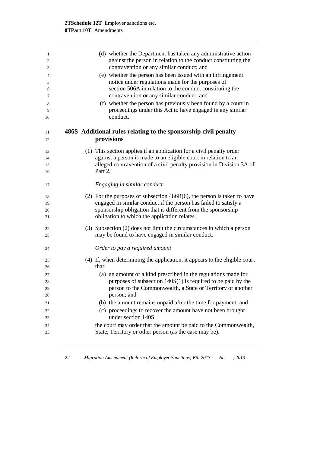| 1<br>2<br>3    | (d) whether the Department has taken any administrative action<br>against the person in relation to the conduct constituting the<br>contravention or any similar conduct; and |
|----------------|-------------------------------------------------------------------------------------------------------------------------------------------------------------------------------|
|                |                                                                                                                                                                               |
| $\overline{4}$ | (e) whether the person has been issued with an infringement                                                                                                                   |
| 5              | notice under regulations made for the purposes of<br>section 506A in relation to the conduct constituting the                                                                 |
| 6<br>7         | contravention or any similar conduct; and                                                                                                                                     |
|                |                                                                                                                                                                               |
| 8<br>9         | (f) whether the person has previously been found by a court in<br>proceedings under this Act to have engaged in any similar                                                   |
| 10             | conduct.                                                                                                                                                                      |
| 11<br>12       | 486S Additional rules relating to the sponsorship civil penalty<br>provisions                                                                                                 |
| 13             | (1) This section applies if an application for a civil penalty order                                                                                                          |
| 14             | against a person is made to an eligible court in relation to an                                                                                                               |
| 15             | alleged contravention of a civil penalty provision in Division 3A of                                                                                                          |
| 16             | Part 2.                                                                                                                                                                       |
|                |                                                                                                                                                                               |
| 17             | Engaging in similar conduct                                                                                                                                                   |
| 18             | (2) For the purposes of subsection $486R(6)$ , the person is taken to have                                                                                                    |
| 19             | engaged in similar conduct if the person has failed to satisfy a                                                                                                              |
| 20             | sponsorship obligation that is different from the sponsorship                                                                                                                 |
| 21             | obligation to which the application relates.                                                                                                                                  |
|                |                                                                                                                                                                               |
| 22<br>23       | (3) Subsection (2) does not limit the circumstances in which a person<br>may be found to have engaged in similar conduct.                                                     |
|                |                                                                                                                                                                               |
| 24             | Order to pay a required amount                                                                                                                                                |
| 25             | (4) If, when determining the application, it appears to the eligible court                                                                                                    |
| 26             | that:                                                                                                                                                                         |
| 27             | (a) an amount of a kind prescribed in the regulations made for                                                                                                                |
| 28             | purposes of subsection $140S(1)$ is required to be paid by the                                                                                                                |
| 29             | person to the Commonwealth, a State or Territory or another                                                                                                                   |
| 30             | person; and                                                                                                                                                                   |
| 31             | (b) the amount remains unpaid after the time for payment; and                                                                                                                 |
| 32             | (c) proceedings to recover the amount have not been brought                                                                                                                   |
| 33             | under section 140S;                                                                                                                                                           |
| 34             | the court may order that the amount be paid to the Commonwealth,                                                                                                              |
| 35             | State, Territory or other person (as the case may be).                                                                                                                        |
|                |                                                                                                                                                                               |

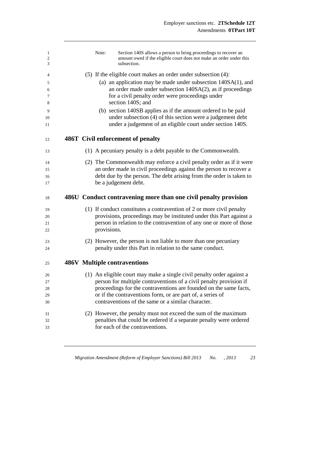| 1<br>$\mathfrak{2}$<br>3 |  | Note:       | Section 140S allows a person to bring proceedings to recover an<br>amount owed if the eligible court does not make an order under this<br>subsection. |
|--------------------------|--|-------------|-------------------------------------------------------------------------------------------------------------------------------------------------------|
| 4                        |  |             | $(5)$ If the eligible court makes an order under subsection $(4)$ :                                                                                   |
|                          |  |             | (a) an application may be made under subsection 140SA(1), and                                                                                         |
| 5<br>6                   |  |             | an order made under subsection 140SA(2), as if proceedings                                                                                            |
| 7<br>8                   |  |             | for a civil penalty order were proceedings under<br>section 140S; and                                                                                 |
| 9                        |  |             | (b) section 140SB applies as if the amount ordered to be paid                                                                                         |
| 10<br>11                 |  |             | under subsection (4) of this section were a judgement debt<br>under a judgement of an eligible court under section 140S.                              |
|                          |  |             |                                                                                                                                                       |
| 12                       |  |             | 486T Civil enforcement of penalty                                                                                                                     |
| 13                       |  |             | (1) A pecuniary penalty is a debt payable to the Commonwealth.                                                                                        |
| 14                       |  |             | (2) The Commonwealth may enforce a civil penalty order as if it were                                                                                  |
| 15                       |  |             | an order made in civil proceedings against the person to recover a                                                                                    |
| 16                       |  |             | debt due by the person. The debt arising from the order is taken to                                                                                   |
| 17                       |  |             | be a judgement debt.                                                                                                                                  |
|                          |  |             |                                                                                                                                                       |
| 18                       |  |             | 486U Conduct contravening more than one civil penalty provision                                                                                       |
| 19                       |  |             | (1) If conduct constitutes a contravention of 2 or more civil penalty                                                                                 |
| 20                       |  |             | provisions, proceedings may be instituted under this Part against a                                                                                   |
| 21                       |  |             | person in relation to the contravention of any one or more of those                                                                                   |
| 22                       |  | provisions. |                                                                                                                                                       |
|                          |  |             |                                                                                                                                                       |
| 23<br>24                 |  |             | (2) However, the person is not liable to more than one pecuniary<br>penalty under this Part in relation to the same conduct.                          |
| 25                       |  |             | <b>486V</b> Multiple contraventions                                                                                                                   |
|                          |  |             |                                                                                                                                                       |
| 26                       |  |             | (1) An eligible court may make a single civil penalty order against a                                                                                 |
| 27                       |  |             | person for multiple contraventions of a civil penalty provision if                                                                                    |
| 28<br>29                 |  |             | proceedings for the contraventions are founded on the same facts,                                                                                     |
| 30                       |  |             | or if the contraventions form, or are part of, a series of<br>contraventions of the same or a similar character.                                      |
|                          |  |             |                                                                                                                                                       |
| 31<br>32                 |  |             | (2) However, the penalty must not exceed the sum of the maximum                                                                                       |
| 33                       |  |             | penalties that could be ordered if a separate penalty were ordered<br>for each of the contraventions.                                                 |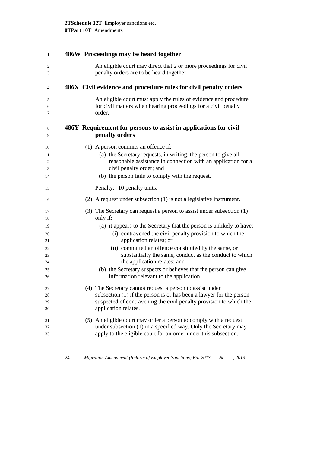| 1           | 486W Proceedings may be heard together                                                                                                       |
|-------------|----------------------------------------------------------------------------------------------------------------------------------------------|
| 2<br>3      | An eligible court may direct that 2 or more proceedings for civil<br>penalty orders are to be heard together.                                |
| 4           | 486X Civil evidence and procedure rules for civil penalty orders                                                                             |
| 5<br>6<br>7 | An eligible court must apply the rules of evidence and procedure<br>for civil matters when hearing proceedings for a civil penalty<br>order. |
| 8<br>9      | 486Y Requirement for persons to assist in applications for civil<br>penalty orders                                                           |
| 10          | $(1)$ A person commits an offence if:                                                                                                        |
| 11<br>12    | (a) the Secretary requests, in writing, the person to give all<br>reasonable assistance in connection with an application for a              |
| 13<br>14    | civil penalty order; and<br>(b) the person fails to comply with the request.                                                                 |
|             |                                                                                                                                              |
| 15          | Penalty: 10 penalty units.                                                                                                                   |
| 16          | $(2)$ A request under subsection $(1)$ is not a legislative instrument.                                                                      |
| 17<br>18    | (3) The Secretary can request a person to assist under subsection (1)<br>only if:                                                            |
| 19          | (a) it appears to the Secretary that the person is unlikely to have:                                                                         |
| 20          | (i) contravened the civil penalty provision to which the                                                                                     |
| 21<br>22    | application relates; or<br>(ii) committed an offence constituted by the same, or                                                             |
| 23          | substantially the same, conduct as the conduct to which                                                                                      |
| 24          | the application relates; and                                                                                                                 |
| 25          | (b) the Secretary suspects or believes that the person can give                                                                              |
| 26          | information relevant to the application.                                                                                                     |
| 27          | (4) The Secretary cannot request a person to assist under                                                                                    |
| 28          | subsection $(1)$ if the person is or has been a lawyer for the person                                                                        |
| 29<br>30    | suspected of contravening the civil penalty provision to which the<br>application relates.                                                   |
| 31          | (5) An eligible court may order a person to comply with a request                                                                            |
| 32          | under subsection (1) in a specified way. Only the Secretary may                                                                              |
| 33          | apply to the eligible court for an order under this subsection.                                                                              |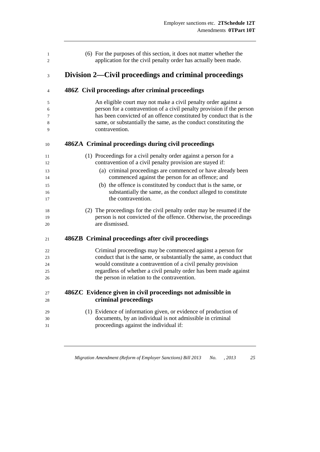| (6) For the purposes of this section, it does not matter whether the<br>application for the civil penalty order has actually been made.                                                                                                                                                              |
|------------------------------------------------------------------------------------------------------------------------------------------------------------------------------------------------------------------------------------------------------------------------------------------------------|
| Division 2—Civil proceedings and criminal proceedings                                                                                                                                                                                                                                                |
| 486Z Civil proceedings after criminal proceedings                                                                                                                                                                                                                                                    |
| An eligible court may not make a civil penalty order against a<br>person for a contravention of a civil penalty provision if the person<br>has been convicted of an offence constituted by conduct that is the<br>same, or substantially the same, as the conduct constituting the<br>contravention. |
| 486ZA Criminal proceedings during civil proceedings                                                                                                                                                                                                                                                  |
| (1) Proceedings for a civil penalty order against a person for a<br>contravention of a civil penalty provision are stayed if:                                                                                                                                                                        |
| (a) criminal proceedings are commenced or have already been<br>commenced against the person for an offence; and                                                                                                                                                                                      |
| (b) the offence is constituted by conduct that is the same, or<br>substantially the same, as the conduct alleged to constitute<br>the contravention.                                                                                                                                                 |
| (2) The proceedings for the civil penalty order may be resumed if the<br>person is not convicted of the offence. Otherwise, the proceedings<br>are dismissed.                                                                                                                                        |
| 486ZB Criminal proceedings after civil proceedings                                                                                                                                                                                                                                                   |
| Criminal proceedings may be commenced against a person for<br>conduct that is the same, or substantially the same, as conduct that                                                                                                                                                                   |
| would constitute a contravention of a civil penalty provision                                                                                                                                                                                                                                        |
| regardless of whether a civil penalty order has been made against<br>the person in relation to the contravention.                                                                                                                                                                                    |
| 486ZC Evidence given in civil proceedings not admissible in                                                                                                                                                                                                                                          |
| criminal proceedings                                                                                                                                                                                                                                                                                 |
| (1) Evidence of information given, or evidence of production of<br>documents, by an individual is not admissible in criminal                                                                                                                                                                         |
| proceedings against the individual if:                                                                                                                                                                                                                                                               |
|                                                                                                                                                                                                                                                                                                      |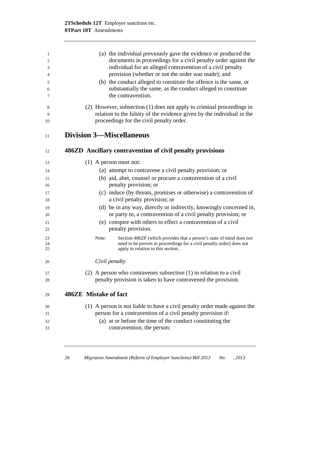| 1        | (a) the individual previously gave the evidence or produced the                                            |
|----------|------------------------------------------------------------------------------------------------------------|
| 2        | documents in proceedings for a civil penalty order against the                                             |
| 3        | individual for an alleged contravention of a civil penalty                                                 |
| 4        | provision (whether or not the order was made); and                                                         |
| 5        | (b) the conduct alleged to constitute the offence is the same, or                                          |
| 6        | substantially the same, as the conduct alleged to constitute                                               |
| 7        | the contravention.                                                                                         |
| 8        | (2) However, subsection (1) does not apply to criminal proceedings in                                      |
| 9        | relation to the falsity of the evidence given by the individual in the                                     |
| 10       | proceedings for the civil penalty order.                                                                   |
| 11       | <b>Division 3—Miscellaneous</b>                                                                            |
|          |                                                                                                            |
| 12       | 486ZD Ancillary contravention of civil penalty provisions                                                  |
| 13       | $(1)$ A person must not:                                                                                   |
| 14       | (a) attempt to contravene a civil penalty provision; or                                                    |
| 15       | (b) aid, abet, counsel or procure a contravention of a civil                                               |
| 16       | penalty provision; or                                                                                      |
| 17       | (c) induce (by threats, promises or otherwise) a contravention of                                          |
| 18       | a civil penalty provision; or                                                                              |
| 19       | (d) be in any way, directly or indirectly, knowingly concerned in,                                         |
| 20       | or party to, a contravention of a civil penalty provision; or                                              |
| 21       | (e) conspire with others to effect a contravention of a civil                                              |
| 22       | penalty provision.                                                                                         |
| 23       | Note:<br>Section 486ZF (which provides that a person's state of mind does not                              |
| 24<br>25 | need to be proven in proceedings for a civil penalty order) does not<br>apply in relation to this section. |
|          |                                                                                                            |
| 26       | Civil penalty                                                                                              |
| 27       | (2) A person who contravenes subsection $(1)$ in relation to a civil                                       |
| 28       | penalty provision is taken to have contravened the provision.                                              |
|          | 486ZE Mistake of fact                                                                                      |
| 29       |                                                                                                            |
| 30       | (1) A person is not liable to have a civil penalty order made against the                                  |
| 31       | person for a contravention of a civil penalty provision if:                                                |
| 32       | (a) at or before the time of the conduct constituting the                                                  |
| 33       | contravention, the person:                                                                                 |
|          |                                                                                                            |
|          |                                                                                                            |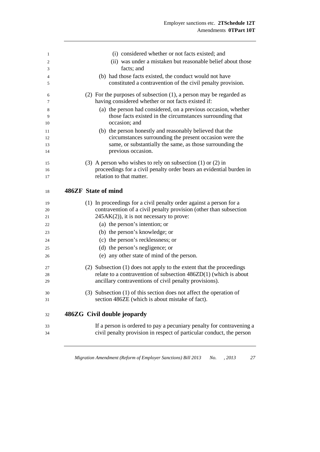| 1        | (i) considered whether or not facts existed; and                                                                                             |
|----------|----------------------------------------------------------------------------------------------------------------------------------------------|
| 2        | (ii) was under a mistaken but reasonable belief about those                                                                                  |
| 3        | facts; and                                                                                                                                   |
| 4        | (b) had those facts existed, the conduct would not have                                                                                      |
| 5        | constituted a contravention of the civil penalty provision.                                                                                  |
| 6<br>7   | $(2)$ For the purposes of subsection $(1)$ , a person may be regarded as<br>having considered whether or not facts existed if:               |
| 8        | (a) the person had considered, on a previous occasion, whether                                                                               |
| 9        | those facts existed in the circumstances surrounding that                                                                                    |
| 10       | occasion; and                                                                                                                                |
| 11       | (b) the person honestly and reasonably believed that the                                                                                     |
| 12       | circumstances surrounding the present occasion were the                                                                                      |
| 13       | same, or substantially the same, as those surrounding the                                                                                    |
| 14       | previous occasion.                                                                                                                           |
| 15       | (3) A person who wishes to rely on subsection $(1)$ or $(2)$ in                                                                              |
| 16       | proceedings for a civil penalty order bears an evidential burden in                                                                          |
| 17       | relation to that matter.                                                                                                                     |
| 18       | 486ZF State of mind                                                                                                                          |
|          |                                                                                                                                              |
| 19       | (1) In proceedings for a civil penalty order against a person for a<br>contravention of a civil penalty provision (other than subsection     |
| 20<br>21 | $245AK(2)$ , it is not necessary to prove:                                                                                                   |
| 22       | (a) the person's intention; or                                                                                                               |
|          | (b) the person's knowledge; or                                                                                                               |
| 23       |                                                                                                                                              |
| 24       | (c) the person's recklessness; or                                                                                                            |
| 25       | (d) the person's negligence; or                                                                                                              |
| 26       | (e) any other state of mind of the person.                                                                                                   |
| 27       | (2) Subsection (1) does not apply to the extent that the proceedings                                                                         |
| 28       | relate to a contravention of subsection $486ZD(1)$ (which is about                                                                           |
| 29       | ancillary contraventions of civil penalty provisions).                                                                                       |
| 30       | (3) Subsection (1) of this section does not affect the operation of                                                                          |
|          | section 486ZE (which is about mistake of fact).                                                                                              |
| 31       |                                                                                                                                              |
| 32       | 486ZG Civil double jeopardy                                                                                                                  |
|          |                                                                                                                                              |
| 33<br>34 | If a person is ordered to pay a pecuniary penalty for contravening a<br>civil penalty provision in respect of particular conduct, the person |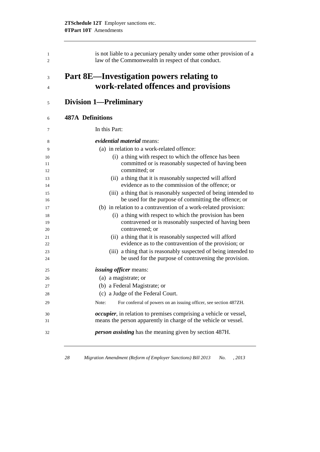| is not liable to a pecuniary penalty under some other provision of a<br>law of the Commonwealth in respect of that conduct.          |
|--------------------------------------------------------------------------------------------------------------------------------------|
| Part 8E—Investigation powers relating to<br>work-related offences and provisions                                                     |
| <b>Division 1-Preliminary</b>                                                                                                        |
| <b>487A Definitions</b>                                                                                                              |
| In this Part:                                                                                                                        |
| evidential material means:                                                                                                           |
| (a) in relation to a work-related offence:                                                                                           |
| (i) a thing with respect to which the offence has been                                                                               |
| committed or is reasonably suspected of having been                                                                                  |
| committed; or                                                                                                                        |
| (ii) a thing that it is reasonably suspected will afford                                                                             |
| evidence as to the commission of the offence; or                                                                                     |
| (iii) a thing that is reasonably suspected of being intended to                                                                      |
| be used for the purpose of committing the offence; or                                                                                |
| (b) in relation to a contravention of a work-related provision:                                                                      |
| (i) a thing with respect to which the provision has been<br>contravened or is reasonably suspected of having been<br>contravened; or |
| (ii) a thing that it is reasonably suspected will afford                                                                             |
| evidence as to the contravention of the provision; or                                                                                |
| (iii) a thing that is reasonably suspected of being intended to                                                                      |
| be used for the purpose of contravening the provision.                                                                               |
| <i>issuing officer</i> means:                                                                                                        |
| (a) a magistrate; or                                                                                                                 |
| (b) a Federal Magistrate; or                                                                                                         |
| (c) a Judge of the Federal Court.                                                                                                    |
| For conferral of powers on an issuing officer, see section 487ZH.<br>Note:                                                           |
| <i>occupier</i> , in relation to premises comprising a vehicle or vessel,                                                            |
| means the person apparently in charge of the vehicle or vessel.                                                                      |
| <i>person assisting</i> has the meaning given by section 487H.                                                                       |
|                                                                                                                                      |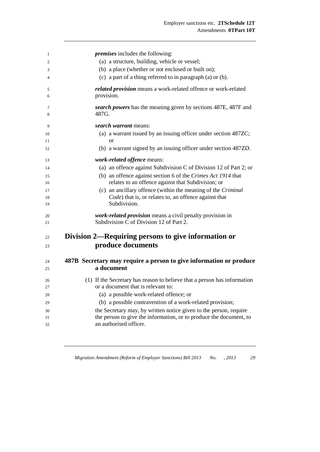| 1        | <i>premises</i> includes the following:                                                              |
|----------|------------------------------------------------------------------------------------------------------|
| 2        | (a) a structure, building, vehicle or vessel;                                                        |
| 3        | (b) a place (whether or not enclosed or built on);                                                   |
| 4        | (c) a part of a thing referred to in paragraph (a) or (b).                                           |
| 5        | related provision means a work-related offence or work-related                                       |
| 6        | provision.                                                                                           |
| 7<br>8   | search powers has the meaning given by sections 487E, 487F and<br>487G.                              |
| 9        | <i>search warrant</i> means:                                                                         |
| 10       | (a) a warrant issued by an issuing officer under section 487ZC;                                      |
| 11       | <b>or</b>                                                                                            |
| 12       | (b) a warrant signed by an issuing officer under section 487ZD.                                      |
| 13       | work-related offence means:                                                                          |
| 14       | (a) an offence against Subdivision C of Division 12 of Part 2; or                                    |
| 15       | (b) an offence against section 6 of the Crimes Act 1914 that                                         |
| 16       | relates to an offence against that Subdivision; or                                                   |
| 17       | (c) an ancillary offence (within the meaning of the Criminal                                         |
| 18<br>19 | Code) that is, or relates to, an offence against that<br>Subdivision.                                |
| 20<br>21 | work-related provision means a civil penalty provision in<br>Subdivision C of Division 12 of Part 2. |
| 22       | Division 2—Requiring persons to give information or                                                  |
| 23       | produce documents                                                                                    |
| 24       | 487B Secretary may require a person to give information or produce                                   |
| 25       | a document                                                                                           |
| 26       | (1) If the Secretary has reason to believe that a person has information                             |
| 27       | or a document that is relevant to:                                                                   |
| 28       | (a) a possible work-related offence; or                                                              |
| 29       | (b) a possible contravention of a work-related provision;                                            |
| 30       | the Secretary may, by written notice given to the person, require                                    |
| 31       | the person to give the information, or to produce the document, to                                   |
| 32       | an authorised officer.                                                                               |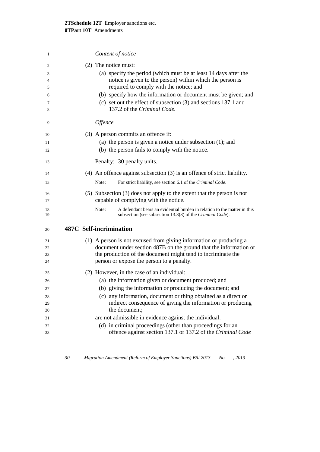| 1                                            | Content of notice                                                                                                                                                                                                                                                                                                                                                      |
|----------------------------------------------|------------------------------------------------------------------------------------------------------------------------------------------------------------------------------------------------------------------------------------------------------------------------------------------------------------------------------------------------------------------------|
| 2<br>3<br>$\overline{4}$<br>5<br>6<br>7<br>8 | (2) The notice must:<br>(a) specify the period (which must be at least 14 days after the<br>notice is given to the person) within which the person is<br>required to comply with the notice; and<br>(b) specify how the information or document must be given; and<br>(c) set out the effect of subsection $(3)$ and sections 137.1 and<br>137.2 of the Criminal Code. |
| 9                                            | <i><b>Offence</b></i>                                                                                                                                                                                                                                                                                                                                                  |
| 10<br>11<br>12                               | (3) A person commits an offence if:<br>(a) the person is given a notice under subsection $(1)$ ; and<br>(b) the person fails to comply with the notice.                                                                                                                                                                                                                |
| 13                                           | Penalty: 30 penalty units.                                                                                                                                                                                                                                                                                                                                             |
| 14<br>15                                     | $(4)$ An offence against subsection $(3)$ is an offence of strict liability.<br>For strict liability, see section 6.1 of the Criminal Code.<br>Note:                                                                                                                                                                                                                   |
| 16<br>17                                     | $(5)$ Subsection $(3)$ does not apply to the extent that the person is not<br>capable of complying with the notice.                                                                                                                                                                                                                                                    |
| 18<br>19                                     | Note:<br>A defendant bears an evidential burden in relation to the matter in this<br>subsection (see subsection 13.3(3) of the Criminal Code).                                                                                                                                                                                                                         |
| 20                                           | 487C Self-incrimination                                                                                                                                                                                                                                                                                                                                                |
| 21<br>22<br>23<br>24                         | (1) A person is not excused from giving information or producing a<br>document under section 487B on the ground that the information or<br>the production of the document might tend to incriminate the<br>person or expose the person to a penalty.                                                                                                                   |
| 25                                           | (2) However, in the case of an individual:                                                                                                                                                                                                                                                                                                                             |
| 26                                           | (a) the information given or document produced; and                                                                                                                                                                                                                                                                                                                    |
| 27                                           | (b) giving the information or producing the document; and                                                                                                                                                                                                                                                                                                              |
| 28<br>29<br>30                               | (c) any information, document or thing obtained as a direct or<br>indirect consequence of giving the information or producing<br>the document:                                                                                                                                                                                                                         |
| 31                                           | are not admissible in evidence against the individual:                                                                                                                                                                                                                                                                                                                 |
| 32<br>33                                     | (d) in criminal proceedings (other than proceedings for an<br>offence against section 137.1 or 137.2 of the Criminal Code                                                                                                                                                                                                                                              |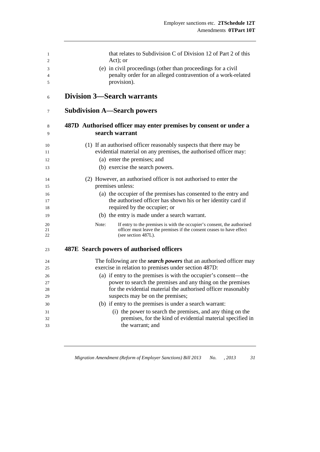| 1<br>2<br>3<br>4 | that relates to Subdivision C of Division 12 of Part 2 of this<br>Act); or<br>(e) in civil proceedings (other than proceedings for a civil<br>penalty order for an alleged contravention of a work-related |
|------------------|------------------------------------------------------------------------------------------------------------------------------------------------------------------------------------------------------------|
| 5                | provision).                                                                                                                                                                                                |
| 6                | <b>Division 3—Search warrants</b>                                                                                                                                                                          |
| 7                | <b>Subdivision A—Search powers</b>                                                                                                                                                                         |
| 8<br>9           | 487D Authorised officer may enter premises by consent or under a<br>search warrant                                                                                                                         |
| 10<br>11         | (1) If an authorised officer reasonably suspects that there may be<br>evidential material on any premises, the authorised officer may:                                                                     |
| 12               | (a) enter the premises; and                                                                                                                                                                                |
| 13               | (b) exercise the search powers.                                                                                                                                                                            |
| 14               | (2) However, an authorised officer is not authorised to enter the                                                                                                                                          |
| 15               | premises unless:                                                                                                                                                                                           |
| 16               | (a) the occupier of the premises has consented to the entry and                                                                                                                                            |
| 17               | the authorised officer has shown his or her identity card if                                                                                                                                               |
| 18               | required by the occupier; or                                                                                                                                                                               |
| 19               | (b) the entry is made under a search warrant.                                                                                                                                                              |
| 20<br>21<br>22   | Note:<br>If entry to the premises is with the occupier's consent, the authorised<br>officer must leave the premises if the consent ceases to have effect<br>(see section 487L).                            |
| 23               | 487E Search powers of authorised officers                                                                                                                                                                  |
| 24               | The following are the <i>search powers</i> that an authorised officer may                                                                                                                                  |
| 25               | exercise in relation to premises under section 487D:                                                                                                                                                       |
| 26               | (a) if entry to the premises is with the occupier's consent—the                                                                                                                                            |
| 27               | power to search the premises and any thing on the premises                                                                                                                                                 |
| 28               | for the evidential material the authorised officer reasonably                                                                                                                                              |
| 29               | suspects may be on the premises;                                                                                                                                                                           |
| 30               | (b) if entry to the premises is under a search warrant:                                                                                                                                                    |
| 31               | (i) the power to search the premises, and any thing on the                                                                                                                                                 |
| 32               | premises, for the kind of evidential material specified in                                                                                                                                                 |
| 33               | the warrant; and                                                                                                                                                                                           |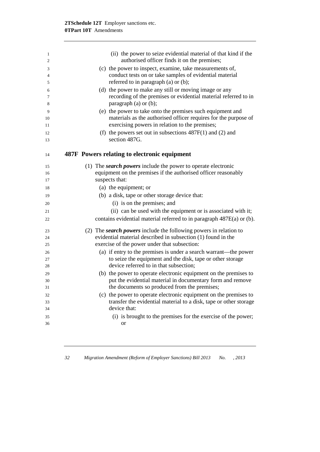| 1<br>$\overline{2}$ | (ii) the power to seize evidential material of that kind if the<br>authorised officer finds it on the premises; |
|---------------------|-----------------------------------------------------------------------------------------------------------------|
|                     | (c) the power to inspect, examine, take measurements of,                                                        |
| 3<br>4              | conduct tests on or take samples of evidential material                                                         |
| 5                   | referred to in paragraph (a) or (b);                                                                            |
|                     | (d) the power to make any still or moving image or any                                                          |
| 6<br>7              | recording of the premises or evidential material referred to in                                                 |
| 8                   | paragraph (a) or (b);                                                                                           |
| 9                   | (e) the power to take onto the premises such equipment and                                                      |
| 10                  | materials as the authorised officer requires for the purpose of                                                 |
| 11                  | exercising powers in relation to the premises;                                                                  |
| 12                  | (f) the powers set out in subsections $487F(1)$ and (2) and                                                     |
| 13                  | section 487G.                                                                                                   |
| 14                  | 487F Powers relating to electronic equipment                                                                    |
|                     |                                                                                                                 |
| 15                  | (1) The <i>search powers</i> include the power to operate electronic                                            |
| 16                  | equipment on the premises if the authorised officer reasonably                                                  |
| 17                  | suspects that:                                                                                                  |
| 18                  | (a) the equipment; or                                                                                           |
| 19                  | (b) a disk, tape or other storage device that:                                                                  |
| 20                  | (i) is on the premises; and                                                                                     |
| 21                  | (ii) can be used with the equipment or is associated with it;                                                   |
| 22                  | contains evidential material referred to in paragraph 487E(a) or (b).                                           |
| 23                  | (2) The search powers include the following powers in relation to                                               |
| 24                  | evidential material described in subsection (1) found in the                                                    |
| 25                  | exercise of the power under that subsection:                                                                    |
| 26                  | (a) if entry to the premises is under a search warrant—the power                                                |
| 27                  | to seize the equipment and the disk, tape or other storage                                                      |
| 28                  | device referred to in that subsection;                                                                          |
| 29                  | (b) the power to operate electronic equipment on the premises to                                                |
| 30                  | put the evidential material in documentary form and remove                                                      |
| $31\,$              | the documents so produced from the premises;                                                                    |
| 32                  | (c) the power to operate electronic equipment on the premises to                                                |
| 33                  | transfer the evidential material to a disk, tape or other storage                                               |
| 34                  | device that:                                                                                                    |
| 35                  | (i) is brought to the premises for the exercise of the power;                                                   |
| 36                  | <b>or</b>                                                                                                       |
|                     |                                                                                                                 |

*32 Migration Amendment (Reform of Employer Sanctions) Bill 2013 No. , 2013*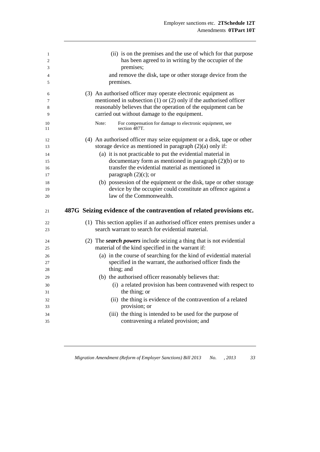| $\mathbf{1}$<br>2<br>3<br>$\overline{4}$<br>5 | (ii) is on the premises and the use of which for that purpose<br>has been agreed to in writing by the occupier of the<br>premises;<br>and remove the disk, tape or other storage device from the<br>premises.                                            |
|-----------------------------------------------|----------------------------------------------------------------------------------------------------------------------------------------------------------------------------------------------------------------------------------------------------------|
| 6<br>7<br>8<br>9                              | (3) An authorised officer may operate electronic equipment as<br>mentioned in subsection $(1)$ or $(2)$ only if the authorised officer<br>reasonably believes that the operation of the equipment can be<br>carried out without damage to the equipment. |
| 10<br>11                                      | For compensation for damage to electronic equipment, see<br>Note:<br>section 487T.                                                                                                                                                                       |
| 12<br>13                                      | (4) An authorised officer may seize equipment or a disk, tape or other<br>storage device as mentioned in paragraph $(2)(a)$ only if:                                                                                                                     |
| 14                                            | (a) it is not practicable to put the evidential material in                                                                                                                                                                                              |
| 15                                            | documentary form as mentioned in paragraph $(2)(b)$ or to                                                                                                                                                                                                |
| 16<br>17                                      | transfer the evidential material as mentioned in<br>paragraph $(2)(c)$ ; or                                                                                                                                                                              |
| 18                                            | (b) possession of the equipment or the disk, tape or other storage                                                                                                                                                                                       |
| 19                                            | device by the occupier could constitute an offence against a                                                                                                                                                                                             |
| 20                                            | law of the Commonwealth.                                                                                                                                                                                                                                 |
|                                               |                                                                                                                                                                                                                                                          |
| 21                                            | 487G Seizing evidence of the contravention of related provisions etc.                                                                                                                                                                                    |
| 22<br>23                                      | (1) This section applies if an authorised officer enters premises under a<br>search warrant to search for evidential material.                                                                                                                           |
| 24                                            | (2) The search powers include seizing a thing that is not evidential                                                                                                                                                                                     |
| 25                                            | material of the kind specified in the warrant if:                                                                                                                                                                                                        |
| 26                                            | (a) in the course of searching for the kind of evidential material                                                                                                                                                                                       |
| 27                                            | specified in the warrant, the authorised officer finds the                                                                                                                                                                                               |
| 28                                            | thing; and                                                                                                                                                                                                                                               |
| 29                                            | (b) the authorised officer reasonably believes that:                                                                                                                                                                                                     |
| 30<br>31                                      | (i) a related provision has been contravened with respect to<br>the thing; or                                                                                                                                                                            |
| 32                                            | (11)                                                                                                                                                                                                                                                     |
| 33                                            | the thing is evidence of the contravention of a related<br>provision; or                                                                                                                                                                                 |
| 34                                            | (iii) the thing is intended to be used for the purpose of<br>contravening a related provision; and                                                                                                                                                       |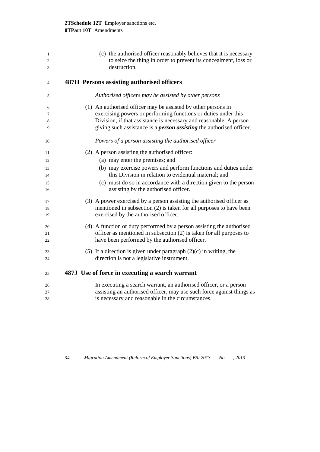| 1              | (c) the authorised officer reasonably believes that it is necessary         |
|----------------|-----------------------------------------------------------------------------|
| $\mathfrak{2}$ | to seize the thing in order to prevent its concealment, loss or             |
| 3              | destruction.                                                                |
| 4              | 487H Persons assisting authorised officers                                  |
| 5              | Authorised officers may be assisted by other persons                        |
| 6              | (1) An authorised officer may be assisted by other persons in               |
| 7              | exercising powers or performing functions or duties under this              |
| 8              | Division, if that assistance is necessary and reasonable. A person          |
| 9              | giving such assistance is a <i>person assisting</i> the authorised officer. |
| 10             | Powers of a person assisting the authorised officer                         |
| 11             | (2) A person assisting the authorised officer:                              |
| 12             | (a) may enter the premises; and                                             |
| 13             | (b) may exercise powers and perform functions and duties under              |
| 14             | this Division in relation to evidential material; and                       |
| 15             | (c) must do so in accordance with a direction given to the person           |
| 16             | assisting by the authorised officer.                                        |
| 17             | (3) A power exercised by a person assisting the authorised officer as       |
| 18             | mentioned in subsection (2) is taken for all purposes to have been          |
| 19             | exercised by the authorised officer.                                        |
| 20             | (4) A function or duty performed by a person assisting the authorised       |
| 21             | officer as mentioned in subsection (2) is taken for all purposes to         |
| 22             | have been performed by the authorised officer.                              |
| 23             | (5) If a direction is given under paragraph $(2)(c)$ in writing, the        |
| 24             | direction is not a legislative instrument.                                  |
| 25             | 487J Use of force in executing a search warrant                             |
| 26             | In executing a search warrant, an authorised officer, or a person           |
| 27             | assisting an authorised officer, may use such force against things as       |
| 28             | is necessary and reasonable in the circumstances.                           |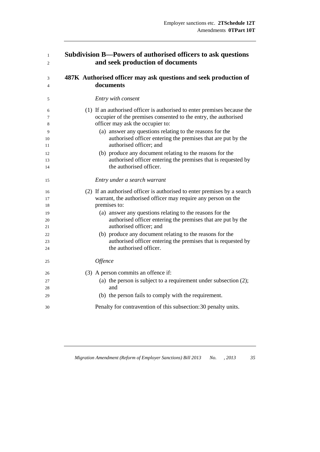| 1  | Subdivision B—Powers of authorised officers to ask questions             |
|----|--------------------------------------------------------------------------|
| 2  | and seek production of documents                                         |
| 3  | 487K Authorised officer may ask questions and seek production of         |
| 4  | documents                                                                |
| 5  | Entry with consent                                                       |
| 6  | (1) If an authorised officer is authorised to enter premises because the |
| 7  | occupier of the premises consented to the entry, the authorised          |
| 8  | officer may ask the occupier to:                                         |
| 9  | (a) answer any questions relating to the reasons for the                 |
| 10 | authorised officer entering the premises that are put by the             |
| 11 | authorised officer; and                                                  |
| 12 | (b) produce any document relating to the reasons for the                 |
| 13 | authorised officer entering the premises that is requested by            |
| 14 | the authorised officer.                                                  |
| 15 | Entry under a search warrant                                             |
| 16 | (2) If an authorised officer is authorised to enter premises by a search |
| 17 | warrant, the authorised officer may require any person on the            |
| 18 | premises to:                                                             |
| 19 | (a) answer any questions relating to the reasons for the                 |
| 20 | authorised officer entering the premises that are put by the             |
| 21 | authorised officer; and                                                  |
| 22 | (b) produce any document relating to the reasons for the                 |
| 23 | authorised officer entering the premises that is requested by            |
| 24 | the authorised officer.                                                  |
| 25 | Offence                                                                  |
| 26 | (3) A person commits an offence if:                                      |
| 27 | (a) the person is subject to a requirement under subsection $(2)$ ;      |
| 28 | and                                                                      |
| 29 | (b) the person fails to comply with the requirement.                     |
| 30 | Penalty for contravention of this subsection: 30 penalty units.          |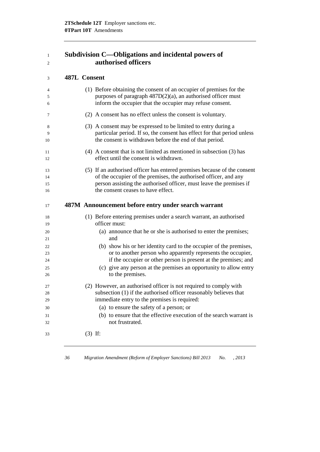| Subdivision C—Obligations and incidental powers of |
|----------------------------------------------------|
| authorised officers                                |

## **487L Consent**

| $\overline{4}$<br>5 | (1) Before obtaining the consent of an occupier of premises for the<br>purposes of paragraph $487D(2)(a)$ , an authorised officer must<br>inform the occupier that the occupier may refuse consent. |
|---------------------|-----------------------------------------------------------------------------------------------------------------------------------------------------------------------------------------------------|
| 6                   |                                                                                                                                                                                                     |
| 7                   | (2) A consent has no effect unless the consent is voluntary.                                                                                                                                        |
| 8                   | (3) A consent may be expressed to be limited to entry during a                                                                                                                                      |
| 9<br>10             | particular period. If so, the consent has effect for that period unless<br>the consent is withdrawn before the end of that period.                                                                  |
| 11<br>12            | $(4)$ A consent that is not limited as mentioned in subsection $(3)$ has<br>effect until the consent is withdrawn.                                                                                  |
|                     |                                                                                                                                                                                                     |
| 13                  | (5) If an authorised officer has entered premises because of the consent                                                                                                                            |
| 14                  | of the occupier of the premises, the authorised officer, and any                                                                                                                                    |
| 15<br>16            | person assisting the authorised officer, must leave the premises if<br>the consent ceases to have effect.                                                                                           |
|                     |                                                                                                                                                                                                     |
| 17                  | 487M Announcement before entry under search warrant                                                                                                                                                 |
| 18<br>19            | (1) Before entering premises under a search warrant, an authorised<br>officer must:                                                                                                                 |
| 20<br>21            | (a) announce that he or she is authorised to enter the premises;<br>and                                                                                                                             |
| 22                  | (b) show his or her identity card to the occupier of the premises,                                                                                                                                  |
| 23                  | or to another person who apparently represents the occupier,                                                                                                                                        |
| 24                  | if the occupier or other person is present at the premises; and                                                                                                                                     |
| 25                  | (c) give any person at the premises an opportunity to allow entry                                                                                                                                   |
| 26                  | to the premises.                                                                                                                                                                                    |
| 27                  | (2) However, an authorised officer is not required to comply with                                                                                                                                   |
| 28                  | subsection (1) if the authorised officer reasonably believes that                                                                                                                                   |
| 29                  | immediate entry to the premises is required:                                                                                                                                                        |
| 30                  | (a) to ensure the safety of a person; or                                                                                                                                                            |
| 31                  | (b) to ensure that the effective execution of the search warrant is                                                                                                                                 |
| 32                  | not frustrated.                                                                                                                                                                                     |
| 33                  | $(3)$ If:                                                                                                                                                                                           |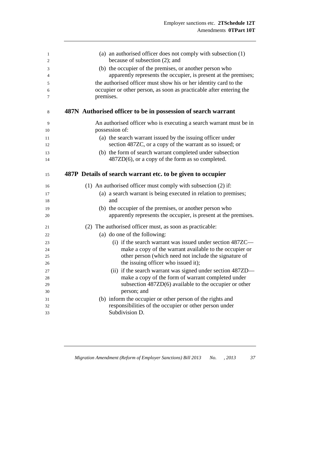| 1        | (a) an authorised officer does not comply with subsection $(1)$       |
|----------|-----------------------------------------------------------------------|
| 2        | because of subsection (2); and                                        |
| 3        | (b) the occupier of the premises, or another person who               |
| 4        | apparently represents the occupier, is present at the premises;       |
| 5        | the authorised officer must show his or her identity card to the      |
| 6        | occupier or other person, as soon as practicable after entering the   |
| 7        | premises.                                                             |
| 8        | 487N Authorised officer to be in possession of search warrant         |
| 9        | An authorised officer who is executing a search warrant must be in    |
| 10       | possession of:                                                        |
| 11       | (a) the search warrant issued by the issuing officer under            |
| 12       | section 487ZC, or a copy of the warrant as so issued; or              |
| 13       | (b) the form of search warrant completed under subsection             |
| 14       | 487ZD(6), or a copy of the form as so completed.                      |
| 15       | 487P Details of search warrant etc. to be given to occupier           |
| 16       | (1) An authorised officer must comply with subsection (2) if:         |
| 17       | (a) a search warrant is being executed in relation to premises;       |
| 18       | and                                                                   |
| 19       | (b) the occupier of the premises, or another person who               |
| 20       | apparently represents the occupier, is present at the premises.       |
| 21       | (2) The authorised officer must, as soon as practicable:              |
| 22       | (a) do one of the following:                                          |
| 23       | (i) if the search warrant was issued under section 487ZC—             |
| 24       | make a copy of the warrant available to the occupier or               |
| 25       | other person (which need not include the signature of                 |
| 26       | the issuing officer who issued it);                                   |
| 27       | (ii) if the search warrant was signed under section 487ZD—            |
| 28       | make a copy of the form of warrant completed under                    |
| 29<br>30 | subsection 487ZD(6) available to the occupier or other<br>person; and |
| 31       | (b) inform the occupier or other person of the rights and             |
| 32       | responsibilities of the occupier or other person under                |
| 33       | Subdivision D.                                                        |
|          |                                                                       |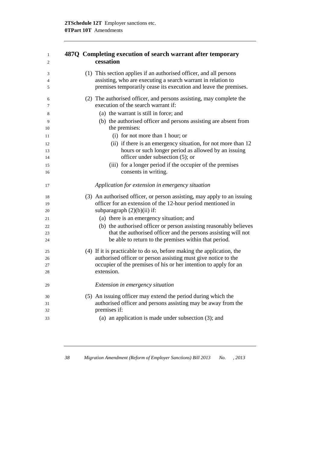### **487Q Completing execution of search warrant after temporary cessation**

| 3       | (1) This section applies if an authorised officer, and all persons                                         |
|---------|------------------------------------------------------------------------------------------------------------|
| 4       | assisting, who are executing a search warrant in relation to                                               |
| 5       | premises temporarily cease its execution and leave the premises.                                           |
| 6       | (2) The authorised officer, and persons assisting, may complete the<br>execution of the search warrant if: |
| 7       |                                                                                                            |
| 8       | (a) the warrant is still in force; and                                                                     |
| 9<br>10 | (b) the authorised officer and persons assisting are absent from<br>the premises:                          |
| 11      | (i) for not more than 1 hour; or                                                                           |
| 12      | (ii) if there is an emergency situation, for not more than 12                                              |
| 13      | hours or such longer period as allowed by an issuing                                                       |
| 14      | officer under subsection (5); or                                                                           |
| 15      | (iii) for a longer period if the occupier of the premises                                                  |
| 16      | consents in writing.                                                                                       |
| 17      | Application for extension in emergency situation                                                           |
| 18      | (3) An authorised officer, or person assisting, may apply to an issuing                                    |
| 19      | officer for an extension of the 12-hour period mentioned in                                                |
| 20      | subparagraph $(2)(b)(ii)$ if:                                                                              |
| 21      | (a) there is an emergency situation; and                                                                   |
| 22      | (b) the authorised officer or person assisting reasonably believes                                         |
| 23      | that the authorised officer and the persons assisting will not                                             |
| 24      | be able to return to the premises within that period.                                                      |
| 25      | (4) If it is practicable to do so, before making the application, the                                      |
| 26      | authorised officer or person assisting must give notice to the                                             |
| 27      | occupier of the premises of his or her intention to apply for an                                           |
| 28      | extension.                                                                                                 |
| 29      | Extension in emergency situation                                                                           |
| 30      | (5) An issuing officer may extend the period during which the                                              |
| 31      | authorised officer and persons assisting may be away from the                                              |
| 32      | premises if:                                                                                               |
| 33      | (a) an application is made under subsection $(3)$ ; and                                                    |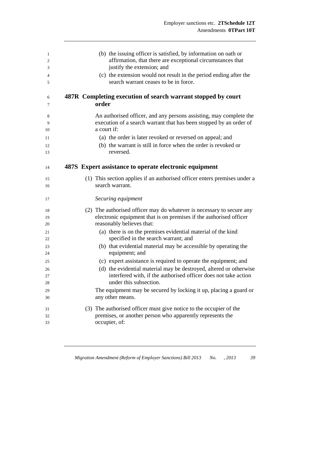| 1  | (b) the issuing officer is satisfied, by information on oath or           |
|----|---------------------------------------------------------------------------|
| 2  | affirmation, that there are exceptional circumstances that                |
| 3  | justify the extension; and                                                |
| 4  | (c) the extension would not result in the period ending after the         |
| 5  | search warrant ceases to be in force.                                     |
| 6  | 487R Completing execution of search warrant stopped by court              |
| 7  | order                                                                     |
| 8  | An authorised officer, and any persons assisting, may complete the        |
| 9  | execution of a search warrant that has been stopped by an order of        |
| 10 | a court if:                                                               |
| 11 | (a) the order is later revoked or reversed on appeal; and                 |
| 12 | (b) the warrant is still in force when the order is revoked or            |
| 13 | reversed.                                                                 |
| 14 | 487S Expert assistance to operate electronic equipment                    |
| 15 | (1) This section applies if an authorised officer enters premises under a |
| 16 | search warrant.                                                           |
| 17 | Securing equipment                                                        |
| 18 | (2) The authorised officer may do whatever is necessary to secure any     |
| 19 | electronic equipment that is on premises if the authorised officer        |
| 20 | reasonably believes that:                                                 |
| 21 | (a) there is on the premises evidential material of the kind              |
| 22 | specified in the search warrant; and                                      |
| 23 | (b) that evidential material may be accessible by operating the           |
| 24 | equipment; and                                                            |
| 25 | (c) expert assistance is required to operate the equipment; and           |
| 26 | (d) the evidential material may be destroyed, altered or otherwise        |
| 27 | interfered with, if the authorised officer does not take action           |
| 28 | under this subsection.                                                    |
| 29 | The equipment may be secured by locking it up, placing a guard or         |
| 30 | any other means.                                                          |
| 31 | (3) The authorised officer must give notice to the occupier of the        |
| 32 | premises, or another person who apparently represents the                 |
| 33 | occupier, of:                                                             |
|    |                                                                           |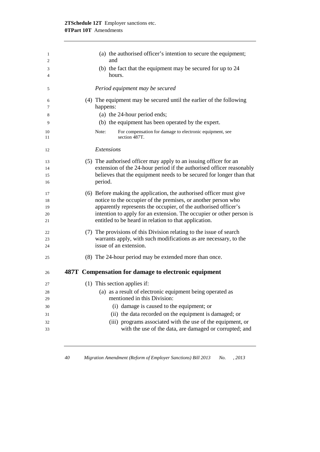### **2TSchedule 12T** Employer sanctions etc. **0TPart 10T** Amendments

| 1        | (a) the authorised officer's intention to secure the equipment;                                                               |
|----------|-------------------------------------------------------------------------------------------------------------------------------|
| 2        | and                                                                                                                           |
| 3<br>4   | (b) the fact that the equipment may be secured for up to 24<br>hours.                                                         |
| 5        | Period equipment may be secured                                                                                               |
| 6        | (4) The equipment may be secured until the earlier of the following                                                           |
| 7        | happens:                                                                                                                      |
| 8        | (a) the 24-hour period ends;                                                                                                  |
| 9        | (b) the equipment has been operated by the expert.                                                                            |
| 10<br>11 | For compensation for damage to electronic equipment, see<br>Note:<br>section 487T.                                            |
| 12       | <b>Extensions</b>                                                                                                             |
| 13       | (5) The authorised officer may apply to an issuing officer for an                                                             |
| 14       | extension of the 24-hour period if the authorised officer reasonably                                                          |
| 15       | believes that the equipment needs to be secured for longer than that                                                          |
| 16       | period.                                                                                                                       |
| 17       | (6) Before making the application, the authorised officer must give                                                           |
| 18       | notice to the occupier of the premises, or another person who                                                                 |
| 19       | apparently represents the occupier, of the authorised officer's                                                               |
| 20<br>21 | intention to apply for an extension. The occupier or other person is<br>entitled to be heard in relation to that application. |
| 22       | (7) The provisions of this Division relating to the issue of search                                                           |
| 23       | warrants apply, with such modifications as are necessary, to the                                                              |
| 24       | issue of an extension.                                                                                                        |
| 25       | (8) The 24-hour period may be extended more than once.                                                                        |
| 26       | 487T Compensation for damage to electronic equipment                                                                          |
| 27       | (1) This section applies if:                                                                                                  |
| 28       | (a) as a result of electronic equipment being operated as                                                                     |
| 29       | mentioned in this Division:                                                                                                   |
| 30       | (i) damage is caused to the equipment; or                                                                                     |
| 31       | (ii) the data recorded on the equipment is damaged; or                                                                        |
| 32       | (iii) programs associated with the use of the equipment, or                                                                   |
| 33       | with the use of the data, are damaged or corrupted; and                                                                       |
|          |                                                                                                                               |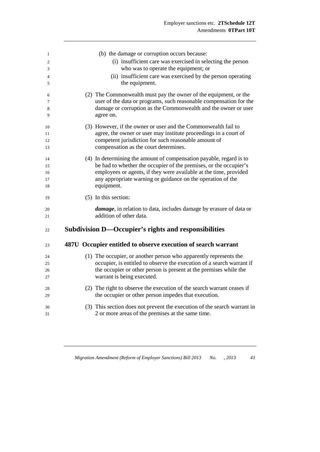| 1  | (b) the damage or corruption occurs because:                               |
|----|----------------------------------------------------------------------------|
| 2  | (i) insufficient care was exercised in selecting the person                |
| 3  | who was to operate the equipment; or                                       |
| 4  | (ii) insufficient care was exercised by the person operating               |
| 5  | the equipment.                                                             |
| 6  | (2) The Commonwealth must pay the owner of the equipment, or the           |
| 7  | user of the data or programs, such reasonable compensation for the         |
| 8  | damage or corruption as the Commonwealth and the owner or user             |
| 9  | agree on.                                                                  |
| 10 | (3) However, if the owner or user and the Commonwealth fail to             |
| 11 | agree, the owner or user may institute proceedings in a court of           |
| 12 | competent jurisdiction for such reasonable amount of                       |
| 13 | compensation as the court determines.                                      |
| 14 | (4) In determining the amount of compensation payable, regard is to        |
| 15 | be had to whether the occupier of the premises, or the occupier's          |
| 16 | employees or agents, if they were available at the time, provided          |
| 17 | any appropriate warning or guidance on the operation of the                |
| 18 | equipment.                                                                 |
| 19 | (5) In this section:                                                       |
| 20 | <i>damage</i> , in relation to data, includes damage by erasure of data or |
| 21 | addition of other data.                                                    |
| 22 | Subdivision D—Occupier's rights and responsibilities                       |
| 23 | 487U Occupier entitled to observe execution of search warrant              |
| 24 | (1) The occupier, or another person who apparently represents the          |
| 25 | occupier, is entitled to observe the execution of a search warrant if      |
| 26 | the occupier or other person is present at the premises while the          |
| 27 | warrant is being executed.                                                 |
| 28 | (2) The right to observe the execution of the search warrant ceases if     |
| 29 | the occupier or other person impedes that execution.                       |
| 30 | (3) This section does not prevent the execution of the search warrant in   |
| 31 | 2 or more areas of the premises at the same time.                          |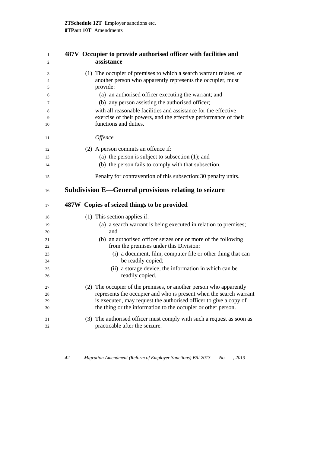| 1<br>2      | 487V Occupier to provide authorised officer with facilities and<br>assistance                                                                 |
|-------------|-----------------------------------------------------------------------------------------------------------------------------------------------|
| 3<br>4<br>5 | (1) The occupier of premises to which a search warrant relates, or<br>another person who apparently represents the occupier, must<br>provide: |
| 6           | (a) an authorised officer executing the warrant; and                                                                                          |
| 7           | (b) any person assisting the authorised officer;                                                                                              |
| 8           | with all reasonable facilities and assistance for the effective                                                                               |
| 9<br>10     | exercise of their powers, and the effective performance of their<br>functions and duties.                                                     |
| 11          | <i><b>Offence</b></i>                                                                                                                         |
| 12          | (2) A person commits an offence if:                                                                                                           |
| 13          | (a) the person is subject to subsection $(1)$ ; and                                                                                           |
| 14          | (b) the person fails to comply with that subsection.                                                                                          |
| 15          | Penalty for contravention of this subsection: 30 penalty units.                                                                               |
| 16          | Subdivision E—General provisions relating to seizure                                                                                          |
| 17          | 487W Copies of seized things to be provided                                                                                                   |
| 18          | (1) This section applies if:                                                                                                                  |
| 19<br>20    | (a) a search warrant is being executed in relation to premises;<br>and                                                                        |
| 21<br>22    | (b) an authorised officer seizes one or more of the following<br>from the premises under this Division:                                       |
| 23          | (i) a document, film, computer file or other thing that can                                                                                   |
| 24          | be readily copied;                                                                                                                            |
| 25          | (ii) a storage device, the information in which can be                                                                                        |
| 26          | readily copied.                                                                                                                               |
| 27          | (2) The occupier of the premises, or another person who apparently                                                                            |
| 28          | represents the occupier and who is present when the search warrant                                                                            |
| 29          | is executed, may request the authorised officer to give a copy of                                                                             |
| 30          | the thing or the information to the occupier or other person.                                                                                 |
| 31          | (3) The authorised officer must comply with such a request as soon as                                                                         |
| 32          | practicable after the seizure.                                                                                                                |
|             |                                                                                                                                               |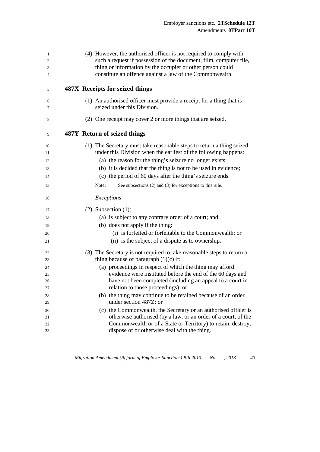| (4) However, the authorised officer is not required to comply with<br>such a request if possession of the document, film, computer file,<br>thing or information by the occupier or other person could<br>constitute an offence against a law of the Commonwealth.                                                                                                                                                                                                                                                                                                                                                                                                                              |
|-------------------------------------------------------------------------------------------------------------------------------------------------------------------------------------------------------------------------------------------------------------------------------------------------------------------------------------------------------------------------------------------------------------------------------------------------------------------------------------------------------------------------------------------------------------------------------------------------------------------------------------------------------------------------------------------------|
| 487X Receipts for seized things                                                                                                                                                                                                                                                                                                                                                                                                                                                                                                                                                                                                                                                                 |
| (1) An authorised officer must provide a receipt for a thing that is<br>seized under this Division.                                                                                                                                                                                                                                                                                                                                                                                                                                                                                                                                                                                             |
| (2) One receipt may cover 2 or more things that are seized.                                                                                                                                                                                                                                                                                                                                                                                                                                                                                                                                                                                                                                     |
| 487Y Return of seized things                                                                                                                                                                                                                                                                                                                                                                                                                                                                                                                                                                                                                                                                    |
| (1) The Secretary must take reasonable steps to return a thing seized<br>under this Division when the earliest of the following happens:<br>(a) the reason for the thing's seizure no longer exists;<br>(b) it is decided that the thing is not to be used in evidence;<br>(c) the period of 60 days after the thing's seizure ends.<br>Note:<br>See subsections (2) and (3) for exceptions to this rule.                                                                                                                                                                                                                                                                                       |
| Exceptions                                                                                                                                                                                                                                                                                                                                                                                                                                                                                                                                                                                                                                                                                      |
| $(2)$ Subsection $(1)$ :<br>(a) is subject to any contrary order of a court; and<br>(b) does not apply if the thing:<br>(i) is forfeited or forfeitable to the Commonwealth; or<br>(ii) is the subject of a dispute as to ownership.                                                                                                                                                                                                                                                                                                                                                                                                                                                            |
| (3) The Secretary is not required to take reasonable steps to return a<br>thing because of paragraph $(1)(c)$ if:<br>(a) proceedings in respect of which the thing may afford<br>evidence were instituted before the end of the 60 days and<br>have not been completed (including an appeal to a court in<br>relation to those proceedings); or<br>(b) the thing may continue to be retained because of an order<br>under section 487Z; or<br>(c) the Commonwealth, the Secretary or an authorised officer is<br>otherwise authorised (by a law, or an order of a court, of the<br>Commonwealth or of a State or Territory) to retain, destroy,<br>dispose of or otherwise deal with the thing. |
|                                                                                                                                                                                                                                                                                                                                                                                                                                                                                                                                                                                                                                                                                                 |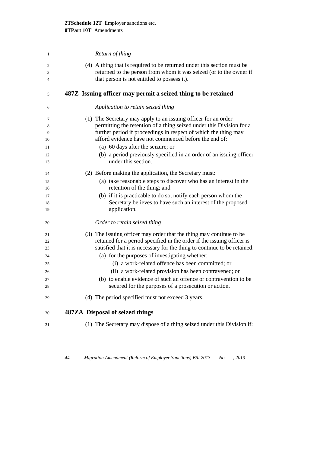| 1                                            | Return of thing                                                                                                                                                                                                                                                                                                                                                                                                                                                                                                        |
|----------------------------------------------|------------------------------------------------------------------------------------------------------------------------------------------------------------------------------------------------------------------------------------------------------------------------------------------------------------------------------------------------------------------------------------------------------------------------------------------------------------------------------------------------------------------------|
| 2<br>3<br>4                                  | (4) A thing that is required to be returned under this section must be<br>returned to the person from whom it was seized (or to the owner if<br>that person is not entitled to possess it).                                                                                                                                                                                                                                                                                                                            |
| 5                                            | 487Z Issuing officer may permit a seized thing to be retained                                                                                                                                                                                                                                                                                                                                                                                                                                                          |
| 6                                            | Application to retain seized thing                                                                                                                                                                                                                                                                                                                                                                                                                                                                                     |
| 7<br>8<br>9<br>10<br>11<br>12<br>13          | (1) The Secretary may apply to an issuing officer for an order<br>permitting the retention of a thing seized under this Division for a<br>further period if proceedings in respect of which the thing may<br>afford evidence have not commenced before the end of:<br>(a) 60 days after the seizure; or<br>(b) a period previously specified in an order of an issuing officer<br>under this section.                                                                                                                  |
| 14<br>15<br>16<br>17<br>18<br>19             | (2) Before making the application, the Secretary must:<br>(a) take reasonable steps to discover who has an interest in the<br>retention of the thing; and<br>(b) if it is practicable to do so, notify each person whom the<br>Secretary believes to have such an interest of the proposed<br>application.                                                                                                                                                                                                             |
| 20                                           | Order to retain seized thing                                                                                                                                                                                                                                                                                                                                                                                                                                                                                           |
| 21<br>22<br>23<br>24<br>25<br>26<br>27<br>28 | (3) The issuing officer may order that the thing may continue to be<br>retained for a period specified in the order if the issuing officer is<br>satisfied that it is necessary for the thing to continue to be retained:<br>(a) for the purposes of investigating whether:<br>(i) a work-related offence has been committed; or<br>(ii) a work-related provision has been contravened; or<br>(b) to enable evidence of such an offence or contravention to be<br>secured for the purposes of a prosecution or action. |
| 29                                           | (4) The period specified must not exceed 3 years.                                                                                                                                                                                                                                                                                                                                                                                                                                                                      |
| 30                                           | 487ZA Disposal of seized things                                                                                                                                                                                                                                                                                                                                                                                                                                                                                        |
| 31                                           | (1) The Secretary may dispose of a thing seized under this Division if:                                                                                                                                                                                                                                                                                                                                                                                                                                                |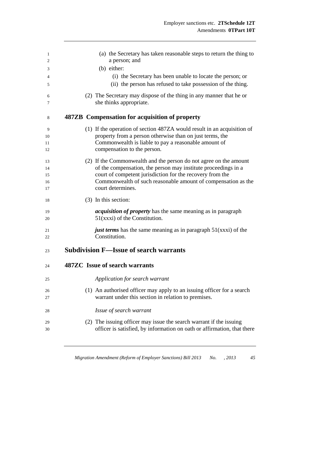| 1        | (a) the Secretary has taken reasonable steps to return the thing to                |
|----------|------------------------------------------------------------------------------------|
| 2        | a person; and                                                                      |
| 3        | (b) either:                                                                        |
| 4        | (i) the Secretary has been unable to locate the person; or                         |
| 5        | (ii) the person has refused to take possession of the thing.                       |
| 6        | (2) The Secretary may dispose of the thing in any manner that he or                |
| 7        | she thinks appropriate.                                                            |
| 8        | 487ZB Compensation for acquisition of property                                     |
| 9        | (1) If the operation of section 487ZA would result in an acquisition of            |
| 10       | property from a person otherwise than on just terms, the                           |
| 11       | Commonwealth is liable to pay a reasonable amount of                               |
| 12       | compensation to the person.                                                        |
| 13       | (2) If the Commonwealth and the person do not agree on the amount                  |
| 14       | of the compensation, the person may institute proceedings in a                     |
| 15       | court of competent jurisdiction for the recovery from the                          |
| 16       | Commonwealth of such reasonable amount of compensation as the                      |
| 17       | court determines.                                                                  |
| 18       | (3) In this section:                                                               |
| 19       | <i>acquisition of property</i> has the same meaning as in paragraph                |
| 20       | $51(xxxi)$ of the Constitution.                                                    |
| 21<br>22 | just terms has the same meaning as in paragraph $51(xxxi)$ of the<br>Constitution. |
| 23       | <b>Subdivision F—Issue of search warrants</b>                                      |
| 24       | 487ZC Issue of search warrants                                                     |
| 25       | Application for search warrant                                                     |
| 26       | (1) An authorised officer may apply to an issuing officer for a search             |
| 27       | warrant under this section in relation to premises.                                |
| 28       | Issue of search warrant                                                            |
| 29       | (2) The issuing officer may issue the search warrant if the issuing                |
| 30       | officer is satisfied, by information on oath or affirmation, that there            |
|          |                                                                                    |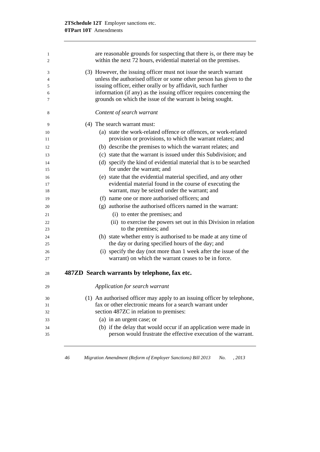| 1<br>2         | are reasonable grounds for suspecting that there is, or there may be<br>within the next 72 hours, evidential material on the premises. |
|----------------|----------------------------------------------------------------------------------------------------------------------------------------|
| 3              | (3) However, the issuing officer must not issue the search warrant                                                                     |
| $\overline{4}$ | unless the authorised officer or some other person has given to the                                                                    |
| 5              | issuing officer, either orally or by affidavit, such further                                                                           |
| 6              | information (if any) as the issuing officer requires concerning the                                                                    |
| 7              | grounds on which the issue of the warrant is being sought.                                                                             |
| 8              | Content of search warrant                                                                                                              |
| 9              | (4) The search warrant must:                                                                                                           |
| 10             | (a) state the work-related offence or offences, or work-related                                                                        |
| 11             | provision or provisions, to which the warrant relates; and                                                                             |
| 12             | (b) describe the premises to which the warrant relates; and                                                                            |
| 13             | (c) state that the warrant is issued under this Subdivision; and                                                                       |
| 14             | (d) specify the kind of evidential material that is to be searched                                                                     |
| 15             | for under the warrant; and                                                                                                             |
| 16             | (e) state that the evidential material specified, and any other                                                                        |
| 17             | evidential material found in the course of executing the                                                                               |
| 18             | warrant, may be seized under the warrant; and                                                                                          |
| 19             | (f) name one or more authorised officers; and                                                                                          |
| 20             | (g) authorise the authorised officers named in the warrant:                                                                            |
| 21             | (i) to enter the premises; and                                                                                                         |
| 22             | (ii) to exercise the powers set out in this Division in relation                                                                       |
| 23             | to the premises; and                                                                                                                   |
| 24             | (h) state whether entry is authorised to be made at any time of                                                                        |
| 25             | the day or during specified hours of the day; and                                                                                      |
| 26             | (i) specify the day (not more than 1 week after the issue of the                                                                       |
| 27             | warrant) on which the warrant ceases to be in force.                                                                                   |
| 28             | 487ZD Search warrants by telephone, fax etc.                                                                                           |
| 29             | Application for search warrant                                                                                                         |
| 30             | (1) An authorised officer may apply to an issuing officer by telephone,                                                                |
| 31             | fax or other electronic means for a search warrant under                                                                               |
| 32             | section 487ZC in relation to premises:                                                                                                 |
| 33             | (a) in an urgent case; or                                                                                                              |
| 34             | (b) if the delay that would occur if an application were made in                                                                       |
| 35             | person would frustrate the effective execution of the warrant.                                                                         |
|                |                                                                                                                                        |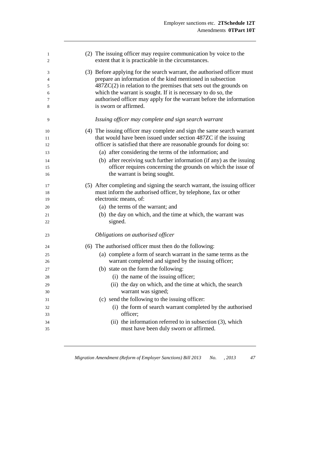| 1<br>2 | (2) The issuing officer may require communication by voice to the<br>extent that it is practicable in the circumstances. |  |
|--------|--------------------------------------------------------------------------------------------------------------------------|--|
| 3      | (3) Before applying for the search warrant, the authorised officer must                                                  |  |
| 4      | prepare an information of the kind mentioned in subsection                                                               |  |
| 5      | $487ZC(2)$ in relation to the premises that sets out the grounds on                                                      |  |
| 6      | which the warrant is sought. If it is necessary to do so, the                                                            |  |
| 7      | authorised officer may apply for the warrant before the information                                                      |  |
| 8      | is sworn or affirmed.                                                                                                    |  |
| 9      | Issuing officer may complete and sign search warrant                                                                     |  |
| 10     | (4) The issuing officer may complete and sign the same search warrant                                                    |  |
| 11     | that would have been issued under section 487ZC if the issuing                                                           |  |
| 12     | officer is satisfied that there are reasonable grounds for doing so:                                                     |  |
| 13     | (a) after considering the terms of the information; and                                                                  |  |
| 14     | (b) after receiving such further information (if any) as the issuing                                                     |  |
| 15     | officer requires concerning the grounds on which the issue of                                                            |  |
| 16     | the warrant is being sought.                                                                                             |  |
| 17     | (5) After completing and signing the search warrant, the issuing officer                                                 |  |
| 18     | must inform the authorised officer, by telephone, fax or other                                                           |  |
| 19     | electronic means, of:                                                                                                    |  |
| 20     | (a) the terms of the warrant; and                                                                                        |  |
| 21     | (b) the day on which, and the time at which, the warrant was                                                             |  |
| 22     | signed.                                                                                                                  |  |
| 23     | Obligations on authorised officer                                                                                        |  |
| 24     | (6) The authorised officer must then do the following:                                                                   |  |
| 25     | (a) complete a form of search warrant in the same terms as the                                                           |  |
| 26     | warrant completed and signed by the issuing officer;                                                                     |  |
| 27     | (b) state on the form the following:                                                                                     |  |
| 28     | (i) the name of the issuing officer;                                                                                     |  |
| 29     | (ii) the day on which, and the time at which, the search                                                                 |  |
| 30     | warrant was signed;                                                                                                      |  |
| 31     | (c) send the following to the issuing officer:                                                                           |  |
| 32     | (i) the form of search warrant completed by the authorised                                                               |  |
| 33     | officer;                                                                                                                 |  |
| 34     | (ii) the information referred to in subsection $(3)$ , which                                                             |  |
| 35     | must have been duly sworn or affirmed.                                                                                   |  |
|        |                                                                                                                          |  |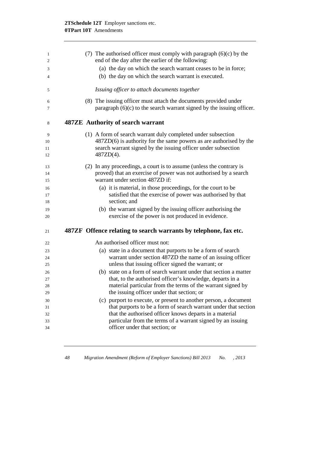| 1        |  | (7) The authorised officer must comply with paragraph $(6)(c)$ by the       |
|----------|--|-----------------------------------------------------------------------------|
| 2        |  | end of the day after the earlier of the following:                          |
| 3        |  | (a) the day on which the search warrant ceases to be in force;              |
| 4        |  | (b) the day on which the search warrant is executed.                        |
| 5        |  | Issuing officer to attach documents together                                |
| 6        |  | (8) The issuing officer must attach the documents provided under            |
| 7        |  | paragraph $(6)(c)$ to the search warrant signed by the issuing officer.     |
| 8        |  | 487ZE Authority of search warrant                                           |
| 9        |  | (1) A form of search warrant duly completed under subsection                |
| 10       |  | $487ZD(6)$ is authority for the same powers as are authorised by the        |
| 11       |  | search warrant signed by the issuing officer under subsection               |
| 12       |  | 487ZD(4).                                                                   |
| 13       |  | (2) In any proceedings, a court is to assume (unless the contrary is        |
| 14       |  | proved) that an exercise of power was not authorised by a search            |
| 15       |  | warrant under section 487ZD if:                                             |
| 16       |  | (a) it is material, in those proceedings, for the court to be               |
| 17<br>18 |  | satisfied that the exercise of power was authorised by that<br>section; and |
| 19       |  | (b) the warrant signed by the issuing officer authorising the               |
| 20       |  | exercise of the power is not produced in evidence.                          |
| 21       |  | 487ZF Offence relating to search warrants by telephone, fax etc.            |
| 22       |  | An authorised officer must not:                                             |
| 23       |  | (a) state in a document that purports to be a form of search                |
| 24       |  | warrant under section 487ZD the name of an issuing officer                  |
| 25       |  | unless that issuing officer signed the warrant; or                          |
| 26       |  | (b) state on a form of search warrant under that section a matter           |
| 27       |  | that, to the authorised officer's knowledge, departs in a                   |
| 28       |  | material particular from the terms of the warrant signed by                 |
| 29       |  | the issuing officer under that section; or                                  |
| 30       |  | (c) purport to execute, or present to another person, a document            |
| 31       |  | that purports to be a form of search warrant under that section             |
| 32       |  | that the authorised officer knows departs in a material                     |
| 33       |  | particular from the terms of a warrant signed by an issuing                 |
| 34       |  | officer under that section; or                                              |
|          |  |                                                                             |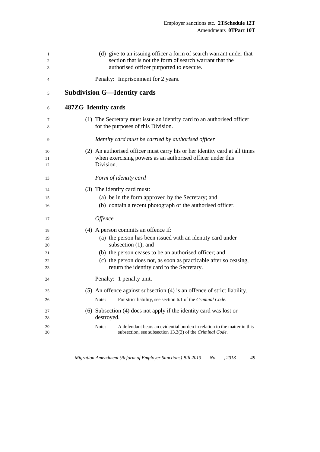| 1<br>2<br>3    |                      |                       | (d) give to an issuing officer a form of search warrant under that<br>section that is not the form of search warrant that the<br>authorised officer purported to execute. |
|----------------|----------------------|-----------------------|---------------------------------------------------------------------------------------------------------------------------------------------------------------------------|
| 4              |                      |                       | Penalty: Imprisonment for 2 years.                                                                                                                                        |
| 5              |                      |                       | <b>Subdivision G—Identity cards</b>                                                                                                                                       |
| 6              | 487ZG Identity cards |                       |                                                                                                                                                                           |
| 7<br>8         |                      |                       | (1) The Secretary must issue an identity card to an authorised officer<br>for the purposes of this Division.                                                              |
| 9              |                      |                       | Identity card must be carried by authorised officer                                                                                                                       |
| 10<br>11<br>12 |                      | Division.             | (2) An authorised officer must carry his or her identity card at all times<br>when exercising powers as an authorised officer under this                                  |
| 13             |                      |                       | Form of identity card                                                                                                                                                     |
| 14             |                      |                       | (3) The identity card must:                                                                                                                                               |
| 15             |                      |                       | (a) be in the form approved by the Secretary; and                                                                                                                         |
| 16             |                      |                       | (b) contain a recent photograph of the authorised officer.                                                                                                                |
| 17             |                      | <i><b>Offence</b></i> |                                                                                                                                                                           |
| 18             |                      |                       | $(4)$ A person commits an offence if:                                                                                                                                     |
| 19             |                      |                       | (a) the person has been issued with an identity card under                                                                                                                |
| 20             |                      |                       | subsection $(1)$ ; and                                                                                                                                                    |
| 21             |                      |                       | (b) the person ceases to be an authorised officer; and                                                                                                                    |
| 22<br>23       |                      |                       | (c) the person does not, as soon as practicable after so ceasing,<br>return the identity card to the Secretary.                                                           |
|                |                      |                       |                                                                                                                                                                           |
| 24             |                      |                       | Penalty: 1 penalty unit.                                                                                                                                                  |
| 25             |                      |                       | (5) An offence against subsection (4) is an offence of strict liability.                                                                                                  |
| 26             |                      | Note:                 | For strict liability, see section 6.1 of the Criminal Code.                                                                                                               |
| 27<br>28       |                      | destroyed.            | (6) Subsection (4) does not apply if the identity card was lost or                                                                                                        |
|                |                      |                       | A defendant bears an evidential burden in relation to the matter in this                                                                                                  |
| 29<br>30       |                      | Note:                 | subsection, see subsection 13.3(3) of the Criminal Code.                                                                                                                  |

*Migration Amendment (Reform of Employer Sanctions) Bill 2013 No. , 2013 49*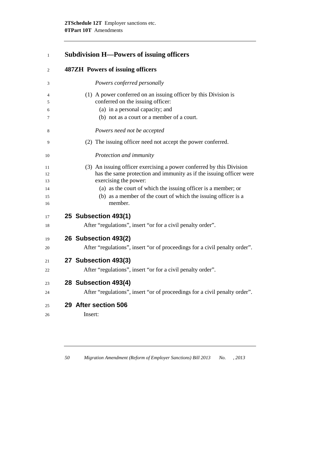# **Subdivision H—Powers of issuing officers**

| 2        | <b>487ZH</b> Powers of issuing officers                                                      |
|----------|----------------------------------------------------------------------------------------------|
| 3        | Powers conferred personally                                                                  |
| 4        | (1) A power conferred on an issuing officer by this Division is                              |
| 5        | conferred on the issuing officer:                                                            |
| 6        | (a) in a personal capacity; and                                                              |
| 7        | (b) not as a court or a member of a court.                                                   |
| 8        | Powers need not be accepted                                                                  |
| 9        | (2) The issuing officer need not accept the power conferred.                                 |
| 10       | Protection and immunity                                                                      |
| 11       | (3) An issuing officer exercising a power conferred by this Division                         |
| 12<br>13 | has the same protection and immunity as if the issuing officer were<br>exercising the power: |
| 14       | (a) as the court of which the issuing officer is a member; or                                |
| 15<br>16 | (b) as a member of the court of which the issuing officer is a<br>member.                    |
| 17       | 25 Subsection 493(1)                                                                         |
| 18       | After "regulations", insert "or for a civil penalty order".                                  |
| 19       | 26 Subsection 493(2)                                                                         |
| 20       | After "regulations", insert "or of proceedings for a civil penalty order".                   |
| 21       | 27 Subsection 493(3)                                                                         |
| 22       | After "regulations", insert "or for a civil penalty order".                                  |
| 23       | 28 Subsection 493(4)                                                                         |
| 24       | After "regulations", insert "or of proceedings for a civil penalty order".                   |
| 25       | 29 After section 506                                                                         |
| 26       | Insert:                                                                                      |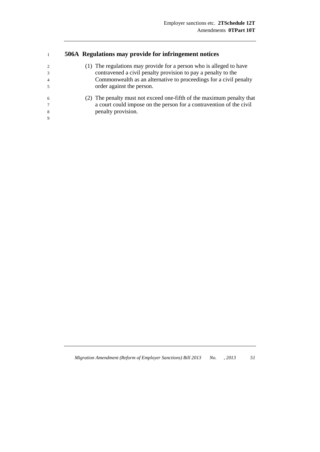#### **506A Regulations may provide for infringement notices**

| 2<br>3<br>$\overline{4}$<br>$\overline{\phantom{0}}$ | (1) The regulations may provide for a person who is alleged to have<br>contravened a civil penalty provision to pay a penalty to the<br>Commonwealth as an alternative to proceedings for a civil penalty<br>order against the person. |
|------------------------------------------------------|----------------------------------------------------------------------------------------------------------------------------------------------------------------------------------------------------------------------------------------|
| 6<br>$\tau$<br>8<br>9                                | (2) The penalty must not exceed one-fifth of the maximum penalty that<br>a court could impose on the person for a contravention of the civil<br>penalty provision.                                                                     |

*Migration Amendment (Reform of Employer Sanctions) Bill 2013 No. , 2013 51*